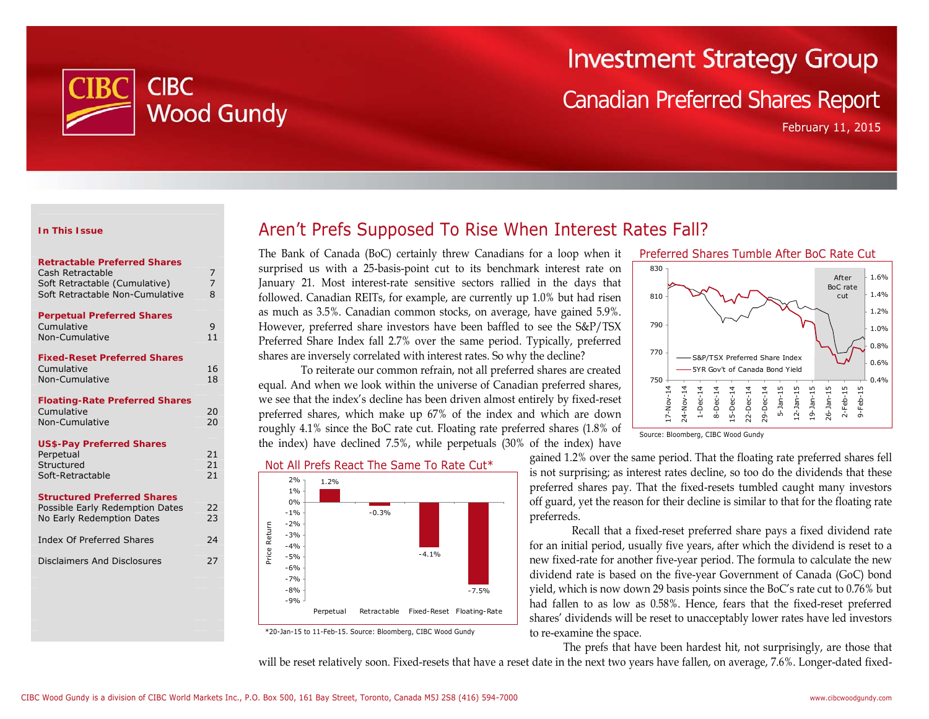

# **Investment Strategy Group**

# Canadian Preferred Shares Report

February 11, 2015

#### **In This Issue**

| <b>Retractable Preferred Shares</b> |   |
|-------------------------------------|---|
| Cash Retractable                    |   |
| Soft Retractable (Cumulative)       |   |
| Soft Retractable Non-Cumulative     | 8 |
|                                     |   |

|            | <b>Perpetual Preferred Shares</b> |  |
|------------|-----------------------------------|--|
| Cumulative |                                   |  |

| Non-Cumulative                      |    |  |  |  |  |
|-------------------------------------|----|--|--|--|--|
| <b>Fixed-Reset Preferred Shares</b> |    |  |  |  |  |
| Cumulative                          | 16 |  |  |  |  |
| Non-Cumulative                      | 18 |  |  |  |  |

#### **Floating-Rate Preferred Shares**  Cumulative 20 Non-Cumulative 20

#### **US\$-Pay Preferred Shares**

| Perpetual        |    |
|------------------|----|
| Structured       | 21 |
| Soft-Retractable |    |
|                  |    |

#### **Structured Preferred Shares**

| Possible Early Redemption Dates | 22 |
|---------------------------------|----|
| No Early Redemption Dates       | 23 |
| Index Of Preferred Shares       | 24 |
| Disclaimers And Disclosures     | 27 |
|                                 |    |

# Aren't Prefs Supposed To Rise When Interest Rates Fall?

The Bank of Canada (BoC) certainly threw Canadians for a loop when it surprised us with a 25-basis-point cut to its benchmark interest rate on January 21. Most interest-rate sensitive sectors rallied in the days that followed. Canadian REITs, for example, are currently up 1.0% but had risen as much as 3.5%. Canadian common stocks, on average, have gained 5.9%. However, preferred share investors have been baffled to see the S&P/TSX Preferred Share Index fall 2.7% over the same period. Typically, preferred shares are inversely correlated with interest rates. So why the decline?

 To reiterate our common refrain, not all preferred shares are created equal. And when we look within the universe of Canadian preferred shares, we see that the index's decline has been driven almost entirely by fixed-reset preferred shares, which make up 67% of the index and which are down roughly 4.1% since the BoC rate cut. Floating rate preferred shares (1.8% of the index) have declined 7.5%, while perpetuals (30% of the index) have

Not All Prefs React The Same To Rate Cut\*



\*20-Jan-15 to 11-Feb-15. Source: Bloomberg, CIBC Wood Gundy



Source: Bloomberg, CIBC Wood Gundy

gained 1.2% over the same period. That the floating rate preferred shares fell is not surprising; as interest rates decline, so too do the dividends that these preferred shares pay. That the fixed-resets tumbled caught many investors off guard, yet the reason for their decline is similar to that for the floating rate preferreds.

Recall that a fixed-reset preferred share pays a fixed dividend rate for an initial period, usually five years, after which the dividend is reset to a new fixed-rate for another five-year period. The formula to calculate the new dividend rate is based on the five-year Government of Canada (GoC) bond yield, which is now down 29 basis points since the BoC's rate cut to 0.76% but had fallen to as low as 0.58%. Hence, fears that the fixed-reset preferred shares' dividends will be reset to unacceptably lower rates have led investors to re-examine the space.

The prefs that have been hardest hit, not surprisingly, are those that will be reset relatively soon. Fixed-resets that have a reset date in the next two years have fallen, on average, 7.6%. Longer-dated fixed-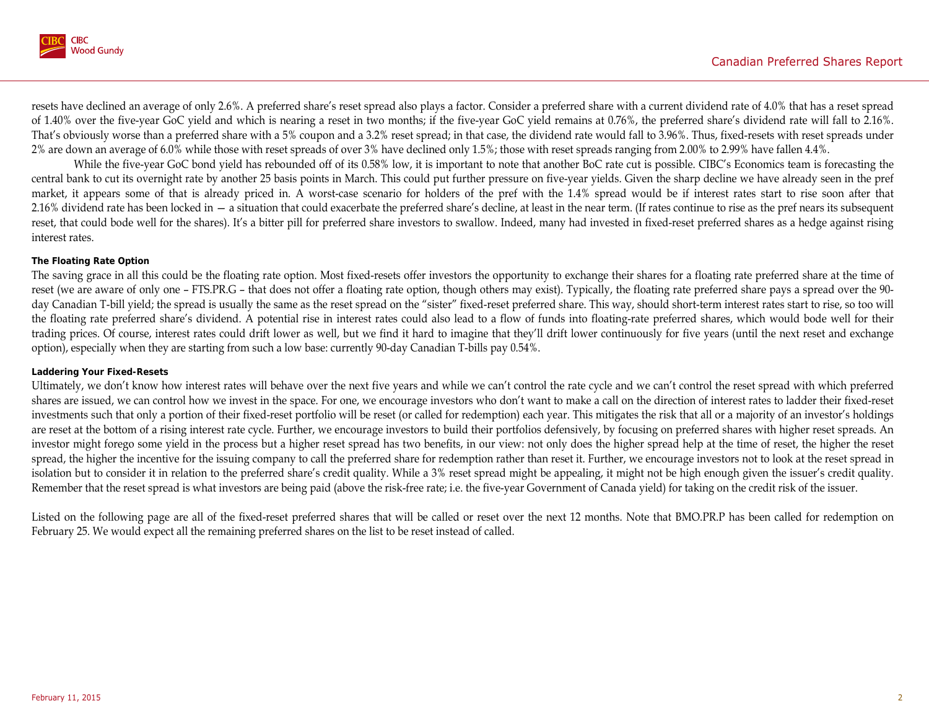

resets have declined an average of only 2.6%. A preferred share's reset spread also plays a factor. Consider a preferred share with a current dividend rate of 4.0% that has a reset spread of 1.40% over the five-year GoC yield and which is nearing a reset in two months; if the five-year GoC yield remains at 0.76%, the preferred share's dividend rate will fall to 2.16%. That's obviously worse than a preferred share with a 5% coupon and a 3.2% reset spread; in that case, the dividend rate would fall to 3.96%. Thus, fixed-resets with reset spreads under 2% are down an average of 6.0% while those with reset spreads of over 3% have declined only 1.5%; those with reset spreads ranging from 2.00% to 2.99% have fallen 4.4%.

While the five-year GoC bond yield has rebounded off of its 0.58% low, it is important to note that another BoC rate cut is possible. CIBC's Economics team is forecasting the central bank to cut its overnight rate by another 25 basis points in March. This could put further pressure on five-year yields. Given the sharp decline we have already seen in the pref market, it appears some of that is already priced in. A worst-case scenario for holders of the pref with the 1.4% spread would be if interest rates start to rise soon after that 2.16% dividend rate has been locked in — a situation that could exacerbate the preferred share's decline, at least in the near term. (If rates continue to rise as the pref nears its subsequent reset, that could bode well for the shares). It's a bitter pill for preferred share investors to swallow. Indeed, many had invested in fixed-reset preferred shares as a hedge against rising interest rates.

### **The Floating Rate Option**

The saving grace in all this could be the floating rate option. Most fixed-resets offer investors the opportunity to exchange their shares for a floating rate preferred share at the time of reset (we are aware of only one – FTS.PR.G – that does not offer a floating rate option, though others may exist). Typically, the floating rate preferred share pays a spread over the 90day Canadian T-bill yield; the spread is usually the same as the reset spread on the "sister" fixed-reset preferred share. This way, should short-term interest rates start to rise, so too will the floating rate preferred share's dividend. A potential rise in interest rates could also lead to a flow of funds into floating-rate preferred shares, which would bode well for their trading prices. Of course, interest rates could drift lower as well, but we find it hard to imagine that they'll drift lower continuously for five years (until the next reset and exchange option), especially when they are starting from such a low base: currently 90-day Canadian T-bills pay 0.54%.

#### **Laddering Your Fixed-Resets**

Ultimately, we don't know how interest rates will behave over the next five years and while we can't control the rate cycle and we can't control the reset spread with which preferred shares are issued, we can control how we invest in the space. For one, we encourage investors who don't want to make a call on the direction of interest rates to ladder their fixed-reset investments such that only a portion of their fixed-reset portfolio will be reset (or called for redemption) each year. This mitigates the risk that all or a majority of an investor's holdings are reset at the bottom of a rising interest rate cycle. Further, we encourage investors to build their portfolios defensively, by focusing on preferred shares with higher reset spreads. An investor might forego some yield in the process but a higher reset spread has two benefits, in our view: not only does the higher spread help at the time of reset, the higher the reset spread, the higher the incentive for the issuing company to call the preferred share for redemption rather than reset it. Further, we encourage investors not to look at the reset spread in isolation but to consider it in relation to the preferred share's credit quality. While a 3% reset spread might be appealing, it might not be high enough given the issuer's credit quality. Remember that the reset spread is what investors are being paid (above the risk-free rate; i.e. the five-year Government of Canada yield) for taking on the credit risk of the issuer.

Listed on the following page are all of the fixed-reset preferred shares that will be called or reset over the next 12 months. Note that BMO.PR.P has been called for redemption on February 25. We would expect all the remaining preferred shares on the list to be reset instead of called.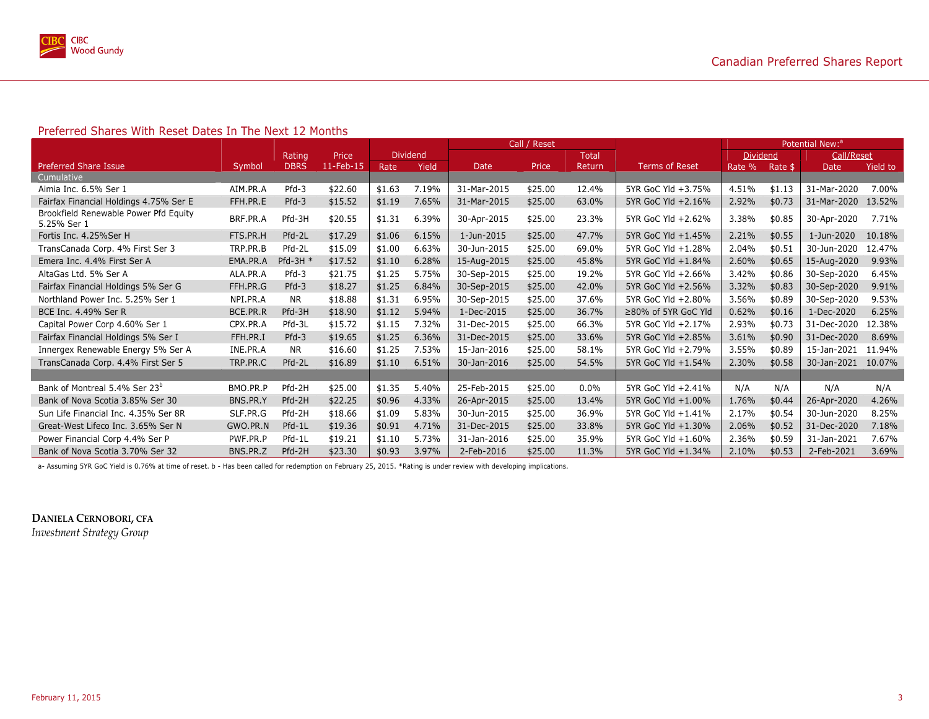

#### Preferred Shares With Reset Dates In The Next 12 Months

|                                                      |          |             |           |                 |       | Call / Reset |         |         |                       |                 | Potential New: <sup>a</sup> |             |          |
|------------------------------------------------------|----------|-------------|-----------|-----------------|-------|--------------|---------|---------|-----------------------|-----------------|-----------------------------|-------------|----------|
|                                                      |          | Rating      | Price     | <b>Dividend</b> |       |              |         | Total   |                       | <b>Dividend</b> |                             | Call/Reset  |          |
| <b>Preferred Share Issue</b>                         | Symbol   | <b>DBRS</b> | 11-Feb-15 | Rate            | Yield | Date         | Price   | Return  | <b>Terms of Reset</b> | Rate %          | Rate \$                     | Date        | Yield to |
| Cumulative                                           |          |             |           |                 |       |              |         |         |                       |                 |                             |             |          |
| Aimia Inc. 6.5% Ser 1                                | AIM.PR.A | $Pfd-3$     | \$22.60   | \$1.63          | 7.19% | 31-Mar-2015  | \$25.00 | 12.4%   | 5YR GoC Yld +3.75%    | 4.51%           | \$1.13                      | 31-Mar-2020 | 7.00%    |
| Fairfax Financial Holdings 4.75% Ser E               | FFH.PR.E | $Pfd-3$     | \$15.52   | \$1.19          | 7.65% | 31-Mar-2015  | \$25.00 | 63.0%   | 5YR GoC Yld +2.16%    | 2.92%           | \$0.73                      | 31-Mar-2020 | 13.52%   |
| Brookfield Renewable Power Pfd Equity<br>5.25% Ser 1 | BRF.PR.A | Pfd-3H      | \$20.55   | \$1.31          | 6.39% | 30-Apr-2015  | \$25.00 | 23.3%   | 5YR GoC Yld +2.62%    | 3.38%           | \$0.85                      | 30-Apr-2020 | 7.71%    |
| Fortis Inc. 4.25%Ser H                               | FTS.PR.H | Pfd-2L      | \$17.29   | \$1.06          | 6.15% | 1-Jun-2015   | \$25.00 | 47.7%   | 5YR GoC Yld +1.45%    | 2.21%           | \$0.55                      | 1-Jun-2020  | 10.18%   |
| TransCanada Corp. 4% First Ser 3                     | TRP.PR.B | Pfd-2L      | \$15.09   | \$1.00          | 6.63% | 30-Jun-2015  | \$25.00 | 69.0%   | 5YR GoC Yld +1.28%    | 2.04%           | \$0.51                      | 30-Jun-2020 | 12.47%   |
| Emera Inc. 4.4% First Ser A                          | EMA.PR.A | Pfd-3H $*$  | \$17.52   | \$1.10          | 6.28% | 15-Aug-2015  | \$25.00 | 45.8%   | 5YR GoC Yld +1.84%    | 2.60%           | \$0.65                      | 15-Aug-2020 | 9.93%    |
| AltaGas Ltd. 5% Ser A                                | ALA.PR.A | $Pfd-3$     | \$21.75   | \$1.25          | 5.75% | 30-Sep-2015  | \$25.00 | 19.2%   | 5YR GoC Yld +2.66%    | 3.42%           | \$0.86                      | 30-Sep-2020 | 6.45%    |
| Fairfax Financial Holdings 5% Ser G                  | FFH.PR.G | $Pfd-3$     | \$18.27   | \$1.25          | 6.84% | 30-Sep-2015  | \$25.00 | 42.0%   | 5YR GoC Yld +2.56%    | 3.32%           | \$0.83                      | 30-Sep-2020 | 9.91%    |
| Northland Power Inc. 5.25% Ser 1                     | NPI.PR.A | <b>NR</b>   | \$18.88   | \$1.31          | 6.95% | 30-Sep-2015  | \$25.00 | 37.6%   | 5YR GoC Yld +2.80%    | 3.56%           | \$0.89                      | 30-Sep-2020 | 9.53%    |
| BCE Inc. 4.49% Ser R                                 | BCE.PR.R | Pfd-3H      | \$18.90   | \$1.12          | 5.94% | 1-Dec-2015   | \$25.00 | 36.7%   | ≥80% of 5YR GoC Yld   | 0.62%           | \$0.16                      | 1-Dec-2020  | 6.25%    |
| Capital Power Corp 4.60% Ser 1                       | CPX.PR.A | Pfd-3L      | \$15.72   | \$1.15          | 7.32% | 31-Dec-2015  | \$25.00 | 66.3%   | 5YR GoC Yld +2.17%    | 2.93%           | \$0.73                      | 31-Dec-2020 | 12.38%   |
| Fairfax Financial Holdings 5% Ser I                  | FFH.PR.I | $Pfd-3$     | \$19.65   | \$1.25          | 6.36% | 31-Dec-2015  | \$25.00 | 33.6%   | 5YR GoC Yld +2.85%    | 3.61%           | \$0.90                      | 31-Dec-2020 | 8.69%    |
| Innergex Renewable Energy 5% Ser A                   | INE.PR.A | <b>NR</b>   | \$16.60   | \$1.25          | 7.53% | 15-Jan-2016  | \$25.00 | 58.1%   | 5YR GoC Yld +2.79%    | 3.55%           | \$0.89                      | 15-Jan-2021 | 11.94%   |
| TransCanada Corp. 4.4% First Ser 5                   | TRP.PR.C | Pfd-2L      | \$16.89   | \$1.10          | 6.51% | 30-Jan-2016  | \$25.00 | 54.5%   | 5YR GoC Yld +1.54%    | 2.30%           | \$0.58                      | 30-Jan-2021 | 10.07%   |
|                                                      |          |             |           |                 |       |              |         |         |                       |                 |                             |             |          |
| Bank of Montreal 5.4% Ser 23 <sup>b</sup>            | BMO.PR.P | Pfd-2H      | \$25.00   | \$1.35          | 5.40% | 25-Feb-2015  | \$25.00 | $0.0\%$ | 5YR GoC Yld +2.41%    | N/A             | N/A                         | N/A         | N/A      |
| Bank of Nova Scotia 3.85% Ser 30                     | BNS.PR.Y | Pfd-2H      | \$22.25   | \$0.96          | 4.33% | 26-Apr-2015  | \$25.00 | 13.4%   | 5YR GoC Yld +1.00%    | 1.76%           | \$0.44                      | 26-Apr-2020 | 4.26%    |
| Sun Life Financial Inc. 4.35% Ser 8R                 | SLF.PR.G | Pfd-2H      | \$18.66   | \$1.09          | 5.83% | 30-Jun-2015  | \$25.00 | 36.9%   | 5YR GoC Yld +1.41%    | 2.17%           | \$0.54                      | 30-Jun-2020 | 8.25%    |
| Great-West Lifeco Inc. 3.65% Ser N                   | GWO.PR.N | Pfd-1L      | \$19.36   | \$0.91          | 4.71% | 31-Dec-2015  | \$25.00 | 33.8%   | 5YR GoC Yld +1.30%    | 2.06%           | \$0.52                      | 31-Dec-2020 | 7.18%    |
| Power Financial Corp 4.4% Ser P                      | PWF.PR.P | Pfd-1L      | \$19.21   | \$1.10          | 5.73% | 31-Jan-2016  | \$25.00 | 35.9%   | 5YR GoC Yld +1.60%    | 2.36%           | \$0.59                      | 31-Jan-2021 | 7.67%    |
| Bank of Nova Scotia 3.70% Ser 32                     | BNS.PR.Z | Pfd-2H      | \$23.30   | \$0.93          | 3.97% | 2-Feb-2016   | \$25.00 | 11.3%   | 5YR GoC Yld +1.34%    | 2.10%           | \$0.53                      | 2-Feb-2021  | 3.69%    |

a- Assuming 5YR GoC Yield is 0.76% at time of reset. b - Has been called for redemption on February 25, 2015. \*Rating is under review with developing implications.

**DANIELA CERNOBORI, CFA** *Investment Strategy Group*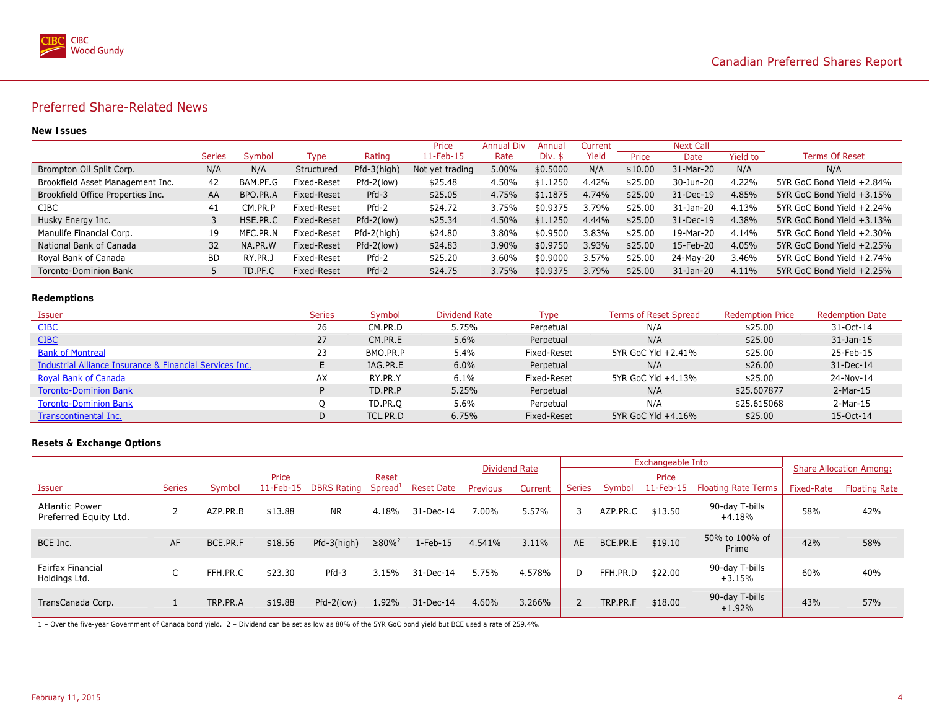

### Preferred Share-Related News

#### **New Issues**

|                                   |               |              |             |               | Price           | <b>Annual Div</b> | Annua <sup>®</sup> | Current |         | <b>Next Call</b> |          |                           |
|-----------------------------------|---------------|--------------|-------------|---------------|-----------------|-------------------|--------------------|---------|---------|------------------|----------|---------------------------|
|                                   | <b>Series</b> | Symbol       | Type        | Rating        | 11-Feb-15       | Rate              | Div. \$            | Yield   | Price   | Date             | Yield to | <b>Terms Of Reset</b>     |
| Brompton Oil Split Corp.          | N/A           | N/A          | Structured  | $Pfd-3(high)$ | Not yet trading | 5.00%             | \$0,5000           | N/A     | \$10.00 | 31-Mar-20        | N/A      | N/A                       |
| Brookfield Asset Management Inc.  | 42            | BAM.PF.G     | Fixed-Reset | $Pfd-2(low)$  | \$25.48         | 4.50%             | \$1,1250           | 4.42%   | \$25.00 | 30-Jun-20        | 4.22%    | 5YR GoC Bond Yield +2.84% |
| Brookfield Office Properties Inc. | AA            | BPO.PR.A     | Fixed-Reset | $Pfd-3$       | \$25.05         | 4.75%             | \$1.1875           | 4.74%   | \$25.00 | 31-Dec-19        | 4.85%    | 5YR GoC Bond Yield +3.15% |
| <b>CIBC</b>                       | 41            | СM<br>.PR.F  | Fixed-Reset | $Pfd-2$       | \$24.72         | 3.75%             | \$0.9375           | 3.79%   | \$25.00 | 31-Jan-20        | 4.13%    | 5YR GoC Bond Yield +2.24% |
| Husky Energy Inc.                 |               | HSE.PR.C     | Fixed-Reset | $Pfd-2(low)$  | \$25.34         | 4.50%             | \$1.1250           | 4.44%   | \$25.00 | 31-Dec-19        | 4.38%    | 5YR GoC Bond Yield +3.13% |
| Manulife Financial Corp.          | 19            | MFC.PR.N     | Fixed-Reset | Pfd-2(high)   | \$24.80         | 3.80%             | \$0.9500           | 3.83%   | \$25.00 | 19-Mar-20        | 4.14%    | 5YR GoC Bond Yield +2.30% |
| National Bank of Canada           | 32            | NA.PR.W      | Fixed-Reset | $Pfd-2(low)$  | \$24.83         | 3.90%             | \$0.9750           | 3.93%   | \$25.00 | 15-Feb-20        | 4.05%    | 5YR GoC Bond Yield +2.25% |
| Royal Bank of Canada              | <b>BD</b>     | RY.<br>.PR.J | Fixed-Reset | Pfd-2         | \$25.20         | 3.60%             | \$0.9000           | 3.57%   | \$25.00 | 24-May-20        | 3.46%    | 5YR GoC Bond Yield +2.74% |
| Toronto-Dominion Bank             |               | TD.PF.C      | Fixed-Reset | $Pfd-2$       | \$24.75         | 3.75%             | \$0.9375           | 3.79%   | \$25.00 | 31-Jan-20        | 4.11%    | 5YR GoC Bond Yield +2.25% |

#### **Redemptions**

| Issuer                                                  | <b>Series</b> | Symbol   | <b>Dividend Rate</b> | Type        | <b>Terms of Reset Spread</b> | <b>Redemption Price</b> | <b>Redemption Date</b> |
|---------------------------------------------------------|---------------|----------|----------------------|-------------|------------------------------|-------------------------|------------------------|
| <b>CIBC</b>                                             | 26            | CM.PR.D  | 5.75%                | Perpetual   | N/A                          | \$25.00                 | 31-Oct-14              |
| <b>CIBC</b>                                             | 27            | CM.PR.E  | 5.6%                 | Perpetual   | N/A                          | \$25.00                 | $31$ -Jan- $15$        |
| <b>Bank of Montreal</b>                                 | 23            | BMO.PR.P | 5.4%                 | Fixed-Reset | 5YR GoC Yld +2.41%           | \$25.00                 | 25-Feb-15              |
| Industrial Alliance Insurance & Financial Services Inc. |               | IAG.PR.E | 6.0%                 | Perpetual   | N/A                          | \$26.00                 | 31-Dec-14              |
| <b>Royal Bank of Canada</b>                             | AX            | RY.PR.Y  | 6.1%                 | Fixed-Reset | 5YR GoC Yld +4.13%           | \$25.00                 | 24-Nov-14              |
| <b>Toronto-Dominion Bank</b>                            | D.            | TD.PR.P  | 5.25%                | Perpetual   | N/A                          | \$25.607877             | $2-Mar-15$             |
| <b>Toronto-Dominion Bank</b>                            |               | TD.PR.O  | 5.6%                 | Perpetual   | N/A                          | \$25,615068             | $2-Mar-15$             |
| Transcontinental Inc.                                   | D             | TCL.PR.D | 6.75%                | Fixed-Reset | 5YR GoC Yld +4.16%           | \$25.00                 | 15-Oct-14              |

### **Resets & Exchange Options**

|                                                |                          |          |           |                    |                        |                   | Dividend Rate   |         |               | Exchangeable Into |           |                            | <b>Share Allocation Among:</b> |                      |
|------------------------------------------------|--------------------------|----------|-----------|--------------------|------------------------|-------------------|-----------------|---------|---------------|-------------------|-----------|----------------------------|--------------------------------|----------------------|
|                                                |                          |          | Price     |                    | Reset                  |                   |                 |         |               | Price             |           |                            |                                |                      |
| Issuer                                         | <b>Series</b>            | Symbol   | 11-Feb-15 | <b>DBRS Rating</b> | $S$ pread <sup>1</sup> | <b>Reset Date</b> | <b>Previous</b> | Current | <b>Series</b> | Symbol            | 11-Feb-15 | <b>Floating Rate Terms</b> | Fixed-Rate                     | <b>Floating Rate</b> |
| <b>Atlantic Power</b><br>Preferred Equity Ltd. |                          | AZP.PR.B | \$13.88   | <b>NR</b>          | 4.18%                  | 31-Dec-14         | 7.00%           | 5.57%   |               | AZP.PR.C          | \$13.50   | 90-day T-bills<br>$+4.18%$ | 58%                            | 42%                  |
| BCE Inc.                                       | AF                       | BCE.PR.F | \$18.56   | Pfd-3(high)        | $≥80\%$ <sup>2</sup>   | $1-Feb-15$        | 4.541%          | 3.11%   | AE            | BCE.PR.E          | \$19.10   | 50% to 100% of<br>Prime    | 42%                            | 58%                  |
| Fairfax Financial<br>Holdings Ltd.             | $\overline{\phantom{0}}$ | FFH.PR.C | \$23.30   | Pfd-3              | 3.15%                  | 31-Dec-14         | 5.75%           | 4.578%  | D.            | FFH.PR.D          | \$22.00   | 90-day T-bills<br>$+3.15%$ | 60%                            | 40%                  |
| TransCanada Corp.                              |                          | TRP.PR.A | \$19.88   | $Pfd-2(low)$       | 1.92%                  | 31-Dec-14         | 4.60%           | 3.266%  |               | TRP.PR.F          | \$18.00   | 90-day T-bills<br>$+1.92%$ | 43%                            | 57%                  |

1 – Over the five-year Government of Canada bond yield. 2 – Dividend can be set as low as 80% of the 5YR GoC bond yield but BCE used a rate of 259.4%.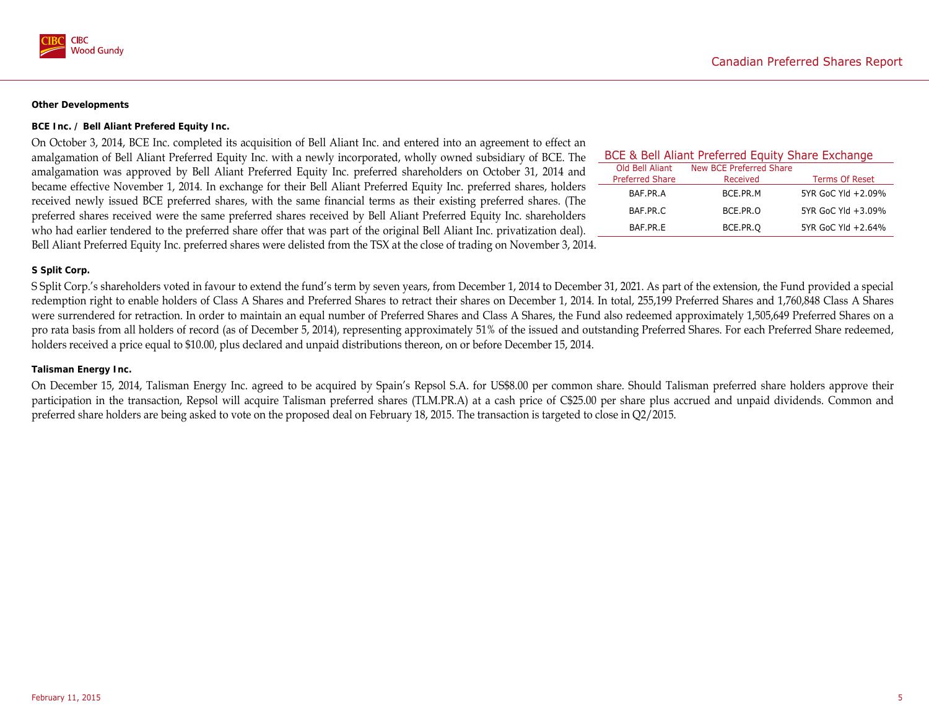

#### **Other Developments**

#### **BCE Inc. / Bell Aliant Prefered Equity Inc.**

On October 3, 2014, BCE Inc. completed its acquisition of Bell Aliant Inc. and entered into an agreement to effect an amalgamation of Bell Aliant Preferred Equity Inc. with a newly incorporated, wholly owned subsidiary of BCE. The amalgamation was approved by Bell Aliant Preferred Equity Inc. preferred shareholders on October 31, 2014 and became effective November 1, 2014. In exchange for their Bell Aliant Preferred Equity Inc. preferred shares, holders received newly issued BCE preferred shares, with the same financial terms as their existing preferred shares. (The preferred shares received were the same preferred shares received by Bell Aliant Preferred Equity Inc. shareholders who had earlier tendered to the preferred share offer that was part of the original Bell Aliant Inc. privatization deal). Bell Aliant Preferred Equity Inc. preferred shares were delisted from the TSX at the close of trading on November 3, 2014.

| BCE & Bell Aliant Preferred Equity Share Exchange |                         |                       |  |  |  |  |  |  |
|---------------------------------------------------|-------------------------|-----------------------|--|--|--|--|--|--|
| Old Bell Aliant                                   | New BCE Preferred Share |                       |  |  |  |  |  |  |
| <b>Preferred Share</b>                            | Received                | <b>Terms Of Reset</b> |  |  |  |  |  |  |
| BAF.PR.A                                          | BCE.PR.M                | 5YR GoC Yld +2.09%    |  |  |  |  |  |  |
| BAF.PR.C                                          | BCE.PR.O                | 5YR GoC Yld +3.09%    |  |  |  |  |  |  |
| BAF.PR.F                                          | BCE.PR.O                | 5YR GoC Yld +2.64%    |  |  |  |  |  |  |

#### **S Split Corp.**

S Split Corp.'s shareholders voted in favour to extend the fund's term by seven years, from December 1, 2014 to December 31, 2021. As part of the extension, the Fund provided a special redemption right to enable holders of Class A Shares and Preferred Shares to retract their shares on December 1, 2014. In total, 255,199 Preferred Shares and 1,760,848 Class A Shares were surrendered for retraction. In order to maintain an equal number of Preferred Shares and Class A Shares, the Fund also redeemed approximately 1,505,649 Preferred Shares on a pro rata basis from all holders of record (as of December 5, 2014), representing approximately 51% of the issued and outstanding Preferred Shares. For each Preferred Share redeemed, holders received a price equal to \$10.00, plus declared and unpaid distributions thereon, on or before December 15, 2014.

#### **Talisman Energy Inc.**

On December 15, 2014, Talisman Energy Inc. agreed to be acquired by Spain's Repsol S.A. for US\$8.00 per common share. Should Talisman preferred share holders approve their participation in the transaction, Repsol will acquire Talisman preferred shares (TLM.PR.A) at a cash price of C\$25.00 per share plus accrued and unpaid dividends. Common and preferred share holders are being asked to vote on the proposed deal on February 18, 2015. The transaction is targeted to close in Q2/2015.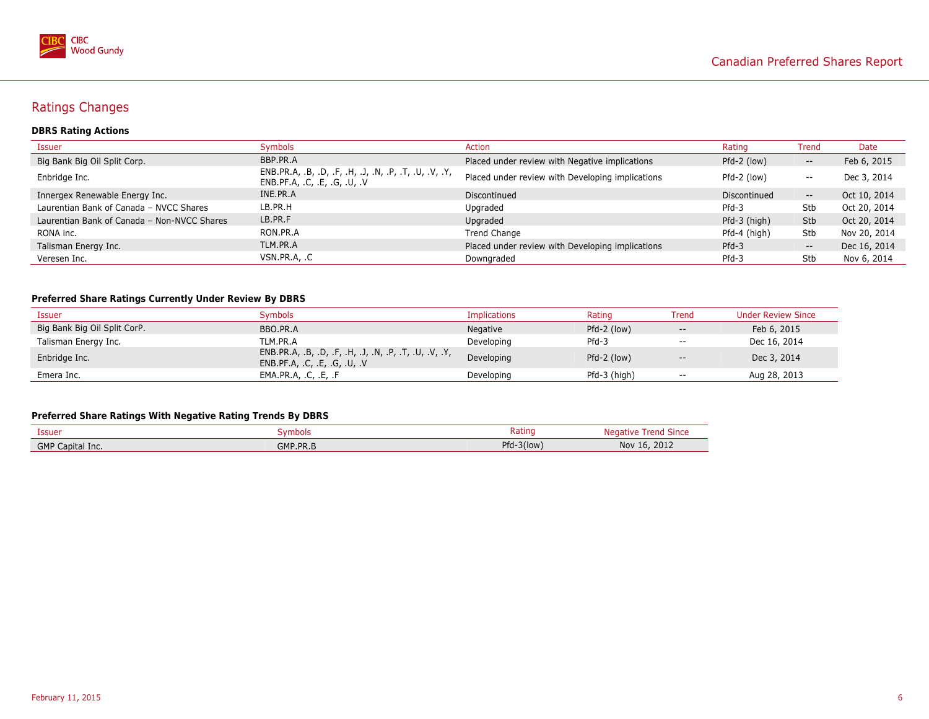

# Ratings Changes

### **DBRS Rating Actions**

| Issuer                                      | Symbols                                                                               | <b>Action</b>                                    | Rating       | <b>Trend</b>             | Date         |
|---------------------------------------------|---------------------------------------------------------------------------------------|--------------------------------------------------|--------------|--------------------------|--------------|
| Big Bank Big Oil Split Corp.                | BBP.PR.A                                                                              | Placed under review with Negative implications   | Pfd-2 (low)  | $- -$                    | Feb 6, 2015  |
| Enbridge Inc.                               | ENB.PR.A, .B, .D, .F, .H, .J, .N, .P, .T, .U, .V, .Y,<br>ENB.PF.A, .C, .E, .G, .U, .V | Placed under review with Developing implications | Pfd-2 (low)  | $- -$                    | Dec 3, 2014  |
| Innergex Renewable Energy Inc.              | INE.PR.A                                                                              | Discontinued                                     | Discontinued | $\overline{\phantom{a}}$ | Oct 10, 2014 |
| Laurentian Bank of Canada - NVCC Shares     | LB.PR.H                                                                               | Upgraded                                         | $Pfd-3$      | Stb                      | Oct 20, 2014 |
| Laurentian Bank of Canada - Non-NVCC Shares | LB.PR.F                                                                               | Upgraded                                         | Pfd-3 (high) | <b>Stb</b>               | Oct 20, 2014 |
| RONA inc.                                   | RON.PR.A                                                                              | Trend Change                                     | Pfd-4 (high) | Stb                      | Nov 20, 2014 |
| Talisman Energy Inc.                        | TLM.PR.A                                                                              | Placed under review with Developing implications | $Pfd-3$      | $- -$                    | Dec 16, 2014 |
| Veresen Inc.                                | VSN.PR.A, .C                                                                          | Downgraded                                       | $Pfd-3$      | Stb                      | Nov 6, 2014  |

### **Preferred Share Ratings Currently Under Review By DBRS**

| Issuer                       | Svmbols                                                                          | Implications | Rating       | Trend                                               | <b>Under Review Since</b> |
|------------------------------|----------------------------------------------------------------------------------|--------------|--------------|-----------------------------------------------------|---------------------------|
| Big Bank Big Oil Split CorP. | BBO.PR.A                                                                         | Negative     | Pfd-2 (low)  | $\hspace{0.05cm} -\hspace{0.05cm} -\hspace{0.05cm}$ | Feb 6, 2015               |
| Talisman Energy Inc.         | TLM.PR.A                                                                         | Developing   | $Pfd-3$      | $- -$                                               | Dec 16, 2014              |
| Enbridge Inc.                | ENB.PR.A, .B, .D, .F, .H, .J, .N, .P, .T, .U, .V, .Y,<br>ENB.PF.A, C, E, G, U, V | Developing   | Pfd-2 (low)  | $\hspace{0.1mm}-\hspace{0.1mm}-\hspace{0.1mm}$      | Dec 3, 2014               |
| Emera Inc.                   | EMA.PR.A, .C, .E, .F                                                             | Developing   | Pfd-3 (high) | $\overline{\phantom{a}}$                            | Aug 28, 2013              |

### **Preferred Share Ratings With Negative Rating Trends By DBRS**

| Issuer              | mbols           | Ratino          | reno               |
|---------------------|-----------------|-----------------|--------------------|
|                     | w               |                 | эшс                |
| GMP<br>Capital Inc. | <b>GMP.PR.B</b> | Pfd-<br>-3(low) | 2012<br>Nov<br>.O. |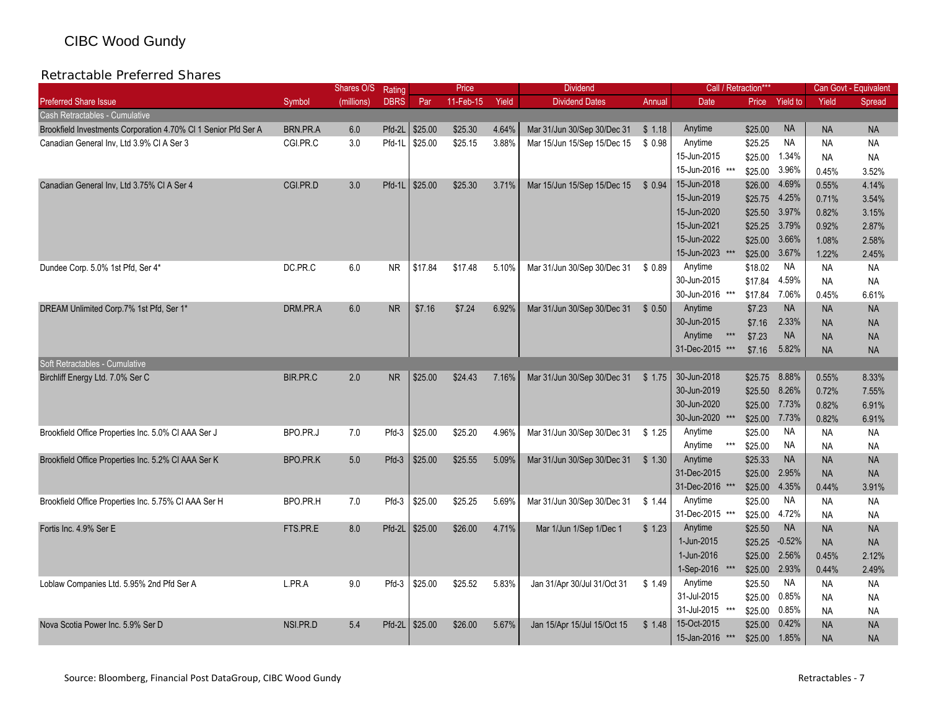#### Retractable Preferred Shares $\mathsf S$

|                                                                |          | Shares O/S | Rating      |         | Price     |       | <b>Dividend</b>             |        | Call / Retraction*           |         |                 |           | Can Govt - Equivalent |
|----------------------------------------------------------------|----------|------------|-------------|---------|-----------|-------|-----------------------------|--------|------------------------------|---------|-----------------|-----------|-----------------------|
| <b>Preferred Share Issue</b>                                   | Symbol   | (millions) | <b>DBRS</b> | Par     | 11-Feb-15 | Yield | <b>Dividend Dates</b>       | Annual | Date                         | Price   | <b>Yield to</b> | Yield     | Spread                |
| Cash Retractables - Cumulative                                 |          |            |             |         |           |       |                             |        |                              |         |                 |           |                       |
| Brookfield Investments Corporation 4.70% CI 1 Senior Pfd Ser A | BRN.PR.A | 6.0        | Pfd-2L      | \$25.00 | \$25.30   | 4.64% | Mar 31/Jun 30/Sep 30/Dec 31 | \$1.18 | Anytime                      | \$25.00 | <b>NA</b>       | <b>NA</b> | <b>NA</b>             |
| Canadian General Inv, Ltd 3.9% CI A Ser 3                      | CGI.PR.C | 3.0        | Pfd-1L      | \$25.00 | \$25.15   | 3.88% | Mar 15/Jun 15/Sep 15/Dec 15 | \$0.98 | Anytime                      | \$25.25 | <b>NA</b>       | <b>NA</b> | <b>NA</b>             |
|                                                                |          |            |             |         |           |       |                             |        | 15-Jun-2015                  | \$25.00 | 1.34%           | <b>NA</b> | <b>NA</b>             |
|                                                                |          |            |             |         |           |       |                             |        | 15-Jun-2016 ***              | \$25.00 | 3.96%           | 0.45%     | 3.52%                 |
| Canadian General Inv, Ltd 3.75% CI A Ser 4                     | CGI.PR.D | 3.0        | $Pfd-1L$    | \$25.00 | \$25.30   | 3.71% | Mar 15/Jun 15/Sep 15/Dec 15 | \$0.94 | 15-Jun-2018                  | \$26.00 | 4.69%           | 0.55%     | 4.14%                 |
|                                                                |          |            |             |         |           |       |                             |        | 15-Jun-2019                  | \$25.75 | 4.25%           | 0.71%     | 3.54%                 |
|                                                                |          |            |             |         |           |       |                             |        | 15-Jun-2020                  | \$25.50 | 3.97%           | 0.82%     | 3.15%                 |
|                                                                |          |            |             |         |           |       |                             |        | 15-Jun-2021                  | \$25.25 | 3.79%           | 0.92%     | 2.87%                 |
|                                                                |          |            |             |         |           |       |                             |        | 15-Jun-2022                  | \$25.00 | 3.66%           | 1.08%     | 2.58%                 |
|                                                                |          |            |             |         |           |       |                             |        | 15-Jun-2023 ***              | \$25.00 | 3.67%           | 1.22%     | 2.45%                 |
| Dundee Corp. 5.0% 1st Pfd, Ser 4*                              | DC.PR.C  | 6.0        | <b>NR</b>   | \$17.84 | \$17.48   | 5.10% | Mar 31/Jun 30/Sep 30/Dec 31 | \$0.89 | Anytime                      | \$18.02 | ΝA              | <b>NA</b> | <b>NA</b>             |
|                                                                |          |            |             |         |           |       |                             |        | 30-Jun-2015                  | \$17.84 | 4.59%           | <b>NA</b> | <b>NA</b>             |
|                                                                |          |            |             |         |           |       |                             |        | 30-Jun-2016 ***              | \$17.84 | 7.06%           | 0.45%     | 6.61%                 |
| DREAM Unlimited Corp.7% 1st Pfd, Ser 1*                        | DRM.PR.A | 6.0        | <b>NR</b>   | \$7.16  | \$7.24    | 6.92% | Mar 31/Jun 30/Sep 30/Dec 31 | \$0.50 | Anytime                      | \$7.23  | <b>NA</b>       | <b>NA</b> | <b>NA</b>             |
|                                                                |          |            |             |         |           |       |                             |        | 30-Jun-2015                  | \$7.16  | 2.33%           | <b>NA</b> | <b>NA</b>             |
|                                                                |          |            |             |         |           |       |                             |        | Anytime<br>$\star\star\star$ | \$7.23  | <b>NA</b>       | <b>NA</b> | <b>NA</b>             |
|                                                                |          |            |             |         |           |       |                             |        | 31-Dec-2015 ***              | \$7.16  | 5.82%           | <b>NA</b> | <b>NA</b>             |
| Soft Retractables - Cumulative                                 |          |            |             |         |           |       |                             |        |                              |         |                 |           |                       |
| Birchliff Energy Ltd. 7.0% Ser C                               | BIR.PR.C | 2.0        | <b>NR</b>   | \$25.00 | \$24.43   | 7.16% | Mar 31/Jun 30/Sep 30/Dec 31 | \$1.75 | 30-Jun-2018                  | \$25.75 | 8.88%           | 0.55%     | 8.33%                 |
|                                                                |          |            |             |         |           |       |                             |        | 30-Jun-2019                  | \$25.50 | 8.26%           | 0.72%     | 7.55%                 |
|                                                                |          |            |             |         |           |       |                             |        | 30-Jun-2020                  | \$25.00 | 7.73%           | 0.82%     | 6.91%                 |
|                                                                |          |            |             |         |           |       |                             |        | 30-Jun-2020 ***              | \$25.00 | 7.73%           | 0.82%     | 6.91%                 |
| Brookfield Office Properties Inc. 5.0% CI AAA Ser J            | BPO.PR.J | 7.0        | Pfd-3       | \$25.00 | \$25.20   | 4.96% | Mar 31/Jun 30/Sep 30/Dec 31 | \$1.25 | Anytime                      | \$25.00 | NA.             | <b>NA</b> | <b>NA</b>             |
|                                                                |          |            |             |         |           |       |                             |        | Anytime<br>$***$             | \$25.00 | NA.             | <b>NA</b> | ΝA                    |
| Brookfield Office Properties Inc. 5.2% CI AAA Ser K            | BPO.PR.K | 5.0        | Pfd-3       | \$25.00 | \$25.55   | 5.09% | Mar 31/Jun 30/Sep 30/Dec 31 | \$1.30 | Anytime                      | \$25.33 | <b>NA</b>       | <b>NA</b> | <b>NA</b>             |
|                                                                |          |            |             |         |           |       |                             |        | 31-Dec-2015                  | \$25.00 | 2.95%           | <b>NA</b> | <b>NA</b>             |
|                                                                |          |            |             |         |           |       |                             |        | 31-Dec-2016 ***              | \$25.00 | 4.35%           | 0.44%     | 3.91%                 |
| Brookfield Office Properties Inc. 5.75% CI AAA Ser H           | BPO.PR.H | 7.0        | Pfd-3       | \$25.00 | \$25.25   | 5.69% | Mar 31/Jun 30/Sep 30/Dec 31 | \$1.44 | Anytime                      | \$25.00 | <b>NA</b>       | NA        | ΝA                    |
|                                                                |          |            |             |         |           |       |                             |        | 31-Dec-2015 ***              | \$25.00 | 4.72%           | <b>NA</b> | <b>NA</b>             |
| Fortis Inc. 4.9% Ser E                                         | FTS.PR.E | 8.0        | Pfd-2L      | \$25.00 | \$26.00   | 4.71% | Mar 1/Jun 1/Sep 1/Dec 1     | \$1.23 | Anytime                      | \$25.50 | <b>NA</b>       | <b>NA</b> | <b>NA</b>             |
|                                                                |          |            |             |         |           |       |                             |        | 1-Jun-2015                   | \$25.25 | $-0.52%$        | <b>NA</b> | <b>NA</b>             |
|                                                                |          |            |             |         |           |       |                             |        | 1-Jun-2016                   | \$25.00 | 2.56%           | 0.45%     | 2.12%                 |
|                                                                |          |            |             |         |           |       |                             |        | 1-Sep-2016 ***               | \$25.00 | 2.93%           | 0.44%     | 2.49%                 |
| Loblaw Companies Ltd. 5.95% 2nd Pfd Ser A                      | L.PR.A   | 9.0        | Pfd-3       | \$25.00 | \$25.52   | 5.83% | Jan 31/Apr 30/Jul 31/Oct 31 | \$1.49 | Anytime                      | \$25.50 | NA.             | <b>NA</b> | <b>NA</b>             |
|                                                                |          |            |             |         |           |       |                             |        | 31-Jul-2015                  | \$25.00 | 0.85%           | <b>NA</b> | <b>NA</b>             |
|                                                                |          |            |             |         |           |       |                             |        | 31-Jul-2015 ***              | \$25.00 | 0.85%           | <b>NA</b> | <b>NA</b>             |
| Nova Scotia Power Inc. 5.9% Ser D                              | NSI.PR.D | 5.4        | Pfd-2L      | \$25.00 | \$26.00   | 5.67% | Jan 15/Apr 15/Jul 15/Oct 15 | \$1.48 | 15-Oct-2015                  | \$25.00 | 0.42%           | <b>NA</b> | <b>NA</b>             |
|                                                                |          |            |             |         |           |       |                             |        | 15-Jan-2016 ***              | \$25.00 | 1.85%           | <b>NA</b> | <b>NA</b>             |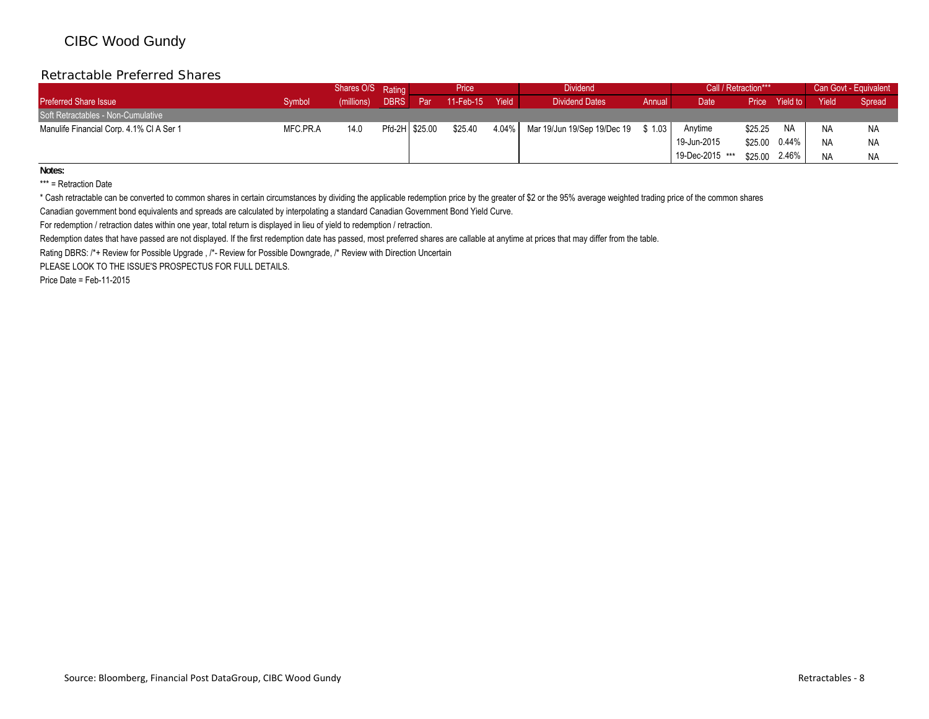#### Retractable Preferred Shares $\mathsf S$

|                                          |          | Shares O/S Rating |                |     | Price        |       | <b>Dividend</b>                   |        | Call / Retraction*** |         |           |       | Can Govt - Equivalent |
|------------------------------------------|----------|-------------------|----------------|-----|--------------|-------|-----------------------------------|--------|----------------------|---------|-----------|-------|-----------------------|
| <b>Preferred Share Issue</b>             | Svmbol   | (millions)        | <b>DBRS</b>    | Par | $11$ -Feb-15 | Yield | <b>Dividend Dates</b>             | Annual | Date                 | Price   | Yield to  | Yield | Spread                |
| Soft Retractables - Non-Cumulative       |          |                   |                |     |              |       |                                   |        |                      |         |           |       |                       |
| Manulife Financial Corp. 4.1% CI A Ser 1 | MFC PR.A | 14.0              | Pfd-2H \$25.00 |     | \$25.40      |       | 4.04% Mar 19/Jun 19/Sep 19/Dec 19 | \$1.03 | Anytime              | \$25.25 | <b>NA</b> | NA    | <b>NA</b>             |
|                                          |          |                   |                |     |              |       |                                   |        | 19-Jun-2015          | \$25.00 | 0.44%     | NA    | <b>NA</b>             |
|                                          |          |                   |                |     |              |       |                                   |        | 19-Dec-2015 ***      | \$25.00 | 2.46%     | NA    | <b>NA</b>             |

**Notes:**

\*\*\* = Retraction Date

\* Cash retractable can be converted to common shares in certain circumstances by dividing the applicable redemption price by the greater of \$2 or the 95% average weighted trading price of the common shares

Canadian government bond equivalents and spreads are calculated by interpolating a standard Canadian Government Bond Yield Curve.

For redemption / retraction dates within one year, total return is displayed in lieu of yield to redemption / retraction.

Redemption dates that have passed are not displayed. If the first redemption date has passed, most preferred shares are callable at anytime at prices that may differ from the table.

Rating DBRS: /\*+ Review for Possible Upgrade , /\*- Review for Possible Downgrade, /\* Review with Direction Uncertain

PLEASE LOOK TO THE ISSUE'S PROSPECTUS FOR FULL DETAILS.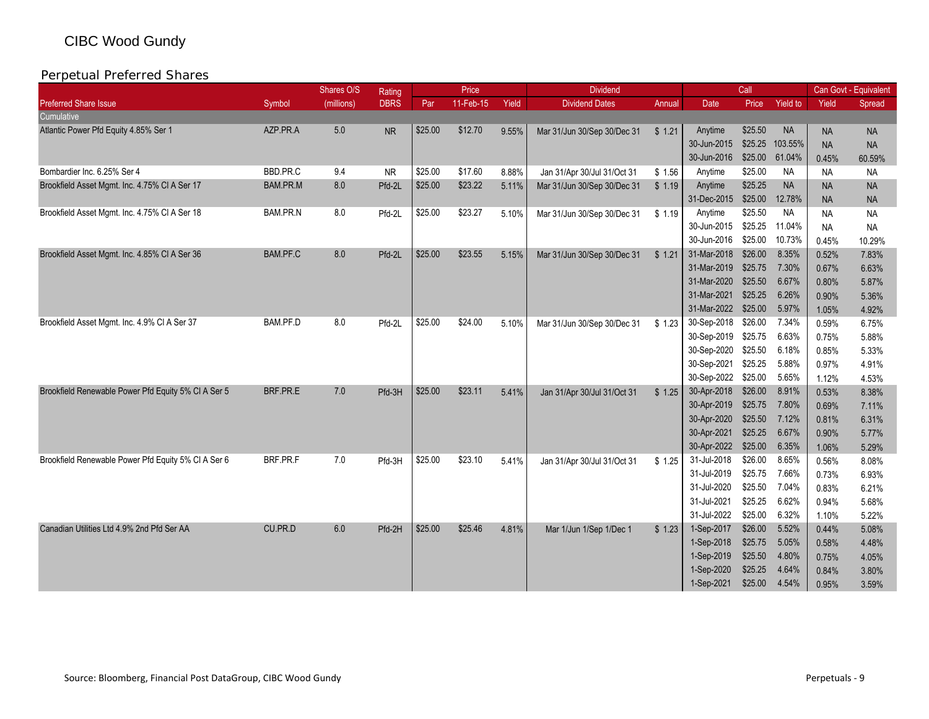|                                                     |                 | Shares O/S | <b>Rating</b> |         | Price     |       | <b>Dividend</b>             |        |                     | Call    |                 |           | Can Govt - Equivalent |
|-----------------------------------------------------|-----------------|------------|---------------|---------|-----------|-------|-----------------------------|--------|---------------------|---------|-----------------|-----------|-----------------------|
| <b>Preferred Share Issue</b>                        | Symbol          | (millions) | <b>DBRS</b>   | Par     | 11-Feb-15 | Yield | <b>Dividend Dates</b>       | Annual | Date                | Price   | <b>Yield to</b> | Yield     | Spread                |
| Cumulative                                          |                 |            |               |         |           |       |                             |        |                     |         |                 |           |                       |
| Atlantic Power Pfd Equity 4.85% Ser 1               | AZP.PR.A        | 5.0        | <b>NR</b>     | \$25.00 | \$12.70   | 9.55% | Mar 31/Jun 30/Sep 30/Dec 31 | \$1.21 | Anytime             | \$25.50 | <b>NA</b>       | <b>NA</b> | <b>NA</b>             |
|                                                     |                 |            |               |         |           |       |                             |        | 30-Jun-2015         | \$25.25 | 103.55%         | <b>NA</b> | <b>NA</b>             |
|                                                     |                 |            |               |         |           |       |                             |        | 30-Jun-2016         | \$25.00 | 61.04%          | 0.45%     | 60.59%                |
| Bombardier Inc. 6.25% Ser 4                         | BBD.PR.C        | 9.4        | NR.           | \$25.00 | \$17.60   | 8.88% | Jan 31/Apr 30/Jul 31/Oct 31 | \$1.56 | Anytime             | \$25.00 | <b>NA</b>       | <b>NA</b> | <b>NA</b>             |
| Brookfield Asset Mgmt. Inc. 4.75% CI A Ser 17       | <b>BAM.PR.M</b> | 8.0        | Pfd-2L        | \$25.00 | \$23.22   | 5.11% | Mar 31/Jun 30/Sep 30/Dec 31 | \$1.19 | Anytime             | \$25.25 | <b>NA</b>       | <b>NA</b> | <b>NA</b>             |
|                                                     |                 |            |               |         |           |       |                             |        | 31-Dec-2015         | \$25.00 | 12.78%          | <b>NA</b> | <b>NA</b>             |
| Brookfield Asset Mgmt. Inc. 4.75% CI A Ser 18       | BAM.PR.N        | 8.0        | Pfd-2L        | \$25.00 | \$23.27   | 5.10% | Mar 31/Jun 30/Sep 30/Dec 31 | \$1.19 | Anytime             | \$25.50 | <b>NA</b>       | <b>NA</b> | <b>NA</b>             |
|                                                     |                 |            |               |         |           |       |                             |        | 30-Jun-2015         | \$25.25 | 11.04%          | <b>NA</b> | <b>NA</b>             |
|                                                     |                 |            |               |         |           |       |                             |        | 30-Jun-2016         | \$25.00 | 10.73%          | 0.45%     | 10.29%                |
| Brookfield Asset Mgmt. Inc. 4.85% CI A Ser 36       | BAM.PF.C        | 8.0        | Pfd-2L        | \$25.00 | \$23.55   | 5.15% | Mar 31/Jun 30/Sep 30/Dec 31 | \$1.21 | 31-Mar-2018         | \$26.00 | 8.35%           | 0.52%     | 7.83%                 |
|                                                     |                 |            |               |         |           |       |                             |        | 31-Mar-2019         | \$25.75 | 7.30%           | 0.67%     | 6.63%                 |
|                                                     |                 |            |               |         |           |       |                             |        | 31-Mar-2020         | \$25.50 | 6.67%           | 0.80%     | 5.87%                 |
|                                                     |                 |            |               |         |           |       |                             |        | 31-Mar-2021         | \$25.25 | 6.26%           | 0.90%     | 5.36%                 |
|                                                     |                 |            |               |         |           |       |                             |        | 31-Mar-2022         | \$25.00 | 5.97%           | 1.05%     | 4.92%                 |
| Brookfield Asset Mgmt. Inc. 4.9% CI A Ser 37        | BAM.PF.D        | 8.0        | Pfd-2L        | \$25.00 | \$24.00   | 5.10% | Mar 31/Jun 30/Sep 30/Dec 31 | \$1.23 | 30-Sep-2018         | \$26.00 | 7.34%           | 0.59%     | 6.75%                 |
|                                                     |                 |            |               |         |           |       |                             |        | 30-Sep-2019         | \$25.75 | 6.63%           | 0.75%     | 5.88%                 |
|                                                     |                 |            |               |         |           |       |                             |        | 30-Sep-2020         | \$25.50 | 6.18%           | 0.85%     | 5.33%                 |
|                                                     |                 |            |               |         |           |       |                             |        | 30-Sep-2021         | \$25.25 | 5.88%           | 0.97%     | 4.91%                 |
|                                                     |                 |            |               |         |           |       |                             |        | 30-Sep-2022 \$25.00 |         | 5.65%           | 1.12%     | 4.53%                 |
| Brookfield Renewable Power Pfd Equity 5% CI A Ser 5 | BRF.PR.E        | 7.0        | Pfd-3H        | \$25.00 | \$23.11   | 5.41% | Jan 31/Apr 30/Jul 31/Oct 31 | \$1.25 | 30-Apr-2018         | \$26.00 | 8.91%           | 0.53%     | 8.38%                 |
|                                                     |                 |            |               |         |           |       |                             |        | 30-Apr-2019         | \$25.75 | 7.80%           | 0.69%     | 7.11%                 |
|                                                     |                 |            |               |         |           |       |                             |        | 30-Apr-2020         | \$25.50 | 7.12%           | 0.81%     | 6.31%                 |
|                                                     |                 |            |               |         |           |       |                             |        | 30-Apr-2021         | \$25.25 | 6.67%           | 0.90%     | 5.77%                 |
|                                                     |                 |            |               |         |           |       |                             |        | 30-Apr-2022         | \$25.00 | 6.35%           | 1.06%     | 5.29%                 |
| Brookfield Renewable Power Pfd Equity 5% CI A Ser 6 | BRF.PR.F        | 7.0        | Pfd-3H        | \$25.00 | \$23.10   | 5.41% | Jan 31/Apr 30/Jul 31/Oct 31 | \$1.25 | 31-Jul-2018         | \$26.00 | 8.65%           | 0.56%     | 8.08%                 |
|                                                     |                 |            |               |         |           |       |                             |        | 31-Jul-2019         | \$25.75 | 7.66%           | 0.73%     | 6.93%                 |
|                                                     |                 |            |               |         |           |       |                             |        | 31-Jul-2020         | \$25.50 | 7.04%           | 0.83%     | 6.21%                 |
|                                                     |                 |            |               |         |           |       |                             |        | 31-Jul-2021         | \$25.25 | 6.62%           | 0.94%     | 5.68%                 |
|                                                     |                 |            |               |         |           |       |                             |        | 31-Jul-2022         | \$25.00 | 6.32%           | 1.10%     | 5.22%                 |
| Canadian Utilities Ltd 4.9% 2nd Pfd Ser AA          | CU.PR.D         | 6.0        | Pfd-2H        | \$25.00 | \$25.46   | 4.81% | Mar 1/Jun 1/Sep 1/Dec 1     | \$1.23 | 1-Sep-2017          | \$26.00 | 5.52%           | 0.44%     | 5.08%                 |
|                                                     |                 |            |               |         |           |       |                             |        | 1-Sep-2018          | \$25.75 | 5.05%           | 0.58%     | 4.48%                 |
|                                                     |                 |            |               |         |           |       |                             |        | 1-Sep-2019          | \$25.50 | 4.80%           | 0.75%     | 4.05%                 |
|                                                     |                 |            |               |         |           |       |                             |        | 1-Sep-2020          | \$25.25 | 4.64%           | 0.84%     | 3.80%                 |
|                                                     |                 |            |               |         |           |       |                             |        | 1-Sep-2021          | \$25.00 | 4.54%           | 0.95%     | 3.59%                 |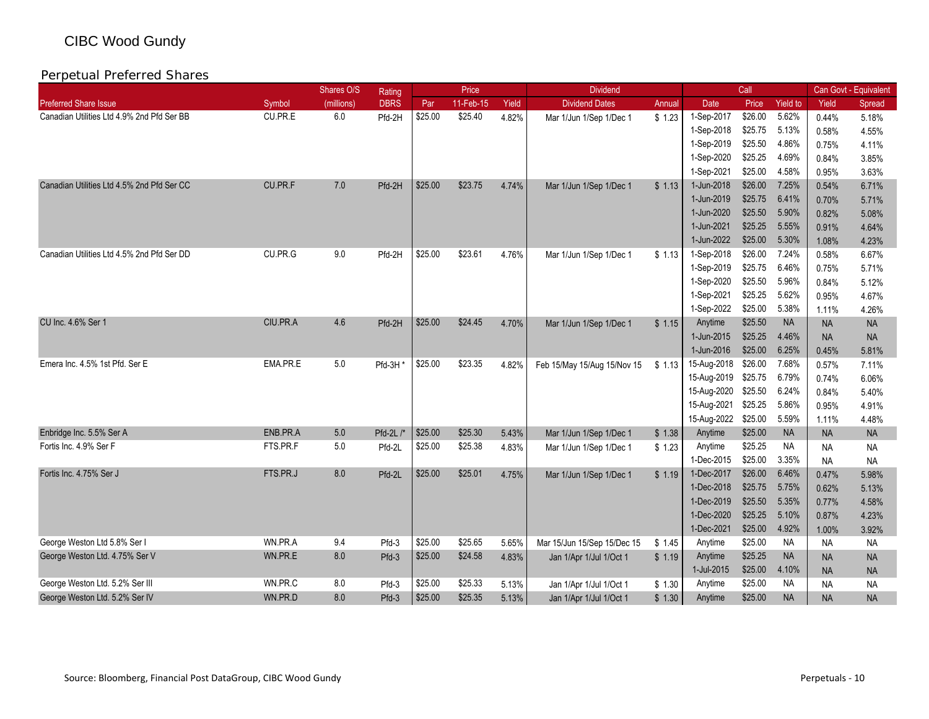|                                            |          | Shares O/S | Rating      |         | Price     |       | <b>Dividend</b>             |        |             | Call    |                 |           | Can Govt - Equivalent |
|--------------------------------------------|----------|------------|-------------|---------|-----------|-------|-----------------------------|--------|-------------|---------|-----------------|-----------|-----------------------|
| <b>Preferred Share Issue</b>               | Symbol   | (millions) | <b>DBRS</b> | Par     | 11-Feb-15 | Yield | <b>Dividend Dates</b>       | Annual | Date        | Price   | <b>Yield to</b> | Yield     | Spread                |
| Canadian Utilities Ltd 4.9% 2nd Pfd Ser BB | CU.PR.E  | 6.0        | Pfd-2H      | \$25.00 | \$25.40   | 4.82% | Mar 1/Jun 1/Sep 1/Dec 1     | \$1.23 | 1-Sep-2017  | \$26.00 | 5.62%           | 0.44%     | 5.18%                 |
|                                            |          |            |             |         |           |       |                             |        | 1-Sep-2018  | \$25.75 | 5.13%           | 0.58%     | 4.55%                 |
|                                            |          |            |             |         |           |       |                             |        | 1-Sep-2019  | \$25.50 | 4.86%           | 0.75%     | 4.11%                 |
|                                            |          |            |             |         |           |       |                             |        | 1-Sep-2020  | \$25.25 | 4.69%           | 0.84%     | 3.85%                 |
|                                            |          |            |             |         |           |       |                             |        | 1-Sep-2021  | \$25.00 | 4.58%           | 0.95%     | 3.63%                 |
| Canadian Utilities Ltd 4.5% 2nd Pfd Ser CC | CU.PR.F  | 7.0        | Pfd-2H      | \$25.00 | \$23.75   | 4.74% | Mar 1/Jun 1/Sep 1/Dec 1     | \$1.13 | 1-Jun-2018  | \$26.00 | 7.25%           | 0.54%     | 6.71%                 |
|                                            |          |            |             |         |           |       |                             |        | 1-Jun-2019  | \$25.75 | 6.41%           | 0.70%     | 5.71%                 |
|                                            |          |            |             |         |           |       |                             |        | 1-Jun-2020  | \$25.50 | 5.90%           | 0.82%     | 5.08%                 |
|                                            |          |            |             |         |           |       |                             |        | 1-Jun-2021  | \$25.25 | 5.55%           | 0.91%     | 4.64%                 |
|                                            |          |            |             |         |           |       |                             |        | 1-Jun-2022  | \$25.00 | 5.30%           | 1.08%     | 4.23%                 |
| Canadian Utilities Ltd 4.5% 2nd Pfd Ser DD | CU.PR.G  | 9.0        | Pfd-2H      | \$25.00 | \$23.61   | 4.76% | Mar 1/Jun 1/Sep 1/Dec 1     | \$1.13 | 1-Sep-2018  | \$26.00 | 7.24%           | 0.58%     | 6.67%                 |
|                                            |          |            |             |         |           |       |                             |        | 1-Sep-2019  | \$25.75 | 6.46%           | 0.75%     | 5.71%                 |
|                                            |          |            |             |         |           |       |                             |        | 1-Sep-2020  | \$25.50 | 5.96%           | 0.84%     | 5.12%                 |
|                                            |          |            |             |         |           |       |                             |        | 1-Sep-2021  | \$25.25 | 5.62%           | 0.95%     | 4.67%                 |
|                                            |          |            |             |         |           |       |                             |        | 1-Sep-2022  | \$25.00 | 5.38%           | 1.11%     | 4.26%                 |
| CU Inc. 4.6% Ser 1                         | CIU.PR.A | 4.6        | Pfd-2H      | \$25.00 | \$24.45   | 4.70% | Mar 1/Jun 1/Sep 1/Dec 1     | \$1.15 | Anytime     | \$25.50 | <b>NA</b>       | <b>NA</b> | <b>NA</b>             |
|                                            |          |            |             |         |           |       |                             |        | 1-Jun-2015  | \$25.25 | 4.46%           | <b>NA</b> | <b>NA</b>             |
|                                            |          |            |             |         |           |       |                             |        | 1-Jun-2016  | \$25.00 | 6.25%           | 0.45%     | 5.81%                 |
| Emera Inc. 4.5% 1st Pfd. Ser E             | EMA.PR.E | 5.0        | Pfd-3H      | \$25.00 | \$23.35   | 4.82% | Feb 15/May 15/Aug 15/Nov 15 | \$1.13 | 15-Aug-2018 | \$26.00 | 7.68%           | 0.57%     | 7.11%                 |
|                                            |          |            |             |         |           |       |                             |        | 15-Aug-2019 | \$25.75 | 6.79%           | 0.74%     | 6.06%                 |
|                                            |          |            |             |         |           |       |                             |        | 15-Aug-2020 | \$25.50 | 6.24%           | 0.84%     | 5.40%                 |
|                                            |          |            |             |         |           |       |                             |        | 15-Aug-2021 | \$25.25 | 5.86%           | 0.95%     | 4.91%                 |
|                                            |          |            |             |         |           |       |                             |        | 15-Aug-2022 | \$25.00 | 5.59%           | 1.11%     | 4.48%                 |
| Enbridge Inc. 5.5% Ser A                   | ENB.PR.A | 5.0        | $Pfd-2L$ /* | \$25.00 | \$25.30   | 5.43% | Mar 1/Jun 1/Sep 1/Dec 1     | \$1.38 | Anytime     | \$25.00 | <b>NA</b>       | <b>NA</b> | <b>NA</b>             |
| Fortis Inc. 4.9% Ser F                     | FTS.PR.F | 5.0        | Pfd-2L      | \$25.00 | \$25.38   | 4.83% | Mar 1/Jun 1/Sep 1/Dec 1     | \$1.23 | Anytime     | \$25.25 | <b>NA</b>       | <b>NA</b> | <b>NA</b>             |
|                                            |          |            |             |         |           |       |                             |        | 1-Dec-2015  | \$25.00 | 3.35%           | <b>NA</b> | <b>NA</b>             |
| Fortis Inc. 4.75% Ser J                    | FTS.PR.J | 8.0        | Pfd-2L      | \$25.00 | \$25.01   | 4.75% | Mar 1/Jun 1/Sep 1/Dec 1     | \$1.19 | 1-Dec-2017  | \$26.00 | 6.46%           | 0.47%     | 5.98%                 |
|                                            |          |            |             |         |           |       |                             |        | 1-Dec-2018  | \$25.75 | 5.75%           | 0.62%     | 5.13%                 |
|                                            |          |            |             |         |           |       |                             |        | 1-Dec-2019  | \$25.50 | 5.35%           | 0.77%     | 4.58%                 |
|                                            |          |            |             |         |           |       |                             |        | 1-Dec-2020  | \$25.25 | 5.10%           | 0.87%     | 4.23%                 |
|                                            |          |            |             |         |           |       |                             |        | 1-Dec-2021  | \$25.00 | 4.92%           | 1.00%     | 3.92%                 |
| George Weston Ltd 5.8% Ser I               | WN.PR.A  | 9.4        | Pfd-3       | \$25.00 | \$25.65   | 5.65% | Mar 15/Jun 15/Sep 15/Dec 15 | \$1.45 | Anytime     | \$25.00 | <b>NA</b>       | <b>NA</b> | <b>NA</b>             |
| George Weston Ltd. 4.75% Ser V             | WN.PR.E  | 8.0        | Pfd-3       | \$25.00 | \$24.58   | 4.83% | Jan 1/Apr 1/Jul 1/Oct 1     | \$1.19 | Anytime     | \$25.25 | <b>NA</b>       | <b>NA</b> | <b>NA</b>             |
|                                            |          |            |             |         |           |       |                             |        | 1-Jul-2015  | \$25.00 | 4.10%           | <b>NA</b> | <b>NA</b>             |
| George Weston Ltd. 5.2% Ser III            | WN.PR.C  | 8.0        | Pfd-3       | \$25.00 | \$25.33   | 5.13% | Jan 1/Apr 1/Jul 1/Oct 1     | \$1.30 | Anytime     | \$25.00 | <b>NA</b>       | <b>NA</b> | <b>NA</b>             |
| George Weston Ltd. 5.2% Ser IV             | WN.PR.D  | 8.0        | Pfd-3       | \$25.00 | \$25.35   | 5.13% | Jan 1/Apr 1/Jul 1/Oct 1     | \$1.30 | Anytime     | \$25.00 | <b>NA</b>       | <b>NA</b> | <b>NA</b>             |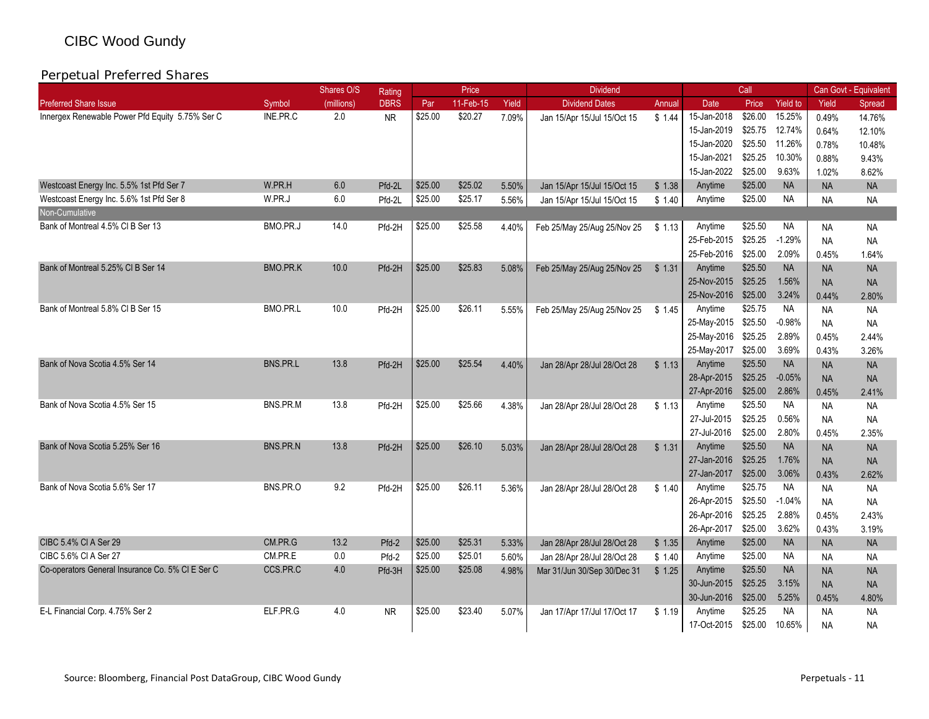|                                                  |                 | Shares O/S | Rating      |         | Price     |       | <b>Dividend</b>             |        |             | Call    |                 |           | Can Govt - Equivalent |
|--------------------------------------------------|-----------------|------------|-------------|---------|-----------|-------|-----------------------------|--------|-------------|---------|-----------------|-----------|-----------------------|
| <b>Preferred Share Issue</b>                     | Symbol          | (millions) | <b>DBRS</b> | Par     | 11-Feb-15 | Yield | <b>Dividend Dates</b>       | Annual | <b>Date</b> | Price   | <b>Yield to</b> | Yield     | Spread                |
| Innergex Renewable Power Pfd Equity 5.75% Ser C  | INE.PR.C        | 2.0        | <b>NR</b>   | \$25.00 | \$20.27   | 7.09% | Jan 15/Apr 15/Jul 15/Oct 15 | \$1.44 | 15-Jan-2018 | \$26.00 | 15.25%          | 0.49%     | 14.76%                |
|                                                  |                 |            |             |         |           |       |                             |        | 15-Jan-2019 | \$25.75 | 12.74%          | 0.64%     | 12.10%                |
|                                                  |                 |            |             |         |           |       |                             |        | 15-Jan-2020 | \$25.50 | 11.26%          | 0.78%     | 10.48%                |
|                                                  |                 |            |             |         |           |       |                             |        | 15-Jan-2021 | \$25.25 | 10.30%          | 0.88%     | 9.43%                 |
|                                                  |                 |            |             |         |           |       |                             |        | 15-Jan-2022 | \$25.00 | 9.63%           | 1.02%     | 8.62%                 |
| Westcoast Energy Inc. 5.5% 1st Pfd Ser 7         | W.PR.H          | 6.0        | Pfd-2L      | \$25.00 | \$25.02   | 5.50% | Jan 15/Apr 15/Jul 15/Oct 15 | \$1.38 | Anytime     | \$25.00 | <b>NA</b>       | <b>NA</b> | <b>NA</b>             |
| Westcoast Energy Inc. 5.6% 1st Pfd Ser 8         | W.PR.J          | 6.0        | Pfd-2L      | \$25.00 | \$25.17   | 5.56% | Jan 15/Apr 15/Jul 15/Oct 15 | \$1.40 | Anytime     | \$25.00 | <b>NA</b>       | <b>NA</b> | <b>NA</b>             |
| Non-Cumulative                                   |                 |            |             |         |           |       |                             |        |             |         |                 |           |                       |
| Bank of Montreal 4.5% CI B Ser 13                | BMO.PR.J        | 14.0       | Pfd-2H      | \$25.00 | \$25.58   | 4.40% | Feb 25/May 25/Aug 25/Nov 25 | \$1.13 | Anytime     | \$25.50 | <b>NA</b>       | <b>NA</b> | <b>NA</b>             |
|                                                  |                 |            |             |         |           |       |                             |        | 25-Feb-2015 | \$25.25 | $-1.29%$        | <b>NA</b> | <b>NA</b>             |
|                                                  |                 |            |             |         |           |       |                             |        | 25-Feb-2016 | \$25.00 | 2.09%           | 0.45%     | 1.64%                 |
| Bank of Montreal 5.25% CI B Ser 14               | <b>BMO.PR.K</b> | 10.0       | Pfd-2H      | \$25.00 | \$25.83   | 5.08% | Feb 25/May 25/Aug 25/Nov 25 | \$1.31 | Anytime     | \$25.50 | <b>NA</b>       | <b>NA</b> | <b>NA</b>             |
|                                                  |                 |            |             |         |           |       |                             |        | 25-Nov-2015 | \$25.25 | 1.56%           | <b>NA</b> | <b>NA</b>             |
|                                                  |                 |            |             |         |           |       |                             |        | 25-Nov-2016 | \$25.00 | 3.24%           | 0.44%     | 2.80%                 |
| Bank of Montreal 5.8% CI B Ser 15                | BMO.PR.L        | 10.0       | Pfd-2H      | \$25.00 | \$26.11   | 5.55% | Feb 25/May 25/Aug 25/Nov 25 | \$1.45 | Anytime     | \$25.75 | <b>NA</b>       | <b>NA</b> | <b>NA</b>             |
|                                                  |                 |            |             |         |           |       |                             |        | 25-May-2015 | \$25.50 | $-0.98%$        | <b>NA</b> | <b>NA</b>             |
|                                                  |                 |            |             |         |           |       |                             |        | 25-May-2016 | \$25.25 | 2.89%           | 0.45%     | 2.44%                 |
|                                                  |                 |            |             |         |           |       |                             |        | 25-May-2017 | \$25.00 | 3.69%           | 0.43%     | 3.26%                 |
| Bank of Nova Scotia 4.5% Ser 14                  | BNS.PR.L        | 13.8       | Pfd-2H      | \$25.00 | \$25.54   | 4.40% | Jan 28/Apr 28/Jul 28/Oct 28 | \$1.13 | Anytime     | \$25.50 | <b>NA</b>       | <b>NA</b> | <b>NA</b>             |
|                                                  |                 |            |             |         |           |       |                             |        | 28-Apr-2015 | \$25.25 | $-0.05%$        | <b>NA</b> | <b>NA</b>             |
|                                                  |                 |            |             |         |           |       |                             |        | 27-Apr-2016 | \$25.00 | 2.86%           | 0.45%     | 2.41%                 |
| Bank of Nova Scotia 4.5% Ser 15                  | BNS.PR.M        | 13.8       | Pfd-2H      | \$25.00 | \$25.66   | 4.38% | Jan 28/Apr 28/Jul 28/Oct 28 | \$1.13 | Anytime     | \$25.50 | <b>NA</b>       | <b>NA</b> | <b>NA</b>             |
|                                                  |                 |            |             |         |           |       |                             |        | 27-Jul-2015 | \$25.25 | 0.56%           | <b>NA</b> | <b>NA</b>             |
|                                                  |                 |            |             |         |           |       |                             |        | 27-Jul-2016 | \$25.00 | 2.80%           | 0.45%     | 2.35%                 |
| Bank of Nova Scotia 5.25% Ser 16                 | <b>BNS.PR.N</b> | 13.8       | Pfd-2H      | \$25.00 | \$26.10   | 5.03% | Jan 28/Apr 28/Jul 28/Oct 28 | \$1.31 | Anytime     | \$25.50 | <b>NA</b>       | <b>NA</b> | <b>NA</b>             |
|                                                  |                 |            |             |         |           |       |                             |        | 27-Jan-2016 | \$25.25 | 1.76%           | <b>NA</b> | <b>NA</b>             |
|                                                  |                 |            |             |         |           |       |                             |        | 27-Jan-2017 | \$25.00 | 3.06%           | 0.43%     | 2.62%                 |
| Bank of Nova Scotia 5.6% Ser 17                  | BNS.PR.O        | 9.2        | Pfd-2H      | \$25.00 | \$26.11   | 5.36% | Jan 28/Apr 28/Jul 28/Oct 28 | \$1.40 | Anytime     | \$25.75 | <b>NA</b>       | <b>NA</b> | <b>NA</b>             |
|                                                  |                 |            |             |         |           |       |                             |        | 26-Apr-2015 | \$25.50 | $-1.04%$        | <b>NA</b> | <b>NA</b>             |
|                                                  |                 |            |             |         |           |       |                             |        | 26-Apr-2016 | \$25.25 | 2.88%           | 0.45%     | 2.43%                 |
|                                                  |                 |            |             |         |           |       |                             |        | 26-Apr-2017 | \$25.00 | 3.62%           | 0.43%     | 3.19%                 |
| CIBC 5.4% CI A Ser 29                            | CM.PR.G         | 13.2       | Pfd-2       | \$25.00 | \$25.31   | 5.33% | Jan 28/Apr 28/Jul 28/Oct 28 | \$1.35 | Anytime     | \$25.00 | <b>NA</b>       | <b>NA</b> | <b>NA</b>             |
| CIBC 5.6% CI A Ser 27                            | CM.PR.E         | 0.0        | Pfd-2       | \$25.00 | \$25.01   | 5.60% | Jan 28/Apr 28/Jul 28/Oct 28 | \$1.40 | Anytime     | \$25.00 | <b>NA</b>       | <b>NA</b> | <b>NA</b>             |
| Co-operators General Insurance Co. 5% CI E Ser C | CCS.PR.C        | 4.0        | Pfd-3H      | \$25.00 | \$25.08   | 4.98% | Mar 31/Jun 30/Sep 30/Dec 31 | \$1.25 | Anytime     | \$25.50 | <b>NA</b>       | <b>NA</b> | <b>NA</b>             |
|                                                  |                 |            |             |         |           |       |                             |        | 30-Jun-2015 | \$25.25 | 3.15%           | <b>NA</b> | <b>NA</b>             |
|                                                  |                 |            |             |         |           |       |                             |        | 30-Jun-2016 | \$25.00 | 5.25%           | 0.45%     | 4.80%                 |
| E-L Financial Corp. 4.75% Ser 2                  | ELF PR.G        | 4.0        | <b>NR</b>   | \$25.00 | \$23.40   | 5.07% | Jan 17/Apr 17/Jul 17/Oct 17 | \$1.19 | Anvtime     | \$25.25 | <b>NA</b>       | <b>NA</b> | <b>NA</b>             |
|                                                  |                 |            |             |         |           |       |                             |        | 17-Oct-2015 | \$25.00 | 10.65%          | <b>NA</b> | <b>NA</b>             |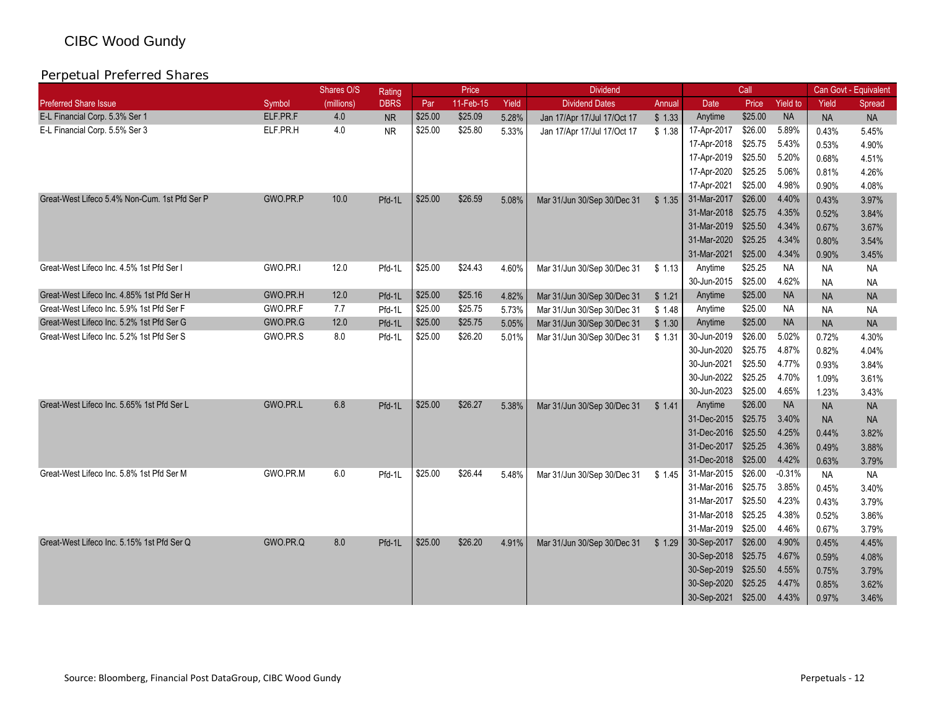|                                               |          | Shares O/S | Rating      |         | Price     |       | <b>Dividend</b>             |        |                     | Call    |                 |           | Can Govt - Equivalent |
|-----------------------------------------------|----------|------------|-------------|---------|-----------|-------|-----------------------------|--------|---------------------|---------|-----------------|-----------|-----------------------|
| <b>Preferred Share Issue</b>                  | Symbol   | (millions) | <b>DBRS</b> | Par     | 11-Feb-15 | Yield | <b>Dividend Dates</b>       | Annual | Date                | Price   | <b>Yield to</b> | Yield     | Spread                |
| E-L Financial Corp. 5.3% Ser 1                | ELF.PR.F | 4.0        | <b>NR</b>   | \$25.00 | \$25.09   | 5.28% | Jan 17/Apr 17/Jul 17/Oct 17 | \$1.33 | Anytime             | \$25.00 | <b>NA</b>       | <b>NA</b> | <b>NA</b>             |
| E-L Financial Corp. 5.5% Ser 3                | ELF.PR.H | 4.0        | <b>NR</b>   | \$25.00 | \$25.80   | 5.33% | Jan 17/Apr 17/Jul 17/Oct 17 | \$1.38 | 17-Apr-2017         | \$26.00 | 5.89%           | 0.43%     | 5.45%                 |
|                                               |          |            |             |         |           |       |                             |        | 17-Apr-2018         | \$25.75 | 5.43%           | 0.53%     | 4.90%                 |
|                                               |          |            |             |         |           |       |                             |        | 17-Apr-2019         | \$25.50 | 5.20%           | 0.68%     | 4.51%                 |
|                                               |          |            |             |         |           |       |                             |        | 17-Apr-2020         | \$25.25 | 5.06%           | 0.81%     | 4.26%                 |
|                                               |          |            |             |         |           |       |                             |        | 17-Apr-2021         | \$25.00 | 4.98%           | 0.90%     | 4.08%                 |
| Great-West Lifeco 5.4% Non-Cum. 1st Pfd Ser P | GWO.PR.P | 10.0       | Pfd-1L      | \$25.00 | \$26.59   | 5.08% | Mar 31/Jun 30/Sep 30/Dec 31 | \$1.35 | 31-Mar-2017         | \$26.00 | 4.40%           | 0.43%     | 3.97%                 |
|                                               |          |            |             |         |           |       |                             |        | 31-Mar-2018         | \$25.75 | 4.35%           | 0.52%     | 3.84%                 |
|                                               |          |            |             |         |           |       |                             |        | 31-Mar-2019         | \$25.50 | 4.34%           | 0.67%     | 3.67%                 |
|                                               |          |            |             |         |           |       |                             |        | 31-Mar-2020         | \$25.25 | 4.34%           | 0.80%     | 3.54%                 |
|                                               |          |            |             |         |           |       |                             |        | 31-Mar-2021         | \$25.00 | 4.34%           | 0.90%     | 3.45%                 |
| Great-West Lifeco Inc. 4.5% 1st Pfd Ser I     | GWO.PR.I | 12.0       | Pfd-1L      | \$25.00 | \$24.43   | 4.60% | Mar 31/Jun 30/Sep 30/Dec 31 | \$1.13 | Anytime             | \$25.25 | <b>NA</b>       | <b>NA</b> | <b>NA</b>             |
|                                               |          |            |             |         |           |       |                             |        | 30-Jun-2015         | \$25.00 | 4.62%           | <b>NA</b> | <b>NA</b>             |
| Great-West Lifeco Inc. 4.85% 1st Pfd Ser H    | GWO.PR.H | 12.0       | Pfd-1L      | \$25.00 | \$25.16   | 4.82% | Mar 31/Jun 30/Sep 30/Dec 31 | \$1.21 | Anytime             | \$25.00 | <b>NA</b>       | <b>NA</b> | <b>NA</b>             |
| Great-West Lifeco Inc. 5.9% 1st Pfd Ser F     | GWO.PR.F | 7.7        | Pfd-1L      | \$25.00 | \$25.75   | 5.73% | Mar 31/Jun 30/Sep 30/Dec 31 | \$1.48 | Anytime             | \$25.00 | <b>NA</b>       | <b>NA</b> | <b>NA</b>             |
| Great-West Lifeco Inc. 5.2% 1st Pfd Ser G     | GWO.PR.G | 12.0       | Pfd-1L      | \$25.00 | \$25.75   | 5.05% | Mar 31/Jun 30/Sep 30/Dec 31 | \$1.30 | Anytime             | \$25.00 | <b>NA</b>       | <b>NA</b> | <b>NA</b>             |
| Great-West Lifeco Inc. 5.2% 1st Pfd Ser S     | GWO.PR.S | 8.0        | Pfd-1L      | \$25.00 | \$26.20   | 5.01% | Mar 31/Jun 30/Sep 30/Dec 31 | \$1.31 | 30-Jun-2019         | \$26.00 | 5.02%           | 0.72%     | 4.30%                 |
|                                               |          |            |             |         |           |       |                             |        | 30-Jun-2020         | \$25.75 | 4.87%           | 0.82%     | 4.04%                 |
|                                               |          |            |             |         |           |       |                             |        | 30-Jun-2021         | \$25.50 | 4.77%           | 0.93%     | 3.84%                 |
|                                               |          |            |             |         |           |       |                             |        | 30-Jun-2022         | \$25.25 | 4.70%           | 1.09%     | 3.61%                 |
|                                               |          |            |             |         |           |       |                             |        | 30-Jun-2023         | \$25.00 | 4.65%           | 1.23%     | 3.43%                 |
| Great-West Lifeco Inc. 5.65% 1st Pfd Ser L    | GWO.PR.L | 6.8        | Pfd-1L      | \$25.00 | \$26.27   | 5.38% | Mar 31/Jun 30/Sep 30/Dec 31 | \$1.41 | Anytime             | \$26.00 | <b>NA</b>       | <b>NA</b> | <b>NA</b>             |
|                                               |          |            |             |         |           |       |                             |        | 31-Dec-2015         | \$25.75 | 3.40%           | <b>NA</b> | <b>NA</b>             |
|                                               |          |            |             |         |           |       |                             |        | 31-Dec-2016         | \$25.50 | 4.25%           | 0.44%     | 3.82%                 |
|                                               |          |            |             |         |           |       |                             |        | 31-Dec-2017         | \$25.25 | 4.36%           | 0.49%     | 3.88%                 |
|                                               |          |            |             |         |           |       |                             |        | 31-Dec-2018         | \$25.00 | 4.42%           | 0.63%     | 3.79%                 |
| Great-West Lifeco Inc. 5.8% 1st Pfd Ser M     | GWO.PR.M | 6.0        | Pfd-1L      | \$25.00 | \$26.44   | 5.48% | Mar 31/Jun 30/Sep 30/Dec 31 | \$1.45 | 31-Mar-2015         | \$26.00 | $-0.31%$        | <b>NA</b> | NA.                   |
|                                               |          |            |             |         |           |       |                             |        | 31-Mar-2016 \$25.75 |         | 3.85%           | 0.45%     | 3.40%                 |
|                                               |          |            |             |         |           |       |                             |        | 31-Mar-2017         | \$25.50 | 4.23%           | 0.43%     | 3.79%                 |
|                                               |          |            |             |         |           |       |                             |        | 31-Mar-2018         | \$25.25 | 4.38%           | 0.52%     | 3.86%                 |
|                                               |          |            |             |         |           |       |                             |        | 31-Mar-2019         | \$25.00 | 4.46%           | 0.67%     | 3.79%                 |
| Great-West Lifeco Inc. 5.15% 1st Pfd Ser Q    | GWO.PR.Q | 8.0        | Pfd-1L      | \$25.00 | \$26.20   | 4.91% | Mar 31/Jun 30/Sep 30/Dec 31 | \$1.29 | 30-Sep-2017         | \$26.00 | 4.90%           | 0.45%     | 4.45%                 |
|                                               |          |            |             |         |           |       |                             |        | 30-Sep-2018         | \$25.75 | 4.67%           | 0.59%     | 4.08%                 |
|                                               |          |            |             |         |           |       |                             |        | 30-Sep-2019         | \$25.50 | 4.55%           | 0.75%     | 3.79%                 |
|                                               |          |            |             |         |           |       |                             |        | 30-Sep-2020         | \$25.25 | 4.47%           | 0.85%     | 3.62%                 |
|                                               |          |            |             |         |           |       |                             |        | 30-Sep-2021         | \$25.00 | 4.43%           | 0.97%     | 3.46%                 |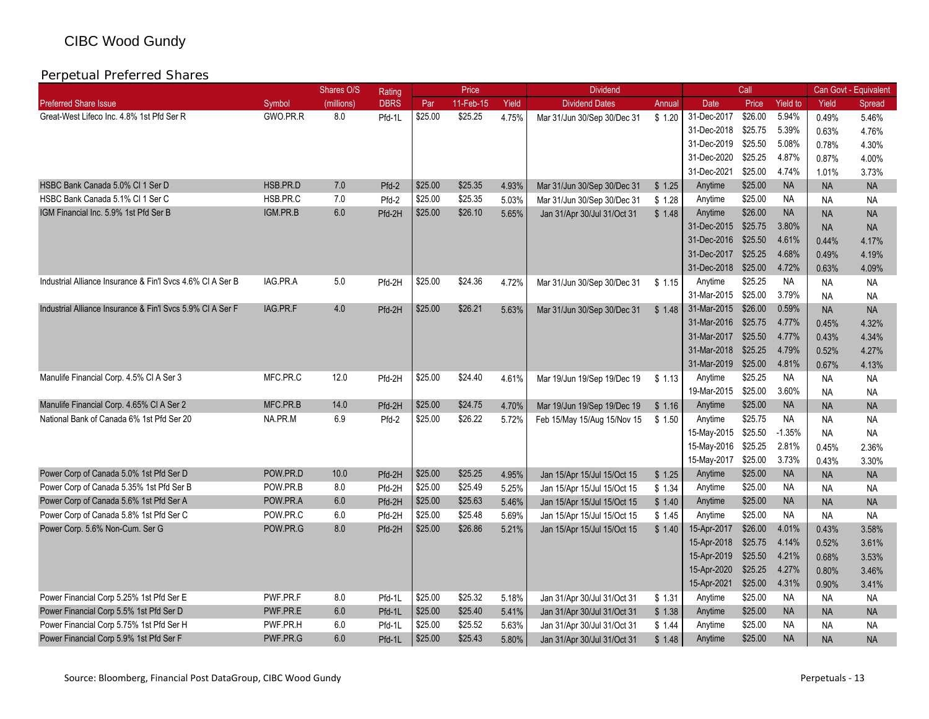|                                                            |          | Shares O/S | Rating      |         | Price     |       | <b>Dividend</b>             |        |             | Call    |                 |           | Can Govt - Equivalent |
|------------------------------------------------------------|----------|------------|-------------|---------|-----------|-------|-----------------------------|--------|-------------|---------|-----------------|-----------|-----------------------|
| <b>Preferred Share Issue</b>                               | Symbol   | (millions) | <b>DBRS</b> | Par     | 11-Feb-15 | Yield | <b>Dividend Dates</b>       | Annual | <b>Date</b> | Price   | <b>Yield to</b> | Yield     | Spread                |
| Great-West Lifeco Inc. 4.8% 1st Pfd Ser R                  | GWO.PR.R | 8.0        | Pfd-1L      | \$25.00 | \$25.25   | 4.75% | Mar 31/Jun 30/Sep 30/Dec 31 | \$1.20 | 31-Dec-2017 | \$26.00 | 5.94%           | 0.49%     | 5.46%                 |
|                                                            |          |            |             |         |           |       |                             |        | 31-Dec-2018 | \$25.75 | 5.39%           | 0.63%     | 4.76%                 |
|                                                            |          |            |             |         |           |       |                             |        | 31-Dec-2019 | \$25.50 | 5.08%           | 0.78%     | 4.30%                 |
|                                                            |          |            |             |         |           |       |                             |        | 31-Dec-2020 | \$25.25 | 4.87%           | 0.87%     | 4.00%                 |
|                                                            |          |            |             |         |           |       |                             |        | 31-Dec-2021 | \$25.00 | 4.74%           | 1.01%     | 3.73%                 |
| HSBC Bank Canada 5.0% Cl 1 Ser D                           | HSB.PR.D | 7.0        | Pfd-2       | \$25.00 | \$25.35   | 4.93% | Mar 31/Jun 30/Sep 30/Dec 31 | \$1.25 | Anytime     | \$25.00 | <b>NA</b>       | <b>NA</b> | <b>NA</b>             |
| HSBC Bank Canada 5.1% Cl 1 Ser C                           | HSB.PR.C | 7.0        | Pfd-2       | \$25.00 | \$25.35   | 5.03% | Mar 31/Jun 30/Sep 30/Dec 31 | \$1.28 | Anytime     | \$25.00 | NA              | <b>NA</b> | <b>NA</b>             |
| IGM Financial Inc. 5.9% 1st Pfd Ser B                      | IGM.PR.B | 6.0        | Pfd-2H      | \$25.00 | \$26.10   | 5.65% | Jan 31/Apr 30/Jul 31/Oct 31 | \$1.48 | Anytime     | \$26.00 | <b>NA</b>       | <b>NA</b> | <b>NA</b>             |
|                                                            |          |            |             |         |           |       |                             |        | 31-Dec-2015 | \$25.75 | 3.80%           | <b>NA</b> | <b>NA</b>             |
|                                                            |          |            |             |         |           |       |                             |        | 31-Dec-2016 | \$25.50 | 4.61%           | 0.44%     | 4.17%                 |
|                                                            |          |            |             |         |           |       |                             |        | 31-Dec-2017 | \$25.25 | 4.68%           | 0.49%     | 4.19%                 |
|                                                            |          |            |             |         |           |       |                             |        | 31-Dec-2018 | \$25.00 | 4.72%           | 0.63%     | 4.09%                 |
| Industrial Alliance Insurance & Fin'l Svcs 4.6% CI A Ser B | IAG.PR.A | $5.0\,$    | Pfd-2H      | \$25.00 | \$24.36   | 4.72% | Mar 31/Jun 30/Sep 30/Dec 31 | \$1.15 | Anytime     | \$25.25 | <b>NA</b>       | <b>NA</b> | <b>NA</b>             |
|                                                            |          |            |             |         |           |       |                             |        | 31-Mar-2015 | \$25.00 | 3.79%           | <b>NA</b> | <b>NA</b>             |
| Industrial Alliance Insurance & Fin'l Svcs 5.9% CI A Ser F | IAG.PR.F | $4.0\,$    | Pfd-2H      | \$25.00 | \$26.21   | 5.63% | Mar 31/Jun 30/Sep 30/Dec 31 | \$1.48 | 31-Mar-2015 | \$26.00 | 0.59%           | <b>NA</b> | <b>NA</b>             |
|                                                            |          |            |             |         |           |       |                             |        | 31-Mar-2016 | \$25.75 | 4.77%           | 0.45%     | 4.32%                 |
|                                                            |          |            |             |         |           |       |                             |        | 31-Mar-2017 | \$25.50 | 4.77%           | 0.43%     | 4.34%                 |
|                                                            |          |            |             |         |           |       |                             |        | 31-Mar-2018 | \$25.25 | 4.79%           | 0.52%     | 4.27%                 |
|                                                            |          |            |             |         |           |       |                             |        | 31-Mar-2019 | \$25.00 | 4.81%           | 0.67%     | 4.13%                 |
| Manulife Financial Corp. 4.5% CI A Ser 3                   | MFC.PR.C | 12.0       | Pfd-2H      | \$25.00 | \$24.40   | 4.61% | Mar 19/Jun 19/Sep 19/Dec 19 | \$1.13 | Anytime     | \$25.25 | <b>NA</b>       | <b>NA</b> | NA                    |
|                                                            |          |            |             |         |           |       |                             |        | 19-Mar-2015 | \$25.00 | 3.60%           | <b>NA</b> | <b>NA</b>             |
| Manulife Financial Corp. 4.65% CI A Ser 2                  | MFC.PR.B | 14.0       | Pfd-2H      | \$25.00 | \$24.75   | 4.70% | Mar 19/Jun 19/Sep 19/Dec 19 | \$1.16 | Anytime     | \$25.00 | <b>NA</b>       | <b>NA</b> | <b>NA</b>             |
| National Bank of Canada 6% 1st Pfd Ser 20                  | NA.PR.M  | 6.9        | Pfd-2       | \$25.00 | \$26.22   | 5.72% | Feb 15/May 15/Aug 15/Nov 15 | \$1.50 | Anytime     | \$25.75 | <b>NA</b>       | <b>NA</b> | <b>NA</b>             |
|                                                            |          |            |             |         |           |       |                             |        | 15-May-2015 | \$25.50 | $-1.35%$        | <b>NA</b> | <b>NA</b>             |
|                                                            |          |            |             |         |           |       |                             |        | 15-May-2016 | \$25.25 | 2.81%           | 0.45%     | 2.36%                 |
|                                                            |          |            |             |         |           |       |                             |        | 15-May-2017 | \$25.00 | 3.73%           | 0.43%     | 3.30%                 |
| Power Corp of Canada 5.0% 1st Pfd Ser D                    | POW.PR.D | 10.0       | Pfd-2H      | \$25.00 | \$25.25   | 4.95% | Jan 15/Apr 15/Jul 15/Oct 15 | \$1.25 | Anytime     | \$25.00 | <b>NA</b>       | <b>NA</b> | <b>NA</b>             |
| Power Corp of Canada 5.35% 1st Pfd Ser B                   | POW.PR.B | 8.0        | Pfd-2H      | \$25.00 | \$25.49   | 5.25% | Jan 15/Apr 15/Jul 15/Oct 15 | \$1.34 | Anytime     | \$25.00 | <b>NA</b>       | <b>NA</b> | <b>NA</b>             |
| Power Corp of Canada 5.6% 1st Pfd Ser A                    | POW.PR.A | 6.0        | Pfd-2H      | \$25.00 | \$25.63   | 5.46% | Jan 15/Apr 15/Jul 15/Oct 15 | \$1.40 | Anytime     | \$25.00 | <b>NA</b>       | <b>NA</b> | <b>NA</b>             |
| Power Corp of Canada 5.8% 1st Pfd Ser C                    | POW.PR.C | 6.0        | Pfd-2H      | \$25.00 | \$25.48   | 5.69% | Jan 15/Apr 15/Jul 15/Oct 15 | \$1.45 | Anytime     | \$25.00 | <b>NA</b>       | <b>NA</b> | <b>NA</b>             |
| Power Corp. 5.6% Non-Cum. Ser G                            | POW.PR.G | 8.0        | Pfd-2H      | \$25.00 | \$26.86   | 5.21% | Jan 15/Apr 15/Jul 15/Oct 15 | \$1.40 | 15-Apr-2017 | \$26.00 | 4.01%           | 0.43%     | 3.58%                 |
|                                                            |          |            |             |         |           |       |                             |        | 15-Apr-2018 | \$25.75 | 4.14%           | 0.52%     | 3.61%                 |
|                                                            |          |            |             |         |           |       |                             |        | 15-Apr-2019 | \$25.50 | 4.21%           | 0.68%     | 3.53%                 |
|                                                            |          |            |             |         |           |       |                             |        | 15-Apr-2020 | \$25.25 | 4.27%           | 0.80%     | 3.46%                 |
|                                                            |          |            |             |         |           |       |                             |        | 15-Apr-2021 | \$25.00 | 4.31%           | 0.90%     | 3.41%                 |
| Power Financial Corp 5.25% 1st Pfd Ser E                   | PWF.PR.F | 8.0        | Pfd-1L      | \$25.00 | \$25.32   | 5.18% | Jan 31/Apr 30/Jul 31/Oct 31 | \$1.31 | Anytime     | \$25.00 | <b>NA</b>       | <b>NA</b> | <b>NA</b>             |
| Power Financial Corp 5.5% 1st Pfd Ser D                    | PWF PR E | 6.0        | Pfd-1L      | \$25.00 | \$25.40   | 5.41% | Jan 31/Apr 30/Jul 31/Oct 31 | \$1.38 | Anytime     | \$25.00 | <b>NA</b>       | <b>NA</b> | <b>NA</b>             |
| Power Financial Corp 5.75% 1st Pfd Ser H                   | PWF.PR.H | 6.0        | Pfd-1L      | \$25.00 | \$25.52   | 5.63% | Jan 31/Apr 30/Jul 31/Oct 31 | \$1.44 | Anytime     | \$25.00 | <b>NA</b>       | <b>NA</b> | <b>NA</b>             |
| Power Financial Corp 5.9% 1st Pfd Ser F                    | PWF.PR.G | 6.0        | Pfd-1L      | \$25.00 | \$25.43   | 5.80% | Jan 31/Apr 30/Jul 31/Oct 31 | \$1.48 | Anytime     | \$25.00 | <b>NA</b>       | <b>NA</b> | <b>NA</b>             |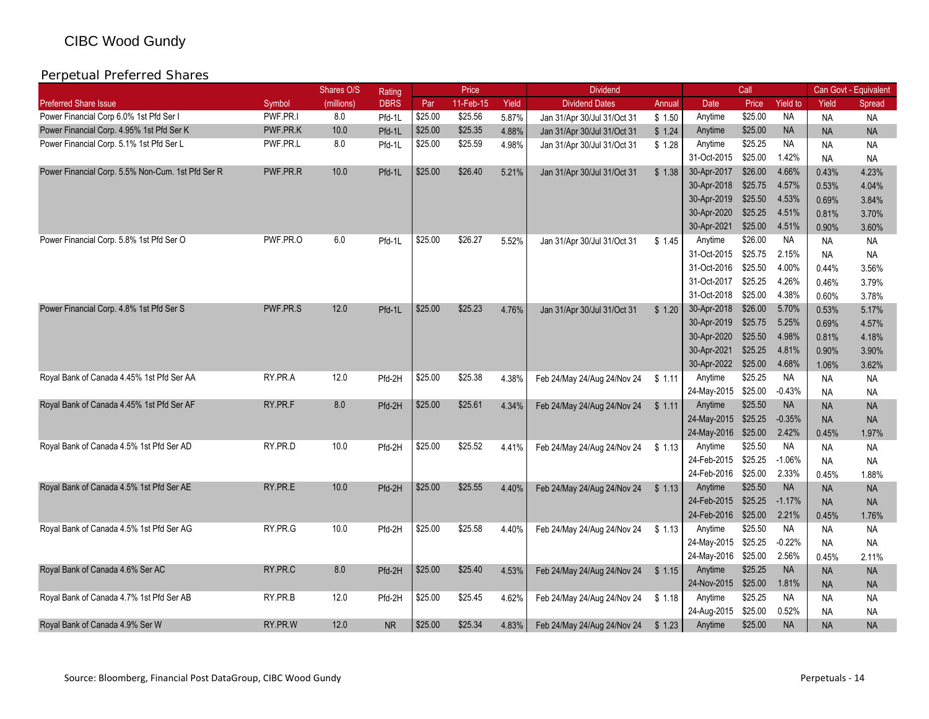|                                                   |          | Shares O/S | Rating      |         | Price     |       | <b>Dividend</b>             |        |                     | Call    |                 |           | Can Govt - Equivalent |
|---------------------------------------------------|----------|------------|-------------|---------|-----------|-------|-----------------------------|--------|---------------------|---------|-----------------|-----------|-----------------------|
| <b>Preferred Share Issue</b>                      | Symbol   | (millions) | <b>DBRS</b> | Par     | 11-Feb-15 | Yield | <b>Dividend Dates</b>       | Annual | Date                | Price   | <b>Yield to</b> | Yield     | Spread                |
| Power Financial Corp 6.0% 1st Pfd Ser I           | PWF.PR.I | 8.0        | Pfd-1L      | \$25.00 | \$25.56   | 5.87% | Jan 31/Apr 30/Jul 31/Oct 31 | \$1.50 | Anytime             | \$25.00 | <b>NA</b>       | <b>NA</b> | <b>NA</b>             |
| Power Financial Corp. 4.95% 1st Pfd Ser K         | PWF.PR.K | 10.0       | Pfd-1L      | \$25.00 | \$25.35   | 4.88% | Jan 31/Apr 30/Jul 31/Oct 31 | \$1.24 | Anytime             | \$25.00 | <b>NA</b>       | <b>NA</b> | <b>NA</b>             |
| Power Financial Corp. 5.1% 1st Pfd Ser L          | PWF.PR.L | 8.0        | Pfd-1L      | \$25.00 | \$25.59   | 4.98% | Jan 31/Apr 30/Jul 31/Oct 31 | \$1.28 | Anytime             | \$25.25 | <b>NA</b>       | <b>NA</b> | <b>NA</b>             |
|                                                   |          |            |             |         |           |       |                             |        | 31-Oct-2015         | \$25.00 | 1.42%           | <b>NA</b> | <b>NA</b>             |
| Power Financial Corp. 5.5% Non-Cum. 1st Pfd Ser R | PWF.PR.R | 10.0       | Pfd-1L      | \$25.00 | \$26.40   | 5.21% | Jan 31/Apr 30/Jul 31/Oct 31 | \$1.38 | 30-Apr-2017         | \$26.00 | 4.66%           | 0.43%     | 4.23%                 |
|                                                   |          |            |             |         |           |       |                             |        | 30-Apr-2018         | \$25.75 | 4.57%           | 0.53%     | 4.04%                 |
|                                                   |          |            |             |         |           |       |                             |        | 30-Apr-2019         | \$25.50 | 4.53%           | 0.69%     | 3.84%                 |
|                                                   |          |            |             |         |           |       |                             |        | 30-Apr-2020         | \$25.25 | 4.51%           | 0.81%     | 3.70%                 |
|                                                   |          |            |             |         |           |       |                             |        | 30-Apr-2021         | \$25.00 | 4.51%           | 0.90%     | 3.60%                 |
| Power Financial Corp. 5.8% 1st Pfd Ser O          | PWF.PR.O | 6.0        | Pfd-1L      | \$25.00 | \$26.27   | 5.52% | Jan 31/Apr 30/Jul 31/Oct 31 | \$1.45 | Anytime             | \$26.00 | NA.             | <b>NA</b> | <b>NA</b>             |
|                                                   |          |            |             |         |           |       |                             |        | 31-Oct-2015         | \$25.75 | 2.15%           | <b>NA</b> | NA                    |
|                                                   |          |            |             |         |           |       |                             |        | 31-Oct-2016         | \$25.50 | 4.00%           | 0.44%     | 3.56%                 |
|                                                   |          |            |             |         |           |       |                             |        | 31-Oct-2017         | \$25.25 | 4.26%           | 0.46%     | 3.79%                 |
|                                                   |          |            |             |         |           |       |                             |        | 31-Oct-2018         | \$25.00 | 4.38%           | 0.60%     | 3.78%                 |
| Power Financial Corp. 4.8% 1st Pfd Ser S          | PWF.PR.S | 12.0       | Pfd-1L      | \$25.00 | \$25.23   | 4.76% | Jan 31/Apr 30/Jul 31/Oct 31 | \$1.20 | 30-Apr-2018         | \$26.00 | 5.70%           | 0.53%     | 5.17%                 |
|                                                   |          |            |             |         |           |       |                             |        | 30-Apr-2019         | \$25.75 | 5.25%           | 0.69%     | 4.57%                 |
|                                                   |          |            |             |         |           |       |                             |        | 30-Apr-2020         | \$25.50 | 4.98%           | 0.81%     | 4.18%                 |
|                                                   |          |            |             |         |           |       |                             |        | 30-Apr-2021         | \$25.25 | 4.81%           | 0.90%     | 3.90%                 |
|                                                   |          |            |             |         |           |       |                             |        | 30-Apr-2022         | \$25.00 | 4.68%           | 1.06%     | 3.62%                 |
| Royal Bank of Canada 4.45% 1st Pfd Ser AA         | RY.PR.A  | 12.0       | Pfd-2H      | \$25.00 | \$25.38   | 4.38% | Feb 24/May 24/Aug 24/Nov 24 | \$1.11 | Anytime             | \$25.25 | <b>NA</b>       | <b>NA</b> | <b>NA</b>             |
|                                                   |          |            |             |         |           |       |                             |        | 24-May-2015         | \$25.00 | $-0.43%$        | <b>NA</b> | <b>NA</b>             |
| Royal Bank of Canada 4.45% 1st Pfd Ser AF         | RY PR F  | 8.0        | Pfd-2H      | \$25.00 | \$25.61   | 4.34% | Feb 24/May 24/Aug 24/Nov 24 | \$1.11 | Anytime             | \$25.50 | <b>NA</b>       | <b>NA</b> | <b>NA</b>             |
|                                                   |          |            |             |         |           |       |                             |        | 24-May-2015 \$25.25 |         | $-0.35%$        | <b>NA</b> | <b>NA</b>             |
|                                                   |          |            |             |         |           |       |                             |        | 24-May-2016         | \$25.00 | 2.42%           | 0.45%     | 1.97%                 |
| Royal Bank of Canada 4.5% 1st Pfd Ser AD          | RY.PR.D  | 10.0       | Pfd-2H      | \$25.00 | \$25.52   | 4.41% | Feb 24/May 24/Aug 24/Nov 24 | \$1.13 | Anytime             | \$25.50 | <b>NA</b>       | <b>NA</b> | <b>NA</b>             |
|                                                   |          |            |             |         |           |       |                             |        | 24-Feb-2015         | \$25.25 | $-1.06%$        | <b>NA</b> | <b>NA</b>             |
|                                                   |          |            |             |         |           |       |                             |        | 24-Feb-2016         | \$25.00 | 2.33%           | 0.45%     | 1.88%                 |
| Royal Bank of Canada 4.5% 1st Pfd Ser AE          | RY.PR.E  | 10.0       | Pfd-2H      | \$25.00 | \$25.55   | 4.40% | Feb 24/May 24/Aug 24/Nov 24 | \$1.13 | Anytime             | \$25.50 | <b>NA</b>       | <b>NA</b> | <b>NA</b>             |
|                                                   |          |            |             |         |           |       |                             |        | 24-Feb-2015         | \$25.25 | $-1.17%$        | <b>NA</b> | <b>NA</b>             |
|                                                   |          |            |             |         |           |       |                             |        | 24-Feb-2016 \$25.00 |         | 2.21%           | 0.45%     | 1.76%                 |
| Royal Bank of Canada 4.5% 1st Pfd Ser AG          | RY.PR.G  | 10.0       | Pfd-2H      | \$25.00 | \$25.58   | 4.40% | Feb 24/May 24/Aug 24/Nov 24 | \$1.13 | Anytime             | \$25.50 | <b>NA</b>       | <b>NA</b> | <b>NA</b>             |
|                                                   |          |            |             |         |           |       |                             |        | 24-May-2015 \$25.25 |         | $-0.22%$        | <b>NA</b> | <b>NA</b>             |
|                                                   |          |            |             |         |           |       |                             |        | 24-May-2016 \$25.00 |         | 2.56%           | 0.45%     | 2.11%                 |
| Royal Bank of Canada 4.6% Ser AC                  | RY.PR.C  | 8.0        | Pfd-2H      | \$25.00 | \$25.40   | 4.53% | Feb 24/May 24/Aug 24/Nov 24 | \$1.15 | Anytime             | \$25.25 | <b>NA</b>       | <b>NA</b> | <b>NA</b>             |
|                                                   |          |            |             |         |           |       |                             |        | 24-Nov-2015         | \$25.00 | 1.81%           | <b>NA</b> | <b>NA</b>             |
| Royal Bank of Canada 4.7% 1st Pfd Ser AB          | RY.PR.B  | 12.0       | Pfd-2H      | \$25.00 | \$25.45   | 4.62% | Feb 24/May 24/Aug 24/Nov 24 | \$1.18 | Anytime             | \$25.25 | <b>NA</b>       | <b>NA</b> | <b>NA</b>             |
|                                                   |          |            |             |         |           |       |                             |        | 24-Aug-2015         | \$25.00 | 0.52%           | <b>NA</b> | <b>NA</b>             |
| Royal Bank of Canada 4.9% Ser W                   | RY.PR.W  | 12.0       | <b>NR</b>   | \$25.00 | \$25.34   | 4.83% | Feb 24/May 24/Aug 24/Nov 24 | \$1.23 | Anytime             | \$25.00 | <b>NA</b>       | <b>NA</b> | <b>NA</b>             |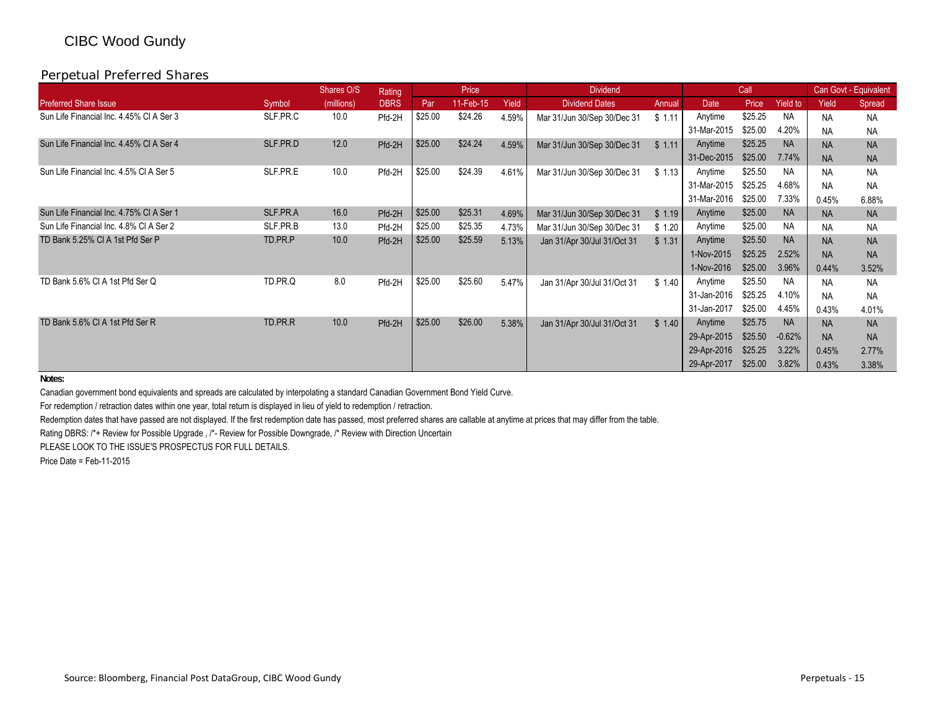### Perpetual Preferred Shares

|                                          |          | Shares O/S | Rating      |         | Price     |       | <b>Dividend</b>             |        |             | Call    |           |           | Can Govt - Equivalent |
|------------------------------------------|----------|------------|-------------|---------|-----------|-------|-----------------------------|--------|-------------|---------|-----------|-----------|-----------------------|
| <b>Preferred Share Issue</b>             | Symbol   | (millions) | <b>DBRS</b> | Par     | 11-Feb-15 | Yield | <b>Dividend Dates</b>       | Annual | Date        | Price   | Yield to  | Yield     | Spread                |
| Sun Life Financial Inc. 4.45% CI A Ser 3 | SLF.PR.C | 10.0       | Pfd-2H      | \$25.00 | \$24.26   | 4.59% | Mar 31/Jun 30/Sep 30/Dec 31 | \$1.11 | Anytime     | \$25.25 | <b>NA</b> | <b>NA</b> | <b>NA</b>             |
|                                          |          |            |             |         |           |       |                             |        | 31-Mar-2015 | \$25.00 | 4.20%     | <b>NA</b> | <b>NA</b>             |
| Sun Life Financial Inc. 4.45% CI A Ser 4 | SLF.PR.D | 12.0       | Pfd-2H      | \$25.00 | \$24.24   | 4.59% | Mar 31/Jun 30/Sep 30/Dec 31 | \$1.11 | Anytime     | \$25.25 | <b>NA</b> | <b>NA</b> | <b>NA</b>             |
|                                          |          |            |             |         |           |       |                             |        | 31-Dec-2015 | \$25.00 | 7.74%     | <b>NA</b> | <b>NA</b>             |
| Sun Life Financial Inc. 4.5% CI A Ser 5  | SLF.PR.E | 10.0       | Pfd-2H      | \$25.00 | \$24.39   | 4.61% | Mar 31/Jun 30/Sep 30/Dec 31 | \$1.13 | Anytime     | \$25.50 | <b>NA</b> | <b>NA</b> | <b>NA</b>             |
|                                          |          |            |             |         |           |       |                             |        | 31-Mar-2015 | \$25.25 | 4.68%     | <b>NA</b> | <b>NA</b>             |
|                                          |          |            |             |         |           |       |                             |        | 31-Mar-2016 | \$25.00 | 7.33%     | 0.45%     | 6.88%                 |
| Sun Life Financial Inc. 4.75% CI A Ser 1 | SLF.PR.A | 16.0       | Pfd-2H      | \$25.00 | \$25.31   | 4.69% | Mar 31/Jun 30/Sep 30/Dec 31 | \$1.19 | Anytime     | \$25.00 | <b>NA</b> | <b>NA</b> | <b>NA</b>             |
| Sun Life Financial Inc. 4.8% CI A Ser 2  | SLF.PR.B | 13.0       | Pfd-2H      | \$25.00 | \$25.35   | 4.73% | Mar 31/Jun 30/Sep 30/Dec 31 | \$1.20 | Anytime     | \$25.00 | <b>NA</b> | <b>NA</b> | <b>NA</b>             |
| TD Bank 5.25% CI A 1st Pfd Ser P         | TD.PR.P  | 10.0       | Pfd-2H      | \$25.00 | \$25.59   | 5.13% | Jan 31/Apr 30/Jul 31/Oct 31 | \$1.31 | Anytime     | \$25.50 | <b>NA</b> | <b>NA</b> | <b>NA</b>             |
|                                          |          |            |             |         |           |       |                             |        | 1-Nov-2015  | \$25.25 | 2.52%     | <b>NA</b> | <b>NA</b>             |
|                                          |          |            |             |         |           |       |                             |        | 1-Nov-2016  | \$25.00 | 3.96%     | 0.44%     | 3.52%                 |
| TD Bank 5.6% CI A 1st Pfd Ser Q          | TD.PR.Q  | 8.0        | Pfd-2H      | \$25.00 | \$25.60   | 5.47% | Jan 31/Apr 30/Jul 31/Oct 31 | \$1.40 | Anytime     | \$25.50 | <b>NA</b> | <b>NA</b> | <b>NA</b>             |
|                                          |          |            |             |         |           |       |                             |        | 31-Jan-2016 | \$25.25 | 4.10%     | <b>NA</b> | <b>NA</b>             |
|                                          |          |            |             |         |           |       |                             |        | 31-Jan-2017 | \$25.00 | 4.45%     | 0.43%     | 4.01%                 |
| TD Bank 5.6% CI A 1st Pfd Ser R          | TD.PR.R  | 10.0       | Pfd-2H      | \$25.00 | \$26.00   | 5.38% | Jan 31/Apr 30/Jul 31/Oct 31 | \$1.40 | Anytime     | \$25.75 | <b>NA</b> | <b>NA</b> | <b>NA</b>             |
|                                          |          |            |             |         |           |       |                             |        | 29-Apr-2015 | \$25.50 | $-0.62%$  | <b>NA</b> | <b>NA</b>             |
|                                          |          |            |             |         |           |       |                             |        | 29-Apr-2016 | \$25.25 | 3.22%     | 0.45%     | 2.77%                 |
|                                          |          |            |             |         |           |       |                             |        | 29-Apr-2017 | \$25.00 | 3.82%     | 0.43%     | 3.38%                 |

**Notes:**

Canadian government bond equivalents and spreads are calculated by interpolating a standard Canadian Government Bond Yield Curve.

For redemption / retraction dates within one year, total return is displayed in lieu of yield to redemption / retraction.

Redemption dates that have passed are not displayed. If the first redemption date has passed, most preferred shares are callable at anytime at prices that may differ from the table.

Rating DBRS: /\*+ Review for Possible Upgrade , /\*- Review for Possible Downgrade, /\* Review with Direction Uncertain

PLEASE LOOK TO THE ISSUE'S PROSPECTUS FOR FULL DETAILS.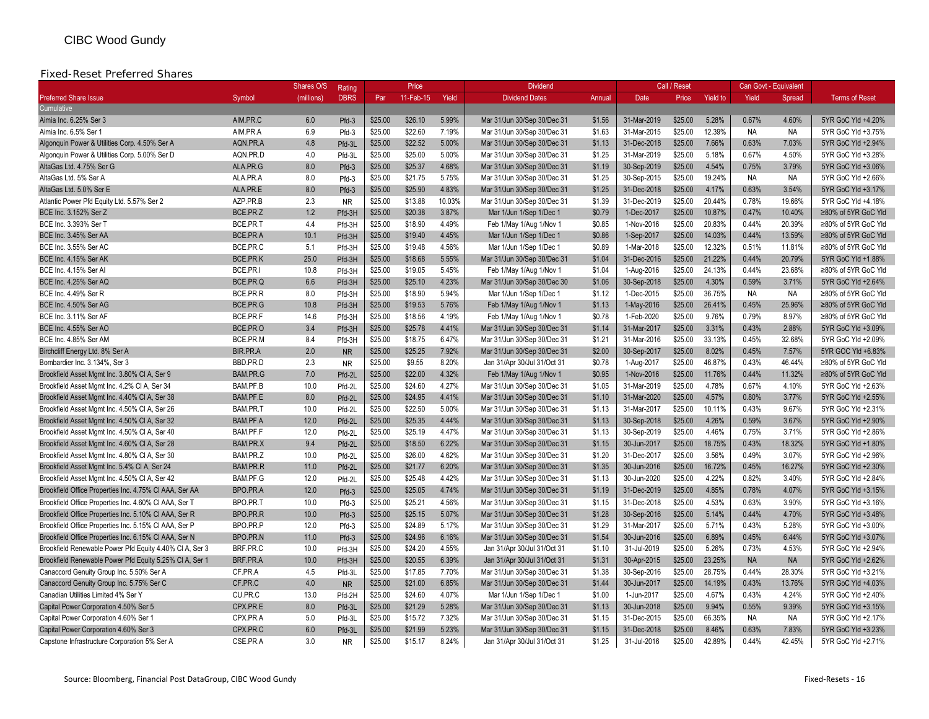#### Fixed-Reset Preferred Shares

|                                                         |                 | <b>Shares O/S</b> | Rating      |         | Price     |        | <b>Dividend</b>             |        |             | Call / Reset |                 |           | Can Govt - Equivalent |                       |
|---------------------------------------------------------|-----------------|-------------------|-------------|---------|-----------|--------|-----------------------------|--------|-------------|--------------|-----------------|-----------|-----------------------|-----------------------|
| <b>Preferred Share Issue</b>                            | Symbol          | (millions)        | <b>DBRS</b> | Par     | 11-Feb-15 | Yield  | <b>Dividend Dates</b>       | Annual | Date        | Price        | <b>Yield to</b> | Yield     | Spread                | <b>Terms of Reset</b> |
| Cumulative                                              |                 |                   |             |         |           |        |                             |        |             |              |                 |           |                       |                       |
| Aimia Inc. 6.25% Ser 3                                  | AIM.PR.C        | 6.0               | Pfd-3       | \$25.00 | \$26.10   | 5.99%  | Mar 31/Jun 30/Sep 30/Dec 31 | \$1.56 | 31-Mar-2019 | \$25.00      | 5.28%           | 0.67%     | 4.60%                 | 5YR GoC Yld +4.20%    |
| Aimia Inc. 6.5% Ser 1                                   | AIM.PR.A        | 6.9               | Pfd-3       | \$25.00 | \$22.60   | 7.19%  | Mar 31/Jun 30/Sep 30/Dec 31 | \$1.63 | 31-Mar-2015 | \$25.00      | 12.39%          | <b>NA</b> | <b>NA</b>             | 5YR GoC Yld +3.75%    |
| Algonguin Power & Utilities Corp. 4.50% Ser A           | AQN.PR.A        | 4.8               | Pfd-3L      | \$25.00 | \$22.52   | 5.00%  | Mar 31/Jun 30/Sep 30/Dec 31 | \$1.13 | 31-Dec-2018 | \$25.00      | 7.66%           | 0.63%     | 7.03%                 | 5YR GoC Yld +2.94%    |
| Algonquin Power & Utilities Corp. 5.00% Ser D           | AQN.PR.D        | 4.0               | Pfd-3L      | \$25.00 | \$25.00   | 5.00%  | Mar 31/Jun 30/Sep 30/Dec 31 | \$1.25 | 31-Mar-2019 | \$25.00      | 5.18%           | 0.67%     | 4.50%                 | 5YR GoC Yld +3.28%    |
| AltaGas Ltd. 4.75% Ser G                                | ALA.PR.G        | 8.0               | $Pfd-3$     | \$25.00 | \$25.37   | 4.68%  | Mar 31/Jun 30/Sep 30/Dec 31 | \$1.19 | 30-Sep-2019 | \$25.00      | 4.54%           | 0.75%     | 3.79%                 | 5YR GoC Yld +3.06%    |
| AltaGas Ltd. 5% Ser A                                   | ALA.PR.A        | 8.0               | Pfd-3       | \$25.00 | \$21.75   | 5.75%  | Mar 31/Jun 30/Sep 30/Dec 31 | \$1.25 | 30-Sep-2015 | \$25.00      | 19.24%          | <b>NA</b> | <b>NA</b>             | 5YR GoC Yld +2.66%    |
| AltaGas Ltd. 5.0% Ser E                                 | ALA.PR.E        | 8.0               | $Pfd-3$     | \$25.00 | \$25.90   | 4.83%  | Mar 31/Jun 30/Sep 30/Dec 31 | \$1.25 | 31-Dec-2018 | \$25.00      | 4.17%           | 0.63%     | 3.54%                 | 5YR GoC Yld +3.17%    |
| Atlantic Power Pfd Equity Ltd. 5.57% Ser 2              | AZP.PR.B        | 2.3               | <b>NR</b>   | \$25.00 | \$13.88   | 10.03% | Mar 31/Jun 30/Sep 30/Dec 31 | \$1.39 | 31-Dec-2019 | \$25.00      | 20.44%          | 0.78%     | 19.66%                | 5YR GoC Yld +4.18%    |
| BCE Inc. 3.152% Ser Z                                   | BCE.PR.Z        | 1.2               | Pfd-3H      | \$25.00 | \$20.38   | 3.87%  | Mar 1/Jun 1/Sep 1/Dec 1     | \$0.79 | 1-Dec-2017  | \$25.00      | 10.87%          | 0.47%     | 10.40%                | ≥80% of 5YR GoC Yld   |
| BCE Inc. 3.393% Ser T                                   | BCE.PR.T        | 4.4               | Pfd-3H      | \$25.00 | \$18.90   | 4.49%  | Feb 1/May 1/Aug 1/Nov 1     | \$0.85 | 1-Nov-2016  | \$25.00      | 20.83%          | 0.44%     | 20.39%                | ≥80% of 5YR GoC Yld   |
| BCE Inc. 3.45% Ser AA                                   | BCE.PR.A        | 10.1              | Pfd-3H      | \$25.00 | \$19.40   | 4.45%  | Mar 1/Jun 1/Sep 1/Dec 1     | \$0.86 | 1-Sep-2017  | \$25.00      | 14.03%          | 0.44%     | 13.59%                | ≥80% of 5YR GoC Yld   |
| BCE Inc. 3.55% Ser AC                                   | BCE.PR.C        | 5.1               | Pfd-3H      | \$25.00 | \$19.48   | 4.56%  | Mar 1/Jun 1/Sep 1/Dec 1     | \$0.89 | 1-Mar-2018  | \$25.00      | 12.32%          | 0.51%     | 11.81%                | ≥80% of 5YR GoC Yld   |
| BCE Inc. 4.15% Ser AK                                   | BCE.PR.K        | 25.0              | Pfd-3H      | \$25.00 | \$18.68   | 5.55%  | Mar 31/Jun 30/Sep 30/Dec 31 | \$1.04 | 31-Dec-2016 | \$25.00      | 21.22%          | 0.44%     | 20.79%                | 5YR GoC Yld +1.88%    |
| BCE Inc. 4.15% Ser AI                                   | BCE.PR.I        | 10.8              | Pfd-3H      | \$25.00 | \$19.05   | 5.45%  | Feb 1/May 1/Aug 1/Nov 1     | \$1.04 | 1-Aug-2016  | \$25.00      | 24.13%          | 0.44%     | 23.68%                | ≥80% of 5YR GoC Yld   |
| BCE Inc. 4.25% Ser AQ                                   | BCE.PR.Q        | 6.6               | Pfd-3H      | \$25.00 | \$25.10   | 4.23%  | Mar 31/Jun 30/Sep 30/Dec 30 | \$1.06 | 30-Sep-2018 | \$25.00      | 4.30%           | 0.59%     | 3.71%                 | 5YR GoC Yld +2.64%    |
| BCE Inc. 4.49% Ser R                                    | BCE.PR.R        | 8.0               | Pfd-3H      | \$25.00 | \$18.90   | 5.94%  | Mar 1/Jun 1/Sep 1/Dec 1     | \$1.12 | 1-Dec-2015  | \$25.00      | 36.75%          | <b>NA</b> | <b>NA</b>             | ≥80% of 5YR GoC Yld   |
| BCE Inc. 4.50% Ser AG                                   | BCE.PR.G        | 10.8              | Pfd-3H      | \$25.00 | \$19.53   | 5.76%  | Feb 1/May 1/Aug 1/Nov 1     | \$1.13 | 1-May-2016  | \$25.00      | 26.41%          | 0.45%     | 25.96%                | ≥80% of 5YR GoC Yld   |
| BCE Inc. 3.11% Ser AF                                   | BCE.PR.F        | 14.6              | Pfd-3H      | \$25.00 | \$18.56   | 4.19%  | Feb 1/May 1/Aug 1/Nov 1     | \$0.78 | 1-Feb-2020  | \$25.00      | 9.76%           | 0.79%     | 8.97%                 | ≥80% of 5YR GoC Yld   |
| BCE Inc. 4.55% Ser AO                                   | BCE.PR.O        | 3.4               | Pfd-3H      | \$25.00 | \$25.78   | 4.41%  | Mar 31/Jun 30/Sep 30/Dec 31 | \$1.14 | 31-Mar-2017 | \$25.00      | 3.31%           | 0.43%     | 2.88%                 | 5YR GoC Yld +3.09%    |
| BCE Inc. 4.85% Ser AM                                   | BCE.PR.M        | 8.4               | Pfd-3H      | \$25.00 | \$18.75   | 6.47%  | Mar 31/Jun 30/Sep 30/Dec 31 | \$1.21 | 31-Mar-2016 | \$25.00      | 33.13%          | 0.45%     | 32.68%                | 5YR GoC Yld +2.09%    |
| Birchcliff Energy Ltd. 8% Ser A                         | BIR.PR.A        | 2.0               | <b>NR</b>   | \$25.00 | \$25.25   | 7.92%  | Mar 31/Jun 30/Sep 30/Dec 31 | \$2.00 | 30-Sep-2017 | \$25.00      | 8.02%           | 0.45%     | 7.57%                 | 5YR GOC Yld +6.83%    |
| Bombardier Inc. 3.134%. Ser 3                           | BBD.PR.D        | 2.3               | <b>NR</b>   | \$25.00 | \$9.55    | 8.20%  | Jan 31/Apr 30/Jul 31/Oct 31 | \$0.78 | 1-Aug-2017  | \$25.00      | 46.87%          | 0.43%     | 46.44%                | ≥80% of 5YR GoC Yld   |
| Brookfield Asset Mgmt Inc. 3.80% CI A, Ser 9            | <b>BAM.PR.G</b> | 7.0               | Pfd-2L      | \$25.00 | \$22.00   | 4.32%  | Feb 1/May 1/Aug 1/Nov 1     | \$0.95 | 1-Nov-2016  | \$25.00      | 11.76%          | 0.44%     | 11.32%                | ≥80% of 5YR GoC Yld   |
| Brookfield Asset Mgmt Inc. 4.2% CI A, Ser 34            | BAM.PF.B        | 10.0              | Pfd-2L      | \$25.00 | \$24.60   | 4.27%  | Mar 31/Jun 30/Sep 30/Dec 31 | \$1.05 | 31-Mar-2019 | \$25.00      | 4.78%           | 0.67%     | 4.10%                 | 5YR GoC Yld +2.63%    |
| Brookfield Asset Mgmt Inc. 4.40% CI A, Ser 38           | BAM.PF.E        | 8.0               | Pfd-2L      | \$25.00 | \$24.95   | 4.41%  | Mar 31/Jun 30/Sep 30/Dec 31 | \$1.10 | 31-Mar-2020 | \$25.00      | 4.57%           | 0.80%     | 3.77%                 | 5YR GoC Yld +2.55%    |
| Brookfield Asset Mgmt Inc. 4.50% CI A, Ser 26           | BAM.PR.T        | 10.0              | Pfd-2L      | \$25.00 | \$22.50   | 5.00%  | Mar 31/Jun 30/Sep 30/Dec 31 | \$1.13 | 31-Mar-2017 | \$25.00      | 10.11%          | 0.43%     | 9.67%                 | 5YR GoC Yld +2.31%    |
| Brookfield Asset Mgmt Inc. 4.50% CI A, Ser 32           | BAM.PF.A        | 12.0              | Pfd-2L      | \$25.00 | \$25.35   | 4.44%  | Mar 31/Jun 30/Sep 30/Dec 31 | \$1.13 | 30-Sep-2018 | \$25.00      | 4.26%           | 0.59%     | 3.67%                 | 5YR GoC Yld +2.90%    |
| Brookfield Asset Mgmt Inc. 4.50% CI A, Ser 40           | BAM.PF.F        | 12.0              | Pfd-2L      | \$25.00 | \$25.19   | 4.47%  | Mar 31/Jun 30/Sep 30/Dec 31 | \$1.13 | 30-Sep-2019 | \$25.00      | 4.46%           | 0.75%     | 3.71%                 | 5YR GoC Yld +2.86%    |
| Brookfield Asset Mgmt Inc. 4.60% CI A, Ser 28           | BAM.PR.X        | 9.4               | Pfd-2L      | \$25.00 | \$18.50   | 6.22%  | Mar 31/Jun 30/Sep 30/Dec 31 | \$1.15 | 30-Jun-2017 | \$25.00      | 18.75%          | 0.43%     | 18.32%                | 5YR GoC Yld +1.80%    |
| Brookfield Asset Mgmt Inc. 4.80% CI A, Ser 30           | BAM.PR.Z        | 10.0              | Pfd-2L      | \$25.00 | \$26.00   | 4.62%  | Mar 31/Jun 30/Sep 30/Dec 31 | \$1.20 | 31-Dec-2017 | \$25.00      | 3.56%           | 0.49%     | 3.07%                 | 5YR GoC Yld +2.96%    |
| Brookfield Asset Mgmt Inc. 5.4% CI A, Ser 24            | <b>BAM.PR.R</b> | 11.0              | Pfd-2L      | \$25.00 | \$21.77   | 6.20%  | Mar 31/Jun 30/Sep 30/Dec 31 | \$1.35 | 30-Jun-2016 | \$25.00      | 16.72%          | 0.45%     | 16.27%                | 5YR GoC Yld +2.30%    |
| Brookfield Asset Mgmt Inc. 4.50% CI A, Ser 42           | BAM.PF.G        | 12.0              | Pfd-2L      | \$25.00 | \$25.48   | 4.42%  | Mar 31/Jun 30/Sep 30/Dec 31 | \$1.13 | 30-Jun-2020 | \$25.00      | 4.22%           | 0.82%     | 3.40%                 | 5YR GoC Yld +2.84%    |
| Brookfield Office Properties Inc. 4.75% CI AAA, Ser AA  | BPO.PR.A        | 12.0              | $Pfd-3$     | \$25.00 | \$25.05   | 4.74%  | Mar 31/Jun 30/Sep 30/Dec 31 | \$1.19 | 31-Dec-2019 | \$25.00      | 4.85%           | 0.78%     | 4.07%                 | 5YR GoC Yld +3.15%    |
| Brookfield Office Properties Inc. 4.60% CI AAA, Ser T   | BPO.PR.T        | 10.0              | Pfd-3       | \$25.00 | \$25.21   | 4.56%  | Mar 31/Jun 30/Sep 30/Dec 31 | \$1.15 | 31-Dec-2018 | \$25.00      | 4.53%           | 0.63%     | 3.90%                 | 5YR GoC Yld +3.16%    |
| Brookfield Office Properties Inc. 5.10% CI AAA, Ser R   | BPO.PR.R        | 10.0              | $Pfd-3$     | \$25.00 | \$25.15   | 5.07%  | Mar 31/Jun 30/Sep 30/Dec 31 | \$1.28 | 30-Sep-2016 | \$25.00      | 5.14%           | 0.44%     | 4.70%                 | 5YR GoC Yld +3.48%    |
| Brookfield Office Properties Inc. 5.15% CI AAA, Ser P   | BPO.PR.P        | 12.0              | Pfd-3       | \$25.00 | \$24.89   | 5.17%  | Mar 31/Jun 30/Sep 30/Dec 31 | \$1.29 | 31-Mar-2017 | \$25.00      | 5.71%           | 0.43%     | 5.28%                 | 5YR GoC Yld +3.00%    |
| Brookfield Office Properties Inc. 6.15% CI AAA, Ser N   | BPO.PR.N        | 11.0              | $Pfd-3$     | \$25.00 | \$24.96   | 6.16%  | Mar 31/Jun 30/Sep 30/Dec 31 | \$1.54 | 30-Jun-2016 | \$25.00      | 6.89%           | 0.45%     | 6.44%                 | 5YR GoC Yld +3.07%    |
| Brookfield Renewable Power Pfd Equity 4.40% CI A, Ser 3 | BRF.PR.C        | 10.0              | Pfd-3H      | \$25.00 | \$24.20   | 4.55%  | Jan 31/Apr 30/Jul 31/Oct 31 | \$1.10 | 31-Jul-2019 | \$25.00      | 5.26%           | 0.73%     | 4.53%                 | 5YR GoC Yld +2.94%    |
| Brookfield Renewable Power Pfd Equity 5.25% CI A, Ser 1 | BRF.PR.A        | 10.0              | Pfd-3H      | \$25.00 | \$20.55   | 6.39%  | Jan 31/Apr 30/Jul 31/Oct 31 | \$1.31 | 30-Apr-2015 | \$25.00      | 23.25%          | <b>NA</b> | <b>NA</b>             | 5YR GoC Yld +2.62%    |
| Canaccord Genuity Group Inc. 5.50% Ser A                | CF.PR.A         | 4.5               | Pfd-3L      | \$25.00 | \$17.85   | 7.70%  | Mar 31/Jun 30/Sep 30/Dec 31 | \$1.38 | 30-Sep-2016 | \$25.00      | 28.75%          | 0.44%     | 28.30%                | 5YR GoC Yld +3.21%    |
| Canaccord Genuity Group Inc. 5.75% Ser C                | CF.PR.C         | 4.0               | <b>NR</b>   | \$25.00 | \$21.00   | 6.85%  | Mar 31/Jun 30/Sep 30/Dec 31 | \$1.44 | 30-Jun-2017 | \$25.00      | 14.19%          | 0.43%     | 13.76%                | 5YR GoC Yld +4.03%    |
| Canadian Utilities Limited 4% Ser Y                     | CU.PR.C         | 13.0              | Pfd-2H      | \$25.00 | \$24.60   | 4.07%  | Mar 1/Jun 1/Sep 1/Dec 1     | \$1.00 | 1-Jun-2017  | \$25.00      | 4.67%           | 0.43%     | 4.24%                 | 5YR GoC Yld +2.40%    |
| Capital Power Corporation 4.50% Ser 5                   | CPX.PR.E        | 8.0               | Pfd-3L      | \$25.00 | \$21.29   | 5.28%  | Mar 31/Jun 30/Sep 30/Dec 31 | \$1.13 | 30-Jun-2018 | \$25.00      | 9.94%           | 0.55%     | 9.39%                 | 5YR GoC Yld +3.15%    |
| Capital Power Corporation 4.60% Ser 1                   | CPX.PR.A        | 5.0               | Pfd-3L      | \$25.00 | \$15.72   | 7.32%  | Mar 31/Jun 30/Sep 30/Dec 31 | \$1.15 | 31-Dec-2015 | \$25.00      | 66.35%          | <b>NA</b> | <b>NA</b>             | 5YR GoC Yld +2.17%    |
| Capital Power Corporation 4.60% Ser 3                   | CPX.PR.C        | 6.0               | Pfd-3L      | \$25.00 | \$21.99   | 5.23%  | Mar 31/Jun 30/Sep 30/Dec 31 | \$1.15 | 31-Dec-2018 | \$25.00      | 8.46%           | 0.63%     | 7.83%                 | 5YR GoC Yld +3.23%    |
| Capstone Infrastructure Corporation 5% Ser A            | CSE.PR.A        | 3.0               | <b>NR</b>   | \$25.00 | \$15.17   | 8.24%  | Jan 31/Apr 30/Jul 31/Oct 31 | \$1.25 | 31-Jul-2016 | \$25.00      | 42.89%          | 0.44%     | 42.45%                | 5YR GoC Yld +2.71%    |
|                                                         |                 |                   |             |         |           |        |                             |        |             |              |                 |           |                       |                       |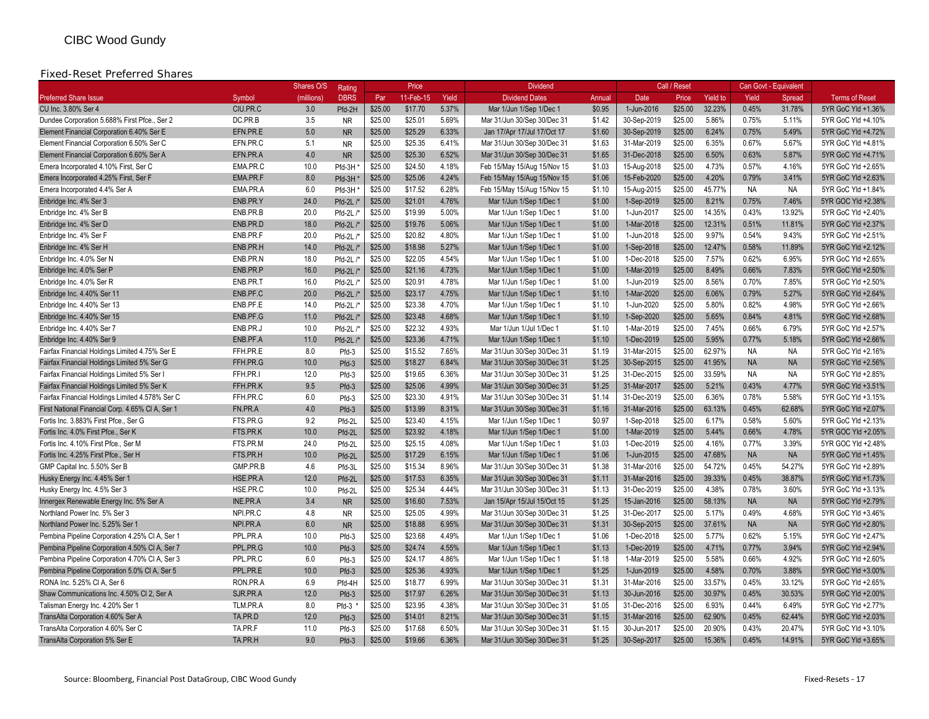#### Fixed-Reset Preferred Shares

|                                                  |                 | Shares O/S | Rating      |         | Price     |       | <b>Dividend</b>             |        |             | Call / Reset |                 |           | Can Govt - Equivalent |                       |
|--------------------------------------------------|-----------------|------------|-------------|---------|-----------|-------|-----------------------------|--------|-------------|--------------|-----------------|-----------|-----------------------|-----------------------|
| <b>Preferred Share Issue</b>                     | Symbol          | (millions) | <b>DBRS</b> | Par     | 11-Feb-15 | Yield | <b>Dividend Dates</b>       | Annual | Date        | Price        | <b>Yield to</b> | Yield     | Spread                | <b>Terms of Reset</b> |
| CU Inc. 3.80% Ser 4                              | CIU.PR.C        | 3.0        | Pfd-2H      | \$25.00 | \$17.70   | 5.37% | Mar 1/Jun 1/Sep 1/Dec 1     | \$0.95 | 1-Jun-2016  | \$25.00      | 32.23%          | 0.45%     | 31.78%                | 5YR GoC Yld +1.36%    |
| Dundee Corporation 5.688% First Pfce., Ser 2     | DC.PR.B         | 3.5        | <b>NR</b>   | \$25.00 | \$25.01   | 5.69% | Mar 31/Jun 30/Sep 30/Dec 31 | \$1.42 | 30-Sep-2019 | \$25.00      | 5.86%           | 0.75%     | 5.11%                 | 5YR GoC Yld +4.10%    |
| Element Financial Corporation 6.40% Ser E        | EFN.PR.E        | 5.0        | <b>NR</b>   | \$25.00 | \$25.29   | 6.33% | Jan 17/Apr 17/Jul 17/Oct 17 | \$1.60 | 30-Sep-2019 | \$25.00      | 6.24%           | 0.75%     | 5.49%                 | 5YR GoC Yld +4.72%    |
| Element Financial Corporation 6.50% Ser C        | EFN.PR.C        | 5.1        | <b>NR</b>   | \$25.00 | \$25.35   | 6.41% | Mar 31/Jun 30/Sep 30/Dec 31 | \$1.63 | 31-Mar-2019 | \$25.00      | 6.35%           | 0.67%     | 5.67%                 | 5YR GoC Yld +4.81%    |
| Element Financial Corporation 6.60% Ser A        | EFN.PR.A        | 4.0        | <b>NR</b>   | \$25.00 | \$25.30   | 6.52% | Mar 31/Jun 30/Sep 30/Dec 31 | \$1.65 | 31-Dec-2018 | \$25.00      | 6.50%           | 0.63%     | 5.87%                 | 5YR GoC Yld +4.71%    |
| Emera Incorporated 4.10% First, Ser C            | EMA.PR.C        | 10.0       | Pfd-3H      | \$25.00 | \$24.50   | 4.18% | Feb 15/May 15/Aug 15/Nov 15 | \$1.03 | 15-Aug-2018 | \$25.00      | 4.73%           | 0.57%     | 4.16%                 | 5YR GoC Yld +2.65%    |
| Emera Incorporated 4.25% First, Ser F            | EMA.PR.F        | 8.0        | Pfd-3H      | \$25.00 | \$25.06   | 4.24% | Feb 15/May 15/Aug 15/Nov 15 | \$1.06 | 15-Feb-2020 | \$25.00      | 4.20%           | 0.79%     | 3.41%                 | 5YR GoC Yld +2.63%    |
| Emera Incorporated 4.4% Ser A                    | EMA.PR.A        | 6.0        | Pfd-3H      | \$25.00 | \$17.52   | 6.28% | Feb 15/May 15/Aug 15/Nov 15 | \$1.10 | 15-Aug-2015 | \$25.00      | 45.77%          | <b>NA</b> | <b>NA</b>             | 5YR GoC Yld +1.84%    |
| Enbridge Inc. 4% Ser 3                           | ENB.PR.Y        | 24.0       | $Pfd-2L$ /* | \$25.00 | \$21.01   | 4.76% | Mar 1/Jun 1/Sep 1/Dec 1     | \$1.00 | 1-Sep-2019  | \$25.00      | 8.21%           | 0.75%     | 7.46%                 | 5YR GOC Yld +2.38%    |
| Enbridge Inc. 4% Ser B                           | ENB.PR.B        | 20.0       | Pfd-2L /*   | \$25.00 | \$19.99   | 5.00% | Mar 1/Jun 1/Sep 1/Dec 1     | \$1.00 | 1-Jun-2017  | \$25.00      | 14.35%          | 0.43%     | 13.92%                | 5YR GoC Yld +2.40%    |
| Enbridge Inc. 4% Ser D                           | ENB.PR.D        | 18.0       | $Pfd-2L$ /* | \$25.00 | \$19.76   | 5.06% | Mar 1/Jun 1/Sep 1/Dec 1     | \$1.00 | 1-Mar-2018  | \$25.00      | 12.31%          | 0.51%     | 11.81%                | 5YR GoC Yld +2.37%    |
| Enbridge Inc. 4% Ser F                           | ENB.PR.F        | 20.0       | Pfd-2L /*   | \$25.00 | \$20.82   | 4.80% | Mar 1/Jun 1/Sep 1/Dec 1     | \$1.00 | 1-Jun-2018  | \$25.00      | 9.97%           | 0.54%     | 9.43%                 | 5YR GoC Yld +2.51%    |
| Enbridge Inc. 4% Ser H                           | ENB.PR.H        | 14.0       | $Pfd-2L$ /* | \$25.00 | \$18.98   | 5.27% | Mar 1/Jun 1/Sep 1/Dec 1     | \$1.00 | 1-Sep-2018  | \$25.00      | 12.47%          | 0.58%     | 11.89%                | 5YR GoC Yld +2.12%    |
| Enbridge Inc. 4.0% Ser N                         | ENB.PR.N        | 18.0       | Pfd-2L /*   | \$25.00 | \$22.05   | 4.54% | Mar 1/Jun 1/Sep 1/Dec 1     | \$1.00 | 1-Dec-2018  | \$25.00      | 7.57%           | 0.62%     | 6.95%                 | 5YR GoC Yld +2.65%    |
| Enbridge Inc. 4.0% Ser P                         | ENB.PR.P        | 16.0       | $Pfd-2L$ /* | \$25.00 | \$21.16   | 4.73% | Mar 1/Jun 1/Sep 1/Dec 1     | \$1.00 | 1-Mar-2019  | \$25.00      | 8.49%           | 0.66%     | 7.83%                 | 5YR GoC Yld +2.50%    |
| Enbridge Inc. 4.0% Ser R                         | ENB.PR.T        | 16.0       | $Pfd-2L$ /* | \$25.00 | \$20.91   | 4.78% | Mar 1/Jun 1/Sep 1/Dec 1     | \$1.00 | 1-Jun-2019  | \$25.00      | 8.56%           | 0.70%     | 7.85%                 | 5YR GoC Yld +2.50%    |
| Enbridge Inc. 4.40% Ser 11                       | ENB.PF.C        | 20.0       | Pfd-2L /*   | \$25.00 | \$23.17   | 4.75% | Mar 1/Jun 1/Sep 1/Dec 1     | \$1.10 | 1-Mar-2020  | \$25.00      | 6.06%           | 0.79%     | 5.27%                 | 5YR GoC Yld +2.64%    |
| Enbridge Inc. 4.40% Ser 13                       | ENB.PF.E        | 14.0       | $Pfd-2L/$   | \$25.00 | \$23.38   | 4.70% | Mar 1/Jun 1/Sep 1/Dec 1     | \$1.10 | 1-Jun-2020  | \$25.00      | 5.80%           | 0.82%     | 4.98%                 | 5YR GoC Yld +2.66%    |
| Enbridge Inc. 4.40% Ser 15                       | ENB.PF.G        | 11.0       | Pfd-2L /*   | \$25.00 | \$23.48   | 4.68% | Mar 1/Jun 1/Sep 1/Dec 1     | \$1.10 | 1-Sep-2020  | \$25.00      | 5.65%           | 0.84%     | 4.81%                 | 5YR GoC Yld +2.68%    |
| Enbridge Inc. 4.40% Ser 7                        | ENB.PR.J        | 10.0       | Pfd-2L /    | \$25.00 | \$22.32   | 4.93% | Mar 1/Jun 1/Jul 1/Dec 1     | \$1.10 | 1-Mar-2019  | \$25.00      | 7.45%           | 0.66%     | 6.79%                 | 5YR GoC Yld +2.57%    |
| Enbridge Inc. 4.40% Ser 9                        | ENB.PF.A        | 11.0       | $Pfd-2L$ /* | \$25.00 | \$23.36   | 4.71% | Mar 1/Jun 1/Sep 1/Dec 1     | \$1.10 | 1-Dec-2019  | \$25.00      | 5.95%           | 0.77%     | 5.18%                 | 5YR GoC Yld +2.66%    |
| Fairfax Financial Holdings Limited 4.75% Ser E   | FFH.PR.E        | 8.0        | Pfd-3       | \$25.00 | \$15.52   | 7.65% | Mar 31/Jun 30/Sep 30/Dec 31 | \$1.19 | 31-Mar-2015 | \$25.00      | 62.97%          | <b>NA</b> | <b>NA</b>             | 5YR GoC Yld +2.16%    |
| Fairfax Financial Holdings Limited 5% Ser G      | FFH.PR.G        | 10.0       | $Pfd-3$     | \$25.00 | \$18.27   | 6.84% | Mar 31/Jun 30/Sep 30/Dec 31 | \$1.25 | 30-Sep-2015 | \$25.00      | 41.95%          | <b>NA</b> | <b>NA</b>             | 5YR GoC Yld +2.56%    |
| Fairfax Financial Holdings Limited 5% Ser        | FFH.PR.I        | 12.0       | $Pfd-3$     | \$25.00 | \$19.65   | 6.36% | Mar 31/Jun 30/Sep 30/Dec 31 | \$1.25 | 31-Dec-2015 | \$25.00      | 33.59%          | <b>NA</b> | <b>NA</b>             | 5YR GoC Yld +2.85%    |
| Fairfax Financial Holdings Limited 5% Ser K      | FFH.PR.K        | 9.5        | $Pfd-3$     | \$25.00 | \$25.06   | 4.99% | Mar 31/Jun 30/Sep 30/Dec 31 | \$1.25 | 31-Mar-2017 | \$25.00      | 5.21%           | 0.43%     | 4.77%                 | 5YR GoC Yld +3.51%    |
| Fairfax Financial Holdings Limited 4.578% Ser C  | FFH.PR.C        | 6.0        | Pfd-3       | \$25.00 | \$23.30   | 4.91% | Mar 31/Jun 30/Sep 30/Dec 31 | \$1.14 | 31-Dec-2019 | \$25.00      | 6.36%           | 0.78%     | 5.58%                 | 5YR GoC Yld +3.15%    |
| First National Financial Corp. 4.65% CI A, Ser 1 | FN.PR.A         | 4.0        | $Pfd-3$     | \$25.00 | \$13.99   | 8.31% | Mar 31/Jun 30/Sep 30/Dec 31 | \$1.16 | 31-Mar-2016 | \$25.00      | 63.13%          | 0.45%     | 62.68%                | 5YR GoC Yld +2.07%    |
| Fortis Inc. 3.883% First Pfce., Ser G            | FTS.PR.G        | 9.2        | Pfd-2L      | \$25.00 | \$23.40   | 4.15% | Mar 1/Jun 1/Sep 1/Dec 1     | \$0.97 | 1-Sep-2018  | \$25.00      | 6.17%           | 0.58%     | 5.60%                 | 5YR GoC Yld +2.13%    |
| Fortis Inc. 4.0% First Pfce., Ser K              | FTS.PR.K        | 10.0       | $Pfd-2I$    | \$25.00 | \$23.92   | 4.18% | Mar 1/Jun 1/Sep 1/Dec 1     | \$1.00 | 1-Mar-2019  | \$25.00      | 5.44%           | 0.66%     | 4.78%                 | 5YR GOC Yld +2.05%    |
| Fortis Inc. 4.10% First Pfce., Ser M             | FTS.PR.M        | 24.0       | Pfd-2L      | \$25.00 | \$25.15   | 4.08% | Mar 1/Jun 1/Sep 1/Dec 1     | \$1.03 | 1-Dec-2019  | \$25.00      | 4.16%           | 0.77%     | 3.39%                 | 5YR GOC Yld +2.48%    |
| Fortis Inc. 4.25% First Pfce., Ser H             | FTS.PR.H        | 10.0       | Pfd-2L      | \$25.00 | \$17.29   | 6.15% | Mar 1/Jun 1/Sep 1/Dec 1     | \$1.06 | 1-Jun-2015  | \$25.00      | 47.68%          | <b>NA</b> | <b>NA</b>             | 5YR GoC Yld +1.45%    |
| GMP Capital Inc. 5.50% Ser B                     | GMP.PR.B        | 4.6        | Pfd-3L      | \$25.00 | \$15.34   | 8.96% | Mar 31/Jun 30/Sep 30/Dec 31 | \$1.38 | 31-Mar-2016 | \$25.00      | 54.72%          | 0.45%     | 54.27%                | 5YR GoC Yld +2.89%    |
| Husky Energy Inc. 4.45% Ser 1                    | HSE.PR.A        | 12.0       | Pfd-2L      | \$25.00 | \$17.53   | 6.35% | Mar 31/Jun 30/Sep 30/Dec 31 | \$1.11 | 31-Mar-2016 | \$25.00      | 39.33%          | 0.45%     | 38.87%                | 5YR GoC Yld +1.73%    |
| Husky Energy Inc. 4.5% Ser 3                     | HSE.PR.C        | 10.0       | Pfd-2L      | \$25.00 | \$25.34   | 4.44% | Mar 31/Jun 30/Sep 30/Dec 31 | \$1.13 | 31-Dec-2019 | \$25.00      | 4.38%           | 0.78%     | 3.60%                 | 5YR GoC Yld +3.13%    |
| Innergex Renewable Energy Inc. 5% Ser A          | <b>INE.PR.A</b> | 3.4        | <b>NR</b>   | \$25.00 | \$16.60   | 7.53% | Jan 15/Apr 15/Jul 15/Oct 15 | \$1.25 | 15-Jan-2016 | \$25.00      | 58.13%          | <b>NA</b> | <b>NA</b>             | 5YR GoC Yld +2.79%    |
| Northland Power Inc. 5% Ser 3                    | NPI.PR.C        | 4.8        | <b>NR</b>   | \$25.00 | \$25.05   | 4.99% | Mar 31/Jun 30/Sep 30/Dec 31 | \$1.25 | 31-Dec-2017 | \$25.00      | 5.17%           | 0.49%     | 4.68%                 | 5YR GoC Yld +3.46%    |
| Northland Power Inc. 5.25% Ser 1                 | NPI.PR.A        | 6.0        | <b>NR</b>   | \$25.00 | \$18.88   | 6.95% | Mar 31/Jun 30/Sep 30/Dec 31 | \$1.31 | 30-Sep-2015 | \$25.00      | 37.61%          | <b>NA</b> | <b>NA</b>             | 5YR GoC Yld +2.80%    |
| Pembina Pipeline Corporation 4.25% CI A, Ser 1   | PPL.PR.A        | 10.0       | $Pfd-3$     | \$25.00 | \$23.68   | 4.49% | Mar 1/Jun 1/Sep 1/Dec 1     | \$1.06 | 1-Dec-2018  | \$25.00      | 5.77%           | 0.62%     | 5.15%                 | 5YR GoC Yld +2.47%    |
| Pembina Pipeline Corporation 4.50% CI A, Ser 7   | PPL.PR.G        | 10.0       | $Pfd-3$     | \$25.00 | \$24.74   | 4.55% | Mar 1/Jun 1/Sep 1/Dec 1     | \$1.13 | 1-Dec-2019  | \$25.00      | 4.71%           | 0.77%     | 3.94%                 | 5YR GoC Yld +2.94%    |
| Pembina Pipeline Corporation 4.70% CI A, Ser 3   | PPL.PR.C        | 6.0        | Pfd-3       | \$25.00 | \$24.17   | 4.86% | Mar 1/Jun 1/Sep 1/Dec 1     | \$1.18 | 1-Mar-2019  | \$25.00      | 5.58%           | 0.66%     | 4.92%                 | 5YR GoC Yld +2.60%    |
| Pembina Pipeline Corporation 5.0% CI A, Ser 5    | PPL.PR.E        | 10.0       | $Pfd-3$     | \$25.00 | \$25.36   | 4.93% | Mar 1/Jun 1/Sep 1/Dec 1     | \$1.25 | 1-Jun-2019  | \$25.00      | 4.58%           | 0.70%     | 3.88%                 | 5YR GoC Yld +3.00%    |
| RONA Inc. 5.25% CI A, Ser 6                      | RON.PR.A        | 6.9        | Pfd-4H      | \$25.00 | \$18.77   | 6.99% | Mar 31/Jun 30/Sep 30/Dec 31 | \$1.31 | 31-Mar-2016 | \$25.00      | 33.57%          | 0.45%     | 33.12%                | 5YR GoC Yld +2.65%    |
| Shaw Communications Inc. 4.50% CI 2, Ser A       | SJR.PR.A        | 12.0       | $Pfd-3$     | \$25.00 | \$17.97   | 6.26% | Mar 31/Jun 30/Sep 30/Dec 31 | \$1.13 | 30-Jun-2016 | \$25.00      | 30.97%          | 0.45%     | 30.53%                | 5YR GoC Yld +2.00%    |
| Talisman Energy Inc. 4.20% Ser 1                 | TLM.PR.A        | 8.0        | $Pfd-3$ *   | \$25.00 | \$23.95   | 4.38% | Mar 31/Jun 30/Sep 30/Dec 31 | \$1.05 | 31-Dec-2016 | \$25.00      | 6.93%           | 0.44%     | 6.49%                 | 5YR GoC Yld +2.77%    |
| TransAlta Corporation 4.60% Ser A                | TA.PR.D         | 12.0       | Pfd-3       | \$25.00 | \$14.01   | 8.21% | Mar 31/Jun 30/Sep 30/Dec 31 | \$1.15 | 31-Mar-2016 | \$25.00      | 62.90%          | 0.45%     | 62.44%                | 5YR GoC Yld +2.03%    |
| TransAlta Corporation 4.60% Ser C                | TA.PR.F         | 11.0       | Pfd-3       | \$25.00 | \$17.68   | 6.50% | Mar 31/Jun 30/Sep 30/Dec 31 | \$1.15 | 30-Jun-2017 | \$25.00      | 20.90%          | 0.43%     | 20.47%                | 5YR GoC Yld +3.10%    |
| TransAlta Corporation 5% Ser E                   | TA.PR.H         | 9.0        | $Pfd-3$     | \$25.00 | \$19.66   | 6.36% | Mar 31/Jun 30/Sep 30/Dec 31 | \$1.25 | 30-Sep-2017 | \$25.00      | 15.36%          | 0.45%     | 14.91%                | 5YR GoC Yld +3.65%    |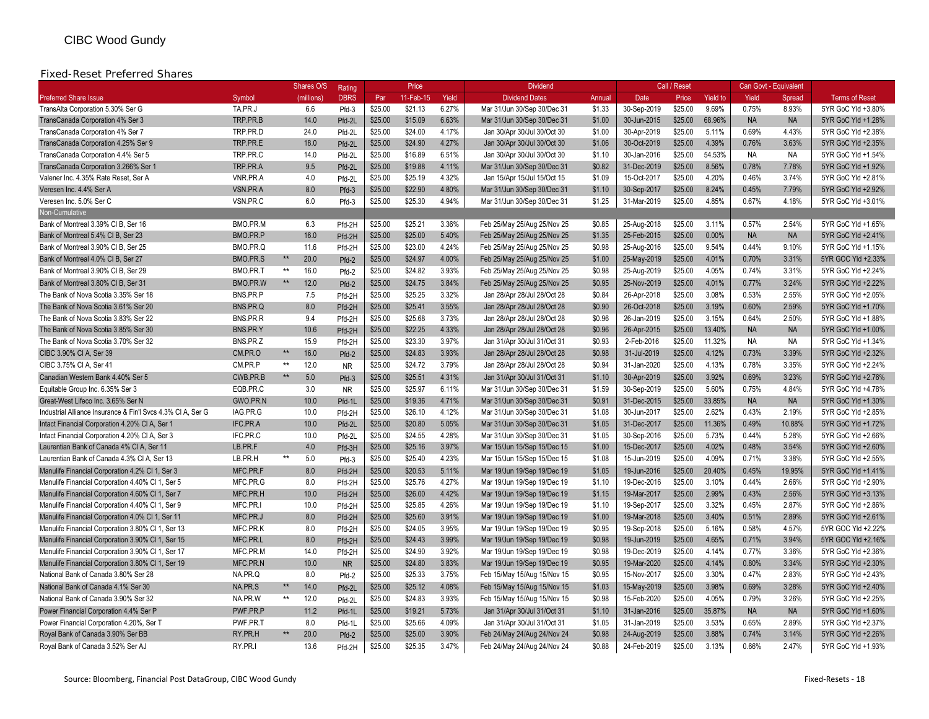### Fixed-Reset Preferred Shares

|                                                             |                 | Shares O/S           | Rating      |         | Price     |       | <b>Dividend</b>             |        |             | Call / Reset |                 |           | Can Govt - Equivalent |                       |
|-------------------------------------------------------------|-----------------|----------------------|-------------|---------|-----------|-------|-----------------------------|--------|-------------|--------------|-----------------|-----------|-----------------------|-----------------------|
| <b>Preferred Share Issue</b>                                | Symbol          | (millions)           | <b>DBRS</b> | Par     | 11-Feb-15 | Yield | <b>Dividend Dates</b>       | Annual | <b>Date</b> | Price        | <b>Yield to</b> | Yield     | Spread                | <b>Terms of Reset</b> |
| TransAlta Corporation 5.30% Ser G                           | TA.PR.J         | 6.6                  | Pfd-3       | \$25.00 | \$21.13   | 6.27% | Mar 31/Jun 30/Sep 30/Dec 31 | \$1.33 | 30-Sep-2019 | \$25.00      | 9.69%           | 0.75%     | 8.93%                 | 5YR GoC Yld +3.80%    |
| TransCanada Corporation 4% Ser 3                            | TRP.PR.B        | 14.0                 | Pfd-2L      | \$25.00 | \$15.09   | 6.63% | Mar 31/Jun 30/Sep 30/Dec 31 | \$1.00 | 30-Jun-2015 | \$25.00      | 68.96%          | <b>NA</b> | <b>NA</b>             | 5YR GoC Yld +1.28%    |
| TransCanada Corporation 4% Ser 7                            | TRP.PR.D        | 24.0                 | Pfd-2L      | \$25.00 | \$24.00   | 4.17% | Jan 30/Apr 30/Jul 30/Oct 30 | \$1.00 | 30-Apr-2019 | \$25.00      | 5.11%           | 0.69%     | 4.43%                 | 5YR GoC Yld +2.38%    |
| TransCanada Corporation 4.25% Ser 9                         | TRP.PR.E        | 18.0                 | Pfd-2L      | \$25.00 | \$24.90   | 4.27% | Jan 30/Apr 30/Jul 30/Oct 30 | \$1.06 | 30-Oct-2019 | \$25.00      | 4.39%           | 0.76%     | 3.63%                 | 5YR GoC Yld +2.35%    |
| TransCanada Corporation 4.4% Ser 5                          | TRP.PR.C        | 14.0                 | Pfd-2L      | \$25.00 | \$16.89   | 6.51% | Jan 30/Apr 30/Jul 30/Oct 30 | \$1.10 | 30-Jan-2016 | \$25.00      | 54.53%          | <b>NA</b> | <b>NA</b>             | 5YR GoC Yld +1.54%    |
| TransCanada Corporation 3.266% Ser 1                        | TRP.PR.A        | 9.5                  | Pfd-2L      | \$25.00 | \$19.88   | 4.11% | Mar 31/Jun 30/Sep 30/Dec 31 | \$0.82 | 31-Dec-2019 | \$25.00      | 8.56%           | 0.78%     | 7.78%                 | 5YR GoC Yld +1.92%    |
| Valener Inc. 4.35% Rate Reset, Ser A                        | VNR.PR.A        | 4.0                  | Pfd-2L      | \$25.00 | \$25.19   | 4.32% | Jan 15/Apr 15/Jul 15/Oct 15 | \$1.09 | 15-Oct-2017 | \$25.00      | 4.20%           | 0.46%     | 3.74%                 | 5YR GoC Yld +2.81%    |
| Veresen Inc. 4.4% Ser A                                     | VSN.PR.A        | 8.0                  | Pfd-3       | \$25.00 | \$22.90   | 4.80% | Mar 31/Jun 30/Sep 30/Dec 31 | \$1.10 | 30-Sep-2017 | \$25.00      | 8.24%           | 0.45%     | 7.79%                 | 5YR GoC Yld +2.92%    |
| Veresen Inc. 5.0% Ser C                                     | VSN.PR.C        | 6.0                  | Pfd-3       | \$25.00 | \$25.30   | 4.94% | Mar 31/Jun 30/Sep 30/Dec 31 | \$1.25 | 31-Mar-2019 | \$25.00      | 4.85%           | 0.67%     | 4.18%                 | 5YR GoC Yld +3.01%    |
| Non-Cumulative                                              |                 |                      |             |         |           |       |                             |        |             |              |                 |           |                       |                       |
| Bank of Montreal 3.39% CI B, Ser 16                         | BMO.PR.M        | 6.3                  | Pfd-2H      | \$25.00 | \$25.21   | 3.36% | Feb 25/May 25/Aug 25/Nov 25 | \$0.85 | 25-Aug-2018 | \$25.00      | 3.11%           | 0.57%     | 2.54%                 | 5YR GoC Yld +1.65%    |
| Bank of Montreal 5.4% Cl B, Ser 23                          | BMO.PR.P        | 16.0                 | Pfd-2H      | \$25.00 | \$25.00   | 5.40% | Feb 25/May 25/Aug 25/Nov 25 | \$1.35 | 25-Feb-2015 | \$25.00      | 0.00%           | <b>NA</b> | <b>NA</b>             | 5YR GoC Yld +2.41%    |
| Bank of Montreal 3.90% CI B, Ser 25                         | BMO.PR.Q        | 11.6                 | Pfd-2H      | \$25.00 | \$23.00   | 4.24% | Feb 25/May 25/Aug 25/Nov 25 | \$0.98 | 25-Aug-2016 | \$25.00      | 9.54%           | 0.44%     | 9.10%                 | 5YR GoC Yld +1.15%    |
| Bank of Montreal 4.0% Cl B, Ser 27                          | BMO.PR.S        | 20.0<br>$\star\star$ | Pfd-2       | \$25.00 | \$24.97   | 4.00% | Feb 25/May 25/Aug 25/Nov 25 | \$1.00 | 25-May-2019 | \$25.00      | 4.01%           | 0.70%     | 3.31%                 | 5YR GOC Yld +2.33%    |
| Bank of Montreal 3.90% CI B, Ser 29                         | BMO.PR.T        | 16.0<br>$**$         | Pfd-2       | \$25.00 | \$24.82   | 3.93% | Feb 25/May 25/Aug 25/Nov 25 | \$0.98 | 25-Aug-2019 | \$25.00      | 4.05%           | 0.74%     | 3.31%                 | 5YR GoC Yld +2.24%    |
| Bank of Montreal 3.80% CI B, Ser 31                         | BMO.PR.W        | 12.0<br>$**$         | Pfd-2       | \$25.00 | \$24.75   | 3.84% | Feb 25/May 25/Aug 25/Nov 25 | \$0.95 | 25-Nov-2019 | \$25.00      | 4.01%           | 0.77%     | 3.24%                 | 5YR GoC Yld +2.22%    |
| The Bank of Nova Scotia 3.35% Ser 18                        | BNS.PR.P        | 7.5                  | Pfd-2H      | \$25.00 | \$25.25   | 3.32% | Jan 28/Apr 28/Jul 28/Oct 28 | \$0.84 | 26-Apr-2018 | \$25.00      | 3.08%           | 0.53%     | 2.55%                 | 5YR GoC Yld +2.05%    |
| The Bank of Nova Scotia 3.61% Ser 20                        | BNS.PR.Q        | 8.0                  | Pfd-2H      | \$25.00 | \$25.41   | 3.55% | Jan 28/Apr 28/Jul 28/Oct 28 | \$0.90 | 26-Oct-2018 | \$25.00      | 3.19%           | 0.60%     | 2.59%                 | 5YR GoC Yld +1.70%    |
| The Bank of Nova Scotia 3.83% Ser 22                        | BNS.PR.R        | 9.4                  | Pfd-2H      | \$25.00 | \$25.68   | 3.73% | Jan 28/Apr 28/Jul 28/Oct 28 | \$0.96 | 26-Jan-2019 | \$25.00      | 3.15%           | 0.64%     | 2.50%                 | 5YR GoC Yld +1.88%    |
| The Bank of Nova Scotia 3.85% Ser 30                        | BNS.PR.Y        | 10.6                 | Pfd-2H      | \$25.00 | \$22.25   | 4.33% | Jan 28/Apr 28/Jul 28/Oct 28 | \$0.96 | 26-Apr-2015 | \$25.00      | 13.40%          | <b>NA</b> | <b>NA</b>             | 5YR GoC Yld +1.00%    |
| The Bank of Nova Scotia 3.70% Ser 32                        | BNS.PR.Z        | 15.9                 | Pfd-2H      | \$25.00 | \$23.30   | 3.97% | Jan 31/Apr 30/Jul 31/Oct 31 | \$0.93 | 2-Feb-2016  | \$25.00      | 11.32%          | <b>NA</b> | <b>NA</b>             | 5YR GoC Yld +1.34%    |
| CIBC 3.90% CI A, Ser 39                                     | CM.PR.O         | 16.0<br>$\star\star$ | Pfd-2       | \$25.00 | \$24.83   | 3.93% | Jan 28/Apr 28/Jul 28/Oct 28 | \$0.98 | 31-Jul-2019 | \$25.00      | 4.12%           | 0.73%     | 3.39%                 | 5YR GoC Yld +2.32%    |
| CIBC 3.75% CI A, Ser 41                                     | CM.PR.P         | 12.0<br>**           | <b>NR</b>   | \$25.00 | \$24.72   | 3.79% | Jan 28/Apr 28/Jul 28/Oct 28 | \$0.94 | 31-Jan-2020 | \$25.00      | 4.13%           | 0.78%     | 3.35%                 | 5YR GoC Yld +2.24%    |
| Canadian Western Bank 4.40% Ser 5                           | CWB.PR.B        | $\star\star$<br>5.0  | Pfd-3       | \$25.00 | \$25.51   | 4.31% | Jan 31/Apr 30/Jul 31/Oct 31 | \$1.10 | 30-Apr-2019 | \$25.00      | 3.92%           | 0.69%     | 3.23%                 | 5YR GoC Yld +2.76%    |
| Equitable Group Inc. 6.35% Ser 3                            | EQB.PR.C        | 3.0                  | <b>NR</b>   | \$25.00 | \$25.97   | 6.11% | Mar 31/Jun 30/Sep 30/Dec 31 | \$1.59 | 30-Sep-2019 | \$25.00      | 5.60%           | 0.75%     | 4.84%                 | 5YR GoC Yld +4.78%    |
| Great-West Lifeco Inc. 3.65% Ser N                          | GWO.PR.N        | 10.0                 | Pfd-1L      | \$25.00 | \$19.36   | 4.71% | Mar 31/Jun 30/Sep 30/Dec 31 | \$0.91 | 31-Dec-2015 | \$25.00      | 33.85%          | <b>NA</b> | <b>NA</b>             | 5YR GoC Yld +1.30%    |
| Industrial Alliance Insurance & Fin'l Svcs 4.3% CI A, Ser G | IAG.PR.G        | 10.0                 | Pfd-2H      | \$25.00 | \$26.10   | 4.12% | Mar 31/Jun 30/Sep 30/Dec 31 | \$1.08 | 30-Jun-2017 | \$25.00      | 2.62%           | 0.43%     | 2.19%                 | 5YR GoC Yld +2.85%    |
| Intact Financial Corporation 4.20% CI A, Ser 1              | <b>IFC.PR.A</b> | 10.0                 | Pfd-2L      | \$25.00 | \$20.80   | 5.05% | Mar 31/Jun 30/Sep 30/Dec 31 | \$1.05 | 31-Dec-2017 | \$25.00      | 11.36%          | 0.49%     | 10.88%                | 5YR GoC Yld +1.72%    |
| Intact Financial Corporation 4.20% CI A, Ser 3              | IFC.PR.C        | 10.0                 | Pfd-2L      | \$25.00 | \$24.55   | 4.28% | Mar 31/Jun 30/Sep 30/Dec 31 | \$1.05 | 30-Sep-2016 | \$25.00      | 5.73%           | 0.44%     | 5.28%                 | 5YR GoC Yld +2.66%    |
| Laurentian Bank of Canada 4% CI A, Ser 11                   | LB.PR.F         | 4.0                  | Pfd-3H      | \$25.00 | \$25.16   | 3.97% | Mar 15/Jun 15/Sep 15/Dec 15 | \$1.00 | 15-Dec-2017 | \$25.00      | 4.02%           | 0.48%     | 3.54%                 | 5YR GoC Yld +2.60%    |
| Laurentian Bank of Canada 4.3% CI A, Ser 13                 | LB.PR.H         | 5.0<br>$\star\star$  | Pfd-3       | \$25.00 | \$25.40   | 4.23% | Mar 15/Jun 15/Sep 15/Dec 15 | \$1.08 | 15-Jun-2019 | \$25.00      | 4.09%           | 0.71%     | 3.38%                 | 5YR GoC Yld +2.55%    |
| Manulife Financial Corporation 4.2% Cl 1, Ser 3             | MFC.PR.F        | 8.0                  | Pfd-2H      | \$25.00 | \$20.53   | 5.11% | Mar 19/Jun 19/Sep 19/Dec 19 | \$1.05 | 19-Jun-2016 | \$25.00      | 20.40%          | 0.45%     | 19.95%                | 5YR GoC Yld +1.41%    |
| Manulife Financial Corporation 4.40% Cl 1, Ser 5            | MFC.PR.G        | 8.0                  | Pfd-2H      | \$25.00 | \$25.76   | 4.27% | Mar 19/Jun 19/Sep 19/Dec 19 | \$1.10 | 19-Dec-2016 | \$25.00      | 3.10%           | 0.44%     | 2.66%                 | 5YR GoC Yld +2.90%    |
| Manulife Financial Corporation 4.60% Cl 1, Ser 7            | MFC.PR.H        | 10.0                 | Pfd-2H      | \$25.00 | \$26.00   | 4.42% | Mar 19/Jun 19/Sep 19/Dec 19 | \$1.15 | 19-Mar-2017 | \$25.00      | 2.99%           | 0.43%     | 2.56%                 | 5YR GoC Yld +3.13%    |
| Manulife Financial Corporation 4.40% CI 1, Ser 9            | MFC.PR.I        | 10.0                 | Pfd-2H      | \$25.00 | \$25.85   | 4.26% | Mar 19/Jun 19/Sep 19/Dec 19 | \$1.10 | 19-Sep-2017 | \$25.00      | 3.32%           | 0.45%     | 2.87%                 | 5YR GoC Yld +2.86%    |
| Manulife Financial Corporation 4.0% Cl 1, Ser 11            | MFC.PR.J        | 8.0                  | Pfd-2H      | \$25.00 | \$25.60   | 3.91% | Mar 19/Jun 19/Sep 19/Dec 19 | \$1.00 | 19-Mar-2018 | \$25.00      | 3.40%           | 0.51%     | 2.89%                 | 5YR GoC Yld +2.61%    |
| Manulife Financial Corporation 3.80% CI 1, Ser 13           | MFC.PR.K        | 8.0                  | Pfd-2H      | \$25.00 | \$24.05   | 3.95% | Mar 19/Jun 19/Sep 19/Dec 19 | \$0.95 | 19-Sep-2018 | \$25.00      | 5.16%           | 0.58%     | 4.57%                 | 5YR GOC Yld +2.22%    |
| Manulife Financial Corporation 3.90% CI 1, Ser 15           | MFC.PR.L        | 8.0                  | Pfd-2H      | \$25.00 | \$24.43   | 3.99% | Mar 19/Jun 19/Sep 19/Dec 19 | \$0.98 | 19-Jun-2019 | \$25.00      | 4.65%           | 0.71%     | 3.94%                 | 5YR GOC Yld +2.16%    |
| Manulife Financial Corporation 3.90% CI 1, Ser 17           | MFC.PR.M        | 14.0                 | Pfd-2H      | \$25.00 | \$24.90   | 3.92% | Mar 19/Jun 19/Sep 19/Dec 19 | \$0.98 | 19-Dec-2019 | \$25.00      | 4.14%           | 0.77%     | 3.36%                 | 5YR GoC Yld +2.36%    |
| Manulife Financial Corporation 3.80% Cl 1, Ser 19           | MFC.PR.N        | 10.0                 | <b>NR</b>   | \$25.00 | \$24.80   | 3.83% | Mar 19/Jun 19/Sep 19/Dec 19 | \$0.95 | 19-Mar-2020 | \$25.00      | 4.14%           | 0.80%     | 3.34%                 | 5YR GoC Yld +2.30%    |
| National Bank of Canada 3.80% Ser 28                        | NA.PR.Q         | 8.0                  | Pfd-2       | \$25.00 | \$25.33   | 3.75% | Feb 15/May 15/Aug 15/Nov 15 | \$0.95 | 15-Nov-2017 | \$25.00      | 3.30%           | 0.47%     | 2.83%                 | 5YR GoC Yld +2.43%    |
| National Bank of Canada 4.1% Ser 30                         | NA.PR.S         | **<br>14.0           | Pfd-2L      | \$25.00 | \$25.12   | 4.08% | Feb 15/May 15/Aug 15/Nov 15 | \$1.03 | 15-May-2019 | \$25.00      | 3.98%           | 0.69%     | 3.28%                 | 5YR GoC Yld +2.40%    |
| National Bank of Canada 3.90% Ser 32                        | NA.PR.W         | 12.0<br>**           | Pfd-2L      | \$25.00 | \$24.83   | 3.93% | Feb 15/May 15/Aug 15/Nov 15 | \$0.98 | 15-Feb-2020 | \$25.00      | 4.05%           | 0.79%     | 3.26%                 | 5YR GoC Yld +2.25%    |
| Power Financial Corporation 4.4% Ser P                      | PWF.PR.P        | 11.2                 | Pfd-1L      | \$25.00 | \$19.21   | 5.73% | Jan 31/Apr 30/Jul 31/Oct 31 | \$1.10 | 31-Jan-2016 | \$25.00      | 35.87%          | <b>NA</b> | <b>NA</b>             | 5YR GoC Yld +1.60%    |
| Power Financial Corporation 4.20%, Ser 1                    | PWF.PR.T        | 8.0                  | Pfd-1L      | \$25.00 | \$25.66   | 4.09% | Jan 31/Apr 30/Jul 31/Oct 31 | \$1.05 | 31-Jan-2019 | \$25.00      | 3.53%           | 0.65%     | 2.89%                 | 5YR GoC Yld +2.37%    |
| Royal Bank of Canada 3.90% Ser BB                           | RY.PR.H         | 20.0<br>$\star\star$ | Pfd-2       | \$25.00 | \$25.00   | 3.90% | Feb 24/May 24/Aug 24/Nov 24 | \$0.98 | 24-Aug-2019 | \$25.00      | 3.88%           | 0.74%     | 3.14%                 | 5YR GoC Yld +2.26%    |
| Roval Bank of Canada 3.52% Ser AJ                           | RY.PR.I         | 13.6                 | Pfd-2H      | \$25.00 | \$25.35   | 3.47% | Feb 24/May 24/Aug 24/Nov 24 | \$0.88 | 24-Feb-2019 | \$25.00      | 3.13%           | 0.66%     | 2.47%                 | 5YR GoC Yld +1.93%    |
|                                                             |                 |                      |             |         |           |       |                             |        |             |              |                 |           |                       |                       |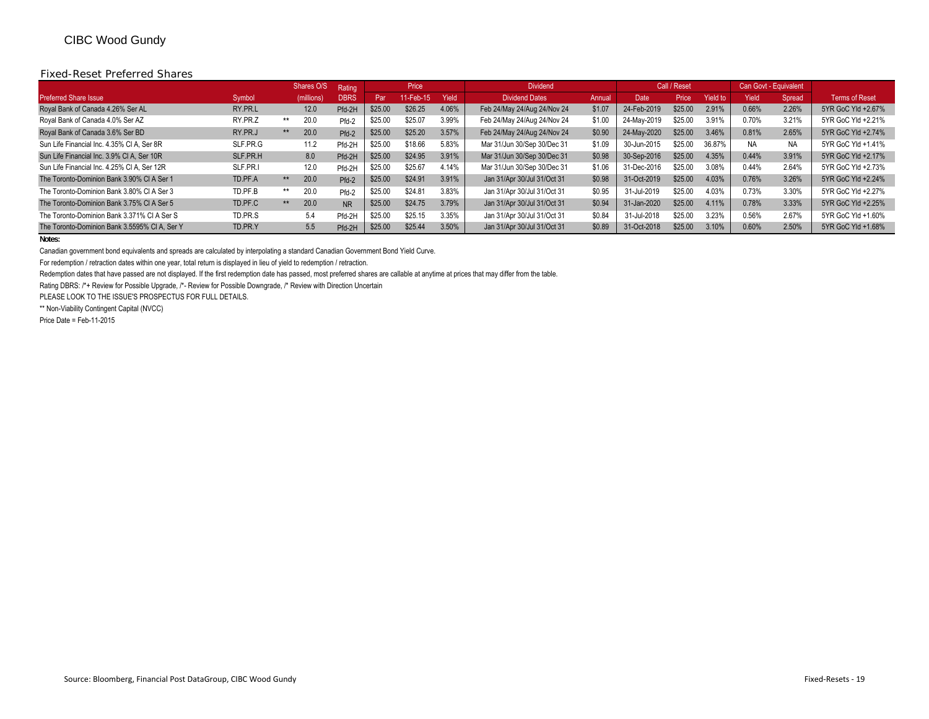#### Fixed-Reset Preferred Shares

|                                               |          | Shares O/S   | Rating      |         | Price     |       | <b>Dividend</b>             |        |             | Call / Reset |                 |           | Can Govt - Equivalent |                       |
|-----------------------------------------------|----------|--------------|-------------|---------|-----------|-------|-----------------------------|--------|-------------|--------------|-----------------|-----------|-----------------------|-----------------------|
| <b>Preferred Share Issue</b>                  | Symbol   | (millions)   | <b>DBRS</b> | Par     | 11-Feb-15 | Yield | <b>Dividend Dates</b>       | Annual | Date        | Price        | <b>Yield to</b> | Yield     | Spread                | <b>Terms of Reset</b> |
| Royal Bank of Canada 4.26% Ser AL             | RY.PR.L  | 12.0         | Pfd-2H      | \$25.00 | \$26.25   | 4.06% | Feb 24/May 24/Aug 24/Nov 24 | \$1.07 | 24-Feb-2019 | \$25.00      | 2.91%           | 0.66%     | 2.26%                 | 5YR GoC Yld +2.67%    |
| Royal Bank of Canada 4.0% Ser AZ              | RY.PR.Z  | 20.0<br>**   | Pfd-2       | \$25.00 | \$25.07   | 3.99% | Feb 24/May 24/Aug 24/Nov 24 | \$1.00 | 24-May-2019 | \$25.00      | 3.91%           | 0.70%     | 3.21%                 | 5YR GoC Yld +2.21%    |
| Royal Bank of Canada 3.6% Ser BD              | RY.PR.J  | 20.0<br>$*$  | Pfd-2       | \$25.00 | \$25.20   | 3.57% | Feb 24/May 24/Aug 24/Nov 24 | \$0.90 | 24-May-2020 | \$25.00      | 3.46%           | 0.81%     | 2.65%                 | 5YR GoC Yld +2.74%    |
| Sun Life Financial Inc. 4.35% CI A. Ser 8R    | SLF.PR.G | 11.2         | Pfd-2H      | \$25.00 | \$18.66   | 5.83% | Mar 31/Jun 30/Sep 30/Dec 31 | \$1.09 | 30-Jun-2015 | \$25.00      | 36.87%          | <b>NA</b> | NA.                   | 5YR GoC Yld +1.41%    |
| Sun Life Financial Inc. 3.9% CI A, Ser 10R    | SLF.PR.H | 8.0          | Pfd-2H      | \$25.00 | \$24.95   | 3.91% | Mar 31/Jun 30/Sep 30/Dec 31 | \$0.98 | 30-Sep-2016 | \$25.00      | 4.35%           | 0.44%     | 3.91%                 | 5YR GoC Yld +2.17%    |
| Sun Life Financial Inc. 4.25% CI A. Ser 12R   | SLF.PR.I | 12.0         | Pfd-2H      | \$25.00 | \$25.67   | 4.14% | Mar 31/Jun 30/Sep 30/Dec 31 | \$1.06 | 31-Dec-2016 | \$25.00      | 3.08%           | 0.44%     | 2.64%                 | 5YR GoC Yld +2.73%    |
| The Toronto-Dominion Bank 3.90% CI A Ser 1    | TD.PF.A  | 20.0<br>$**$ | Pfd-2       | \$25.00 | \$24.91   | 3.91% | Jan 31/Apr 30/Jul 31/Oct 31 | \$0.98 | 31-Oct-2019 | \$25.00      | 4.03%           | 0.76%     | 3.26%                 | 5YR GoC Yld +2.24%    |
| The Toronto-Dominion Bank 3.80% CI A Ser 3    | TD.PF.B  | 20.0<br>$**$ | Pfd-2       | \$25.00 | \$24.81   | 3.83% | Jan 31/Apr 30/Jul 31/Oct 31 | \$0.95 | 31-Jul-2019 | \$25.00      | 4.03%           | 0.73%     | 3.30%                 | 5YR GoC Yld +2.27%    |
| The Toronto-Dominion Bank 3.75% CI A Ser 5    | TD.PF.C  | 20.0<br>$**$ | <b>NR</b>   | \$25.00 | \$24.75   | 3.79% | Jan 31/Apr 30/Jul 31/Oct 31 | \$0.94 | 31-Jan-2020 | \$25.00      | 4.11%           | 0.78%     | 3.33%                 | 5YR GoC Yld +2.25%    |
| The Toronto-Dominion Bank 3.371% CI A Ser S   | TD.PR.S  | 5.4          | Pfd-2H      | \$25.00 | \$25.15   | 3.35% | Jan 31/Apr 30/Jul 31/Oct 31 | \$0.84 | 31-Jul-2018 | \$25.00      | 3.23%           | 0.56%     | 2.67%                 | 5YR GoC Yld +1.60%    |
| The Toronto-Dominion Bank 3.5595% CI A. Ser Y | TD.PR.Y  | 5.5          | Pfd-2H      | \$25.00 | \$25.44   | 3.50% | Jan 31/Apr 30/Jul 31/Oct 31 | \$0.89 | 31-Oct-2018 | \$25.00      | 3.10%           | 0.60%     | 2.50%                 | 5YR GoC Yld +1.68%    |

#### **Notes:**

Canadian government bond equivalents and spreads are calculated by interpolating a standard Canadian Government Bond Yield Curve.

For redemption / retraction dates within one year, total return is displayed in lieu of yield to redemption / retraction.

Redemption dates that have passed are not displayed. If the first redemption date has passed, most preferred shares are callable at anytime at prices that may differ from the table.

Rating DBRS: /\*+ Review for Possible Upgrade, /\*- Review for Possible Downgrade, /\* Review with Direction Uncertain

PLEASE LOOK TO THE ISSUE'S PROSPECTUS FOR FULL DETAILS.

\*\* Non-Viability Contingent Capital (NVCC)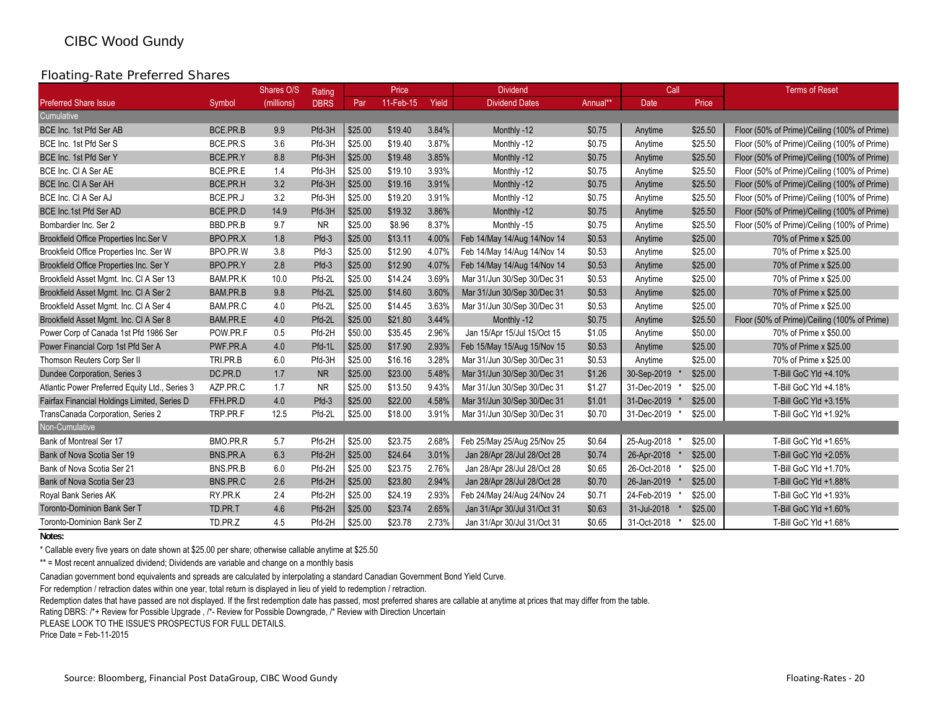### Floating-Rate Preferred Shares

|                                                |          | Shares O/S | Rating      |         | Price     |       | <b>Dividend</b>             |          | Call        |         | <b>Terms of Reset</b>                        |
|------------------------------------------------|----------|------------|-------------|---------|-----------|-------|-----------------------------|----------|-------------|---------|----------------------------------------------|
| <b>Preferred Share Issue</b>                   | Symbol   | (millions) | <b>DBRS</b> | Par     | 11-Feb-15 | Yield | <b>Dividend Dates</b>       | Annual** | <b>Date</b> | Price   |                                              |
| Cumulative                                     |          |            |             |         |           |       |                             |          |             |         |                                              |
| BCE Inc. 1st Pfd Ser AB                        | BCE.PR.B | 9.9        | Pfd-3H      | \$25.00 | \$19.40   | 3.84% | Monthly -12                 | \$0.75   | Anytime     | \$25.50 | Floor (50% of Prime)/Ceiling (100% of Prime) |
| BCE Inc. 1st Pfd Ser S                         | BCE.PR.S | 3.6        | Pfd-3H      | \$25.00 | \$19.40   | 3.87% | Monthly -12                 | \$0.75   | Anytime     | \$25.50 | Floor (50% of Prime)/Ceiling (100% of Prime) |
| BCE Inc. 1st Pfd Ser Y                         | BCE.PR.Y | 8.8        | Pfd-3H      | \$25.00 | \$19.48   | 3.85% | Monthly -12                 | \$0.75   | Anytime     | \$25.50 | Floor (50% of Prime)/Ceiling (100% of Prime) |
| BCE Inc. CI A Ser AE                           | BCE.PR.E | 1.4        | Pfd-3H      | \$25.00 | \$19.10   | 3.93% | Monthly -12                 | \$0.75   | Anytime     | \$25.50 | Floor (50% of Prime)/Ceiling (100% of Prime) |
| BCE Inc. CI A Ser AH                           | BCE.PR.H | 3.2        | Pfd-3H      | \$25.00 | \$19.16   | 3.91% | Monthly -12                 | \$0.75   | Anytime     | \$25.50 | Floor (50% of Prime)/Ceiling (100% of Prime) |
| BCE Inc. CI A Ser AJ                           | BCE.PR.J | 3.2        | Pfd-3H      | \$25.00 | \$19.20   | 3.91% | Monthly -12                 | \$0.75   | Anytime     | \$25.50 | Floor (50% of Prime)/Ceiling (100% of Prime) |
| BCE Inc.1st Pfd Ser AD                         | BCE.PR.D | 14.9       | Pfd-3H      | \$25.00 | \$19.32   | 3.86% | Monthly -12                 | \$0.75   | Anytime     | \$25.50 | Floor (50% of Prime)/Ceiling (100% of Prime) |
| Bombardier Inc. Ser 2                          | BBD.PR.B | 9.7        | <b>NR</b>   | \$25.00 | \$8.96    | 8.37% | Monthly -15                 | \$0.75   | Anytime     | \$25.50 | Floor (50% of Prime)/Ceiling (100% of Prime) |
| Brookfield Office Properties Inc.Ser V         | BPO.PR.X | 1.8        | Pfd-3       | \$25.00 | \$13.11   | 4.00% | Feb 14/May 14/Aug 14/Nov 14 | \$0.53   | Anytime     | \$25.00 | 70% of Prime x \$25.00                       |
| Brookfield Office Properties Inc. Ser W        | BPO.PR.W | 3.8        | Pfd-3       | \$25.00 | \$12.90   | 4.07% | Feb 14/May 14/Aug 14/Nov 14 | \$0.53   | Anytime     | \$25.00 | 70% of Prime x \$25.00                       |
| Brookfield Office Properties Inc. Ser Y        | BPO.PR.Y | 2.8        | Pfd-3       | \$25.00 | \$12.90   | 4.07% | Feb 14/May 14/Aug 14/Nov 14 | \$0.53   | Anytime     | \$25.00 | 70% of Prime x \$25.00                       |
| Brookfield Asset Mgmt. Inc. CI A Ser 13        | BAM.PR.K | 10.0       | Pfd-2L      | \$25.00 | \$14.24   | 3.69% | Mar 31/Jun 30/Sep 30/Dec 31 | \$0.53   | Anytime     | \$25.00 | 70% of Prime x \$25.00                       |
| Brookfield Asset Mgmt. Inc. CI A Ser 2         | BAM.PR.B | 9.8        | Pfd-2L      | \$25.00 | \$14.60   | 3.60% | Mar 31/Jun 30/Sep 30/Dec 31 | \$0.53   | Anytime     | \$25.00 | 70% of Prime x \$25.00                       |
| Brookfield Asset Mgmt. Inc. CI A Ser 4         | BAM.PR.C | 4.0        | Pfd-2L      | \$25.00 | \$14.45   | 3.63% | Mar 31/Jun 30/Sep 30/Dec 31 | \$0.53   | Anytime     | \$25.00 | 70% of Prime x \$25.00                       |
| Brookfield Asset Mgmt. Inc. CI A Ser 8         | BAM.PR.E | 4.0        | Pfd-2L      | \$25.00 | \$21.80   | 3.44% | Monthly -12                 | \$0.75   | Anytime     | \$25.50 | Floor (50% of Prime)/Ceiling (100% of Prime) |
| Power Corp of Canada 1st Pfd 1986 Ser          | POW.PR.F | 0.5        | Pfd-2H      | \$50.00 | \$35.45   | 2.96% | Jan 15/Apr 15/Jul 15/Oct 15 | \$1.05   | Anytime     | \$50.00 | 70% of Prime x \$50.00                       |
| Power Financial Corp 1st Pfd Ser A             | PWF.PR.A | 4.0        | Pfd-1L      | \$25.00 | \$17.90   | 2.93% | Feb 15/May 15/Aug 15/Nov 15 | \$0.53   | Anytime     | \$25.00 | 70% of Prime x \$25.00                       |
| Thomson Reuters Corp Ser II                    | TRI.PR.B | 6.0        | Pfd-3H      | \$25.00 | \$16.16   | 3.28% | Mar 31/Jun 30/Sep 30/Dec 31 | \$0.53   | Anytime     | \$25.00 | 70% of Prime x \$25.00                       |
| Dundee Corporation, Series 3                   | DC.PR.D  | 1.7        | <b>NR</b>   | \$25.00 | \$23.00   | 5.48% | Mar 31/Jun 30/Sep 30/Dec 31 | \$1.26   | 30-Sep-2019 | \$25.00 | T-Bill GoC Yld +4.10%                        |
| Atlantic Power Preferred Equity Ltd., Series 3 | AZP.PR.C | 1.7        | <b>NR</b>   | \$25.00 | \$13.50   | 9.43% | Mar 31/Jun 30/Sep 30/Dec 31 | \$1.27   | 31-Dec-2019 | \$25.00 | T-Bill GoC Yld +4.18%                        |
| Fairfax Financial Holdings Limited, Series D   | FFH.PR.D | 4.0        | Pfd-3       | \$25.00 | \$22.00   | 4.58% | Mar 31/Jun 30/Sep 30/Dec 31 | \$1.01   | 31-Dec-2019 | \$25.00 | T-Bill GoC Yld +3.15%                        |
| TransCanada Corporation, Series 2              | TRP.PR.F | 12.5       | Pfd-2L      | \$25.00 | \$18.00   | 3.91% | Mar 31/Jun 30/Sep 30/Dec 31 | \$0.70   | 31-Dec-2019 | \$25.00 | T-Bill GoC Yld +1.92%                        |
| Non-Cumulative                                 |          |            |             |         |           |       |                             |          |             |         |                                              |
| Bank of Montreal Ser 17                        | BMO.PR.R | 5.7        | Pfd-2H      | \$25.00 | \$23.75   | 2.68% | Feb 25/May 25/Aug 25/Nov 25 | \$0.64   | 25-Aug-2018 | \$25.00 | T-Bill GoC Yld +1.65%                        |
| Bank of Nova Scotia Ser 19                     | BNS.PR.A | 6.3        | Pfd-2H      | \$25.00 | \$24.64   | 3.01% | Jan 28/Apr 28/Jul 28/Oct 28 | \$0.74   | 26-Apr-2018 | \$25.00 | T-Bill GoC Yld +2.05%                        |
| Bank of Nova Scotia Ser 21                     | BNS.PR.B | 6.0        | Pfd-2H      | \$25.00 | \$23.75   | 2.76% | Jan 28/Apr 28/Jul 28/Oct 28 | \$0.65   | 26-Oct-2018 | \$25.00 | T-Bill GoC Yld +1.70%                        |
| Bank of Nova Scotia Ser 23                     | BNS.PR.C | 2.6        | Pfd-2H      | \$25.00 | \$23.80   | 2.94% | Jan 28/Apr 28/Jul 28/Oct 28 | \$0.70   | 26-Jan-2019 | \$25.00 | T-Bill GoC Yld +1.88%                        |
| Royal Bank Series AK                           | RY.PR.K  | 2.4        | Pfd-2H      | \$25.00 | \$24.19   | 2.93% | Feb 24/May 24/Aug 24/Nov 24 | \$0.71   | 24-Feb-2019 | \$25.00 | T-Bill GoC Yld +1.93%                        |
| <b>Toronto-Dominion Bank Ser T</b>             | TD.PR.T  | 4.6        | Pfd-2H      | \$25.00 | \$23.74   | 2.65% | Jan 31/Apr 30/Jul 31/Oct 31 | \$0.63   | 31-Jul-2018 | \$25.00 | T-Bill GoC Yld +1.60%                        |
| Toronto-Dominion Bank Ser Z                    | TD.PR.Z  | 4.5        | Pfd-2H      | \$25.00 | \$23.78   | 2.73% | Jan 31/Apr 30/Jul 31/Oct 31 | \$0.65   | 31-Oct-2018 | \$25.00 | T-Bill GoC Yld +1.68%                        |

**Notes:**

\* Callable every five years on date shown at \$25.00 per share; otherwise callable anytime at \$25.50

\*\* = Most recent annualized dividend; Dividends are variable and change on a monthly basis

Canadian government bond equivalents and spreads are calculated by interpolating a standard Canadian Government Bond Yield Curve.

For redemption / retraction dates within one year, total return is displayed in lieu of yield to redemption / retraction.

Redemption dates that have passed are not displayed. If the first redemption date has passed, most preferred shares are callable at anytime at prices that may differ from the table.

Rating DBRS: /\*+ Review for Possible Upgrade, /\*- Review for Possible Downgrade, /\* Review with Direction Uncertain

PLEASE LOOK TO THE ISSUE'S PROSPECTUS FOR FULL DETAILS.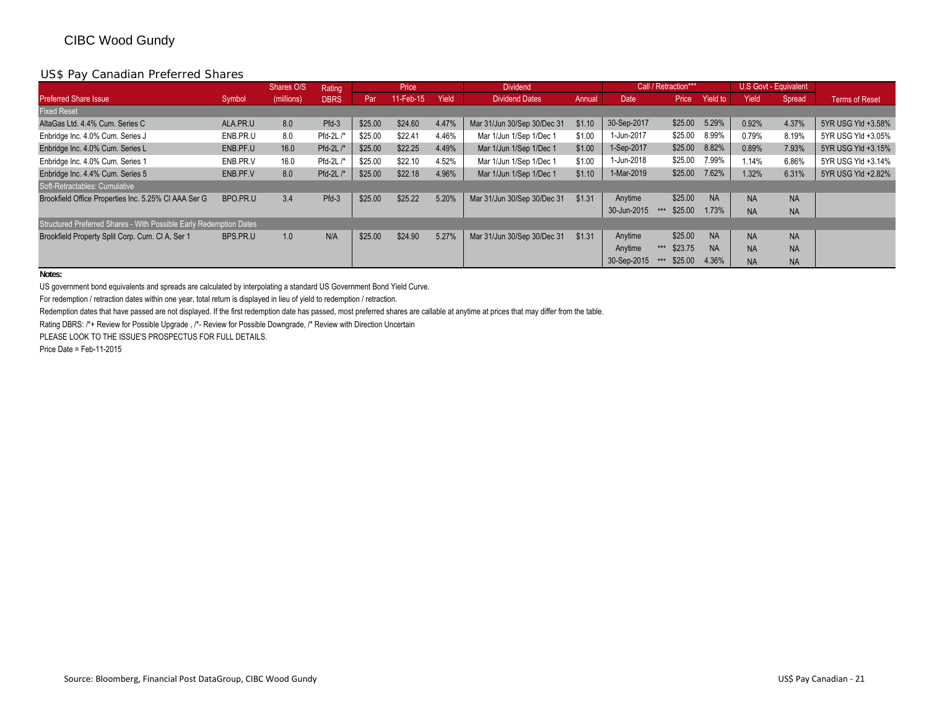### US\$ Pay Canadian Preferred Shares

|                                                                    |          | Shares O/S | Rating      |         | Price     |       | <b>Dividend</b>             |        |             | Call / Retraction*** |           |           | U.S Govt - Equivalent |                       |
|--------------------------------------------------------------------|----------|------------|-------------|---------|-----------|-------|-----------------------------|--------|-------------|----------------------|-----------|-----------|-----------------------|-----------------------|
| <b>Preferred Share Issue</b>                                       | Symbol   | (millions) | <b>DBRS</b> | Par     | 11-Feb-15 | Yield | <b>Dividend Dates</b>       | Annual | <b>Date</b> | Price                | Yield to  | Yield     | Spread                | <b>Terms of Reset</b> |
| <b>Fixed Reset</b>                                                 |          |            |             |         |           |       |                             |        |             |                      |           |           |                       |                       |
| AltaGas Ltd. 4.4% Cum. Series C                                    | ALA.PR.U | 8.0        | Pfd-3       | \$25.00 | \$24.60   | 4.47% | Mar 31/Jun 30/Sep 30/Dec 31 | \$1.10 | 30-Sep-2017 | \$25.00              | 5.29%     | 0.92%     | 4.37%                 | 5YR USG Yld +3.58%    |
| Enbridge Inc. 4.0% Cum. Series J                                   | ENB.PR.U | 8.0        | Pfd-2L /*   | \$25.00 | \$22.41   | 4.46% | Mar 1/Jun 1/Sep 1/Dec 1     | \$1.00 | 1-Jun-2017  | \$25.00              | 8.99%     | 0.79%     | 8.19%                 | 5YR USG Yld +3.05%    |
| Enbridge Inc. 4.0% Cum. Series L                                   | ENB.PF.U | 16.0       | Pfd-2L /*   | \$25.00 | \$22.25   | 4.49% | Mar 1/Jun 1/Sep 1/Dec 1     | \$1.00 | 1-Sep-2017  | \$25.00              | 8.82%     | 0.89%     | 7.93%                 | 5YR USG Yld +3.15%    |
| Enbridge Inc. 4.0% Cum. Series 1                                   | ENB.PR.V | 16.0       | Pfd-2L /*   | \$25.00 | \$22.10   | 4.52% | Mar 1/Jun 1/Sep 1/Dec 1     | \$1.00 | 1-Jun-2018  | \$25.00              | 7.99%     | 1.14%     | 6.86%                 | 5YR USG Yld +3.14%    |
| Enbridge Inc. 4.4% Cum. Series 5                                   | ENB.PF.V | 8.0        | Pfd-2L /*   | \$25.00 | \$22.18   | 4.96% | Mar 1/Jun 1/Sep 1/Dec 1     | \$1.10 | 1-Mar-2019  | \$25.00              | 7.62%     | 1.32%     | 6.31%                 | 5YR USG Yld +2.82%    |
| Soft-Retractables: Cumulative                                      |          |            |             |         |           |       |                             |        |             |                      |           |           |                       |                       |
| Brookfield Office Properties Inc. 5.25% CI AAA Ser G               | BPO.PR.U | 3.4        | Pfd-3       | \$25.00 | \$25.22   | 5.20% | Mar 31/Jun 30/Sep 30/Dec 31 | \$1.31 | Anytime     | \$25.00              | <b>NA</b> | <b>NA</b> | <b>NA</b>             |                       |
|                                                                    |          |            |             |         |           |       |                             |        | 30-Jun-2015 | \$25.00<br>***       | 1.73%     | <b>NA</b> | <b>NA</b>             |                       |
| Structured Preferred Shares - With Possible Early Redemption Dates |          |            |             |         |           |       |                             |        |             |                      |           |           |                       |                       |
| Brookfield Property Split Corp. Cum. CI A. Ser 1                   | BPS.PR.U | 1.0        | N/A         | \$25.00 | \$24.90   | 5.27% | Mar 31/Jun 30/Sep 30/Dec 31 | \$1.31 | Anytime     | \$25.00              | <b>NA</b> | <b>NA</b> | <b>NA</b>             |                       |
|                                                                    |          |            |             |         |           |       |                             |        | Anytime     | \$23.75<br>$***$     | <b>NA</b> | <b>NA</b> | <b>NA</b>             |                       |
|                                                                    |          |            |             |         |           |       |                             |        | 30-Sep-2015 | \$25.00<br>$***$     | 4.36%     | <b>NA</b> | <b>NA</b>             |                       |

**Notes:**

US government bond equivalents and spreads are calculated by interpolating a standard US Government Bond Yield Curve.

For redemption / retraction dates within one year, total return is displayed in lieu of yield to redemption / retraction.

Redemption dates that have passed are not displayed. If the first redemption date has passed, most preferred shares are callable at anytime at prices that may differ from the table.

Rating DBRS: /\*+ Review for Possible Upgrade , /\*- Review for Possible Downgrade, /\* Review with Direction Uncertain

PLEASE LOOK TO THE ISSUE'S PROSPECTUS FOR FULL DETAILS.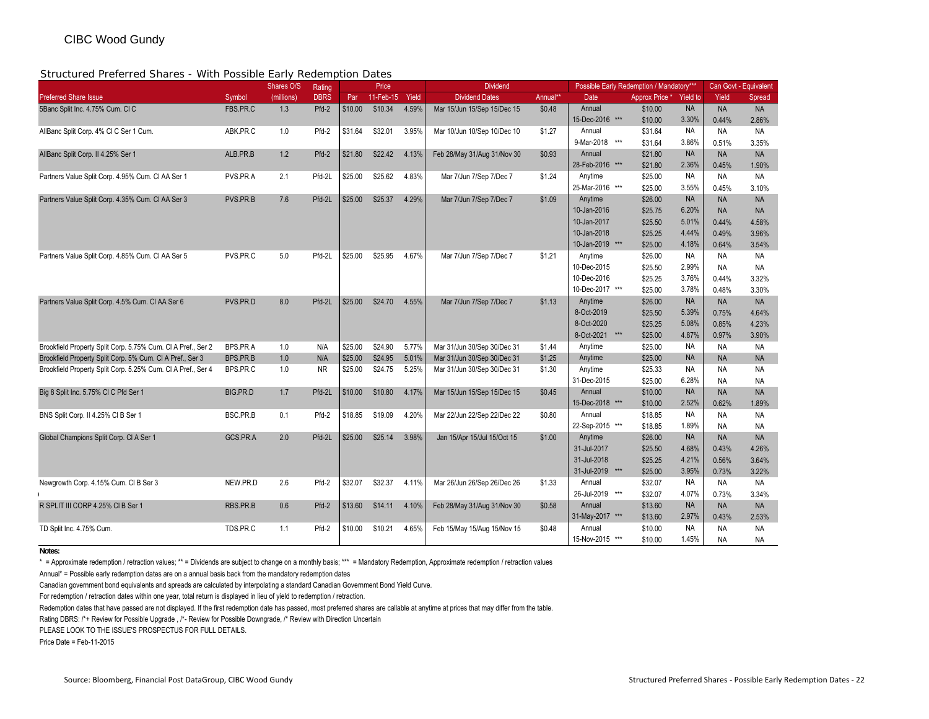#### Structured Preferred Shares - With Possible Early Redemption Dates

| 0 ii 0 iuli 0 u 1 iuli 0 u 1 iuli 0 u                        |          | Shares O/S | Rating      |         | Price     |       | <b>Dividend</b>             |          | Possible Early Redemption / Mandatory*** |                |                 |           | Can Govt - Equivalent |
|--------------------------------------------------------------|----------|------------|-------------|---------|-----------|-------|-----------------------------|----------|------------------------------------------|----------------|-----------------|-----------|-----------------------|
| <b>Preferred Share Issue</b>                                 | Symbol   | (millions) | <b>DBRS</b> | Par     | 11-Feb-15 | Yield | <b>Dividend Dates</b>       | Annual** | Date                                     | Approx Price * | <b>Yield to</b> | Yield     | Spread                |
| 5Banc Split Inc. 4.75% Cum. CIC                              | FBS.PR.C | 1.3        | Pfd-2       | \$10.00 | \$10.34   | 4.59% | Mar 15/Jun 15/Sep 15/Dec 15 | \$0.48   | Annual                                   | \$10.00        | <b>NA</b>       | <b>NA</b> | <b>NA</b>             |
|                                                              |          |            |             |         |           |       |                             |          | 15-Dec-2016 ***                          | \$10.00        | 3.30%           | 0.44%     | 2.86%                 |
| AllBanc Split Corp. 4% Cl C Ser 1 Cum.                       | ABK.PR.C | 1.0        | Pfd-2       | \$31.64 | \$32.01   | 3.95% | Mar 10/Jun 10/Sep 10/Dec 10 | \$1.27   | Annual                                   | \$31.64        | <b>NA</b>       | <b>NA</b> | <b>NA</b>             |
|                                                              |          |            |             |         |           |       |                             |          | 9-Mar-2018<br>***                        | \$31.64        | 3.86%           | 0.51%     | 3.35%                 |
| AllBanc Split Corp. II 4.25% Ser 1                           | ALB.PR.B | 1.2        | Pfd-2       | \$21.80 | \$22.42   | 4.13% | Feb 28/May 31/Aug 31/Nov 30 | \$0.93   | Annual                                   | \$21.80        | <b>NA</b>       | <b>NA</b> | <b>NA</b>             |
|                                                              |          |            |             |         |           |       |                             |          | 28-Feb-2016 ***                          | \$21.80        | 2.36%           | 0.45%     | 1.90%                 |
| Partners Value Split Corp. 4.95% Cum. CI AA Ser 1            | PVS.PR.A | 2.1        | Pfd-2L      | \$25.00 | \$25.62   | 4.83% | Mar 7/Jun 7/Sep 7/Dec 7     | \$1.24   | Anytime                                  | \$25.00        | <b>NA</b>       | <b>NA</b> | <b>NA</b>             |
|                                                              |          |            |             |         |           |       |                             |          | 25-Mar-2016 ***                          | \$25.00        | 3.55%           | 0.45%     | 3.10%                 |
| Partners Value Split Corp. 4.35% Cum. CI AA Ser 3            | PVS.PR.B | 7.6        | Pfd-2L      | \$25.00 | \$25.37   | 4.29% | Mar 7/Jun 7/Sep 7/Dec 7     | \$1.09   | Anytime                                  | \$26.00        | <b>NA</b>       | <b>NA</b> | <b>NA</b>             |
|                                                              |          |            |             |         |           |       |                             |          | 10-Jan-2016                              | \$25.75        | 6.20%           | <b>NA</b> | <b>NA</b>             |
|                                                              |          |            |             |         |           |       |                             |          | 10-Jan-2017                              | \$25.50        | 5.01%           | 0.44%     | 4.58%                 |
|                                                              |          |            |             |         |           |       |                             |          | 10-Jan-2018                              | \$25.25        | 4.44%           | 0.49%     | 3.96%                 |
|                                                              |          |            |             |         |           |       |                             |          | 10-Jan-2019 ***                          | \$25.00        | 4.18%           | 0.64%     | 3.54%                 |
| Partners Value Split Corp. 4.85% Cum. CI AA Ser 5            | PVS.PR.C | 5.0        | Pfd-2L      | \$25.00 | \$25.95   | 4.67% | Mar 7/Jun 7/Sep 7/Dec 7     | \$1.21   | Anytime                                  | \$26.00        | <b>NA</b>       | <b>NA</b> | <b>NA</b>             |
|                                                              |          |            |             |         |           |       |                             |          | 10-Dec-2015                              | \$25.50        | 2.99%           | <b>NA</b> | <b>NA</b>             |
|                                                              |          |            |             |         |           |       |                             |          | 10-Dec-2016                              | \$25.25        | 3.76%           | 0.44%     | 3.32%                 |
|                                                              |          |            |             |         |           |       |                             |          | 10-Dec-2017 ***                          | \$25.00        | 3.78%           | 0.48%     | 3.30%                 |
| Partners Value Split Corp. 4.5% Cum. CI AA Ser 6             | PVS.PR.D | 8.0        | Pfd-2L      | \$25.00 | \$24.70   | 4.55% | Mar 7/Jun 7/Sep 7/Dec 7     | \$1.13   | Anytime                                  | \$26.00        | <b>NA</b>       | <b>NA</b> | <b>NA</b>             |
|                                                              |          |            |             |         |           |       |                             |          | 8-Oct-2019                               | \$25.50        | 5.39%           | 0.75%     | 4.64%                 |
|                                                              |          |            |             |         |           |       |                             |          | 8-Oct-2020                               | \$25.25        | 5.08%           | 0.85%     | 4.23%                 |
|                                                              |          |            |             |         |           |       |                             |          | 8-Oct-2021 ***                           | \$25.00        | 4.87%           | 0.97%     | 3.90%                 |
| Brookfield Property Split Corp. 5.75% Cum. CI A Pref., Ser 2 | BPS.PR.A | 1.0        | N/A         | \$25.00 | \$24.90   | 5.77% | Mar 31/Jun 30/Sep 30/Dec 31 | \$1.44   | Anytime                                  | \$25.00        | <b>NA</b>       | <b>NA</b> | <b>NA</b>             |
| Brookfield Property Split Corp. 5% Cum. CI A Pref., Ser 3    | BPS.PR.B | 1.0        | N/A         | \$25.00 | \$24.95   | 5.01% | Mar 31/Jun 30/Sep 30/Dec 31 | \$1.25   | Anytime                                  | \$25.00        | <b>NA</b>       | <b>NA</b> | <b>NA</b>             |
| Brookfield Property Split Corp. 5.25% Cum. CI A Pref., Ser 4 | BPS.PR.C | 1.0        | <b>NR</b>   | \$25.00 | \$24.75   | 5.25% | Mar 31/Jun 30/Sep 30/Dec 31 | \$1.30   | Anytime                                  | \$25.33        | <b>NA</b>       | <b>NA</b> | <b>NA</b>             |
|                                                              |          |            |             |         |           |       |                             |          | 31-Dec-2015                              | \$25.00        | 6.28%           | <b>NA</b> | <b>NA</b>             |
| Big 8 Split Inc. 5.75% CI C Pfd Ser 1                        | BIG.PR.D | 1.7        | Pfd-2L      | \$10.00 | \$10.80   | 4.17% | Mar 15/Jun 15/Sep 15/Dec 15 | \$0.45   | Annual                                   | \$10.00        | <b>NA</b>       | <b>NA</b> | <b>NA</b>             |
|                                                              |          |            |             |         |           |       |                             |          | 15-Dec-2018 ***                          | \$10.00        | 2.52%           | 0.62%     | 1.89%                 |
| BNS Split Corp. II 4.25% CI B Ser 1                          | BSC.PR.B | 0.1        | Pfd-2       | \$18.85 | \$19.09   | 4.20% | Mar 22/Jun 22/Sep 22/Dec 22 | \$0.80   | Annual                                   | \$18.85        | <b>NA</b>       | <b>NA</b> | <b>NA</b>             |
|                                                              |          |            |             |         |           |       |                             |          | 22-Sep-2015 ***                          | \$18.85        | 1.89%           | <b>NA</b> | <b>NA</b>             |
| Global Champions Split Corp. Cl A Ser 1                      | GCS.PR.A | 2.0        | Pfd-2L      | \$25.00 | \$25.14   | 3.98% | Jan 15/Apr 15/Jul 15/Oct 15 | \$1.00   | Anytime                                  | \$26.00        | <b>NA</b>       | <b>NA</b> | <b>NA</b>             |
|                                                              |          |            |             |         |           |       |                             |          | 31-Jul-2017                              | \$25.50        | 4.68%           | 0.43%     | 4.26%                 |
|                                                              |          |            |             |         |           |       |                             |          | 31-Jul-2018                              | \$25.25        | 4.21%           | 0.56%     | 3.64%                 |
|                                                              |          |            |             |         |           |       |                             |          | 31-Jul-2019 ***                          | \$25.00        | 3.95%           | 0.73%     | 3.22%                 |
| Newgrowth Corp. 4.15% Cum. CI B Ser 3                        | NEW.PR.D | 2.6        | Pfd-2       | \$32.07 | \$32.37   | 4.11% | Mar 26/Jun 26/Sep 26/Dec 26 | \$1.33   | Annual                                   | \$32.07        | <b>NA</b>       | <b>NA</b> | <b>NA</b>             |
|                                                              |          |            |             |         |           |       |                             |          | 26-Jul-2019 ***                          | \$32.07        | 4.07%           | 0.73%     | 3.34%                 |
| R SPLIT III CORP 4.25% CI B Ser 1                            | RBS.PR.B | 0.6        | Pfd-2       | \$13.60 | \$14.11   | 4.10% | Feb 28/May 31/Aug 31/Nov 30 | \$0.58   | Annual                                   | \$13.60        | <b>NA</b>       | <b>NA</b> | <b>NA</b>             |
|                                                              |          |            |             |         |           |       |                             |          | 31-May-2017 ***                          | \$13.60        | 2.97%           | 0.43%     | 2.53%                 |
| TD Split Inc. 4.75% Cum.                                     | TDS.PR.C | 1.1        | Pfd-2       | \$10.00 | \$10.21   | 4.65% | Feb 15/May 15/Aug 15/Nov 15 | \$0.48   | Annual                                   | \$10.00        | <b>NA</b>       | <b>NA</b> | <b>NA</b>             |
|                                                              |          |            |             |         |           |       |                             |          | 15-Nov-2015 ***                          | \$10.00        | 1.45%           | <b>NA</b> | <b>NA</b>             |

**Notes:**

\* = Approximate redemption / retraction values; \*\* = Dividends are subject to change on a monthly basis; \*\*\* = Mandatory Redemption, Approximate redemption / retraction values

Annual\* = Possible early redemption dates are on a annual basis back from the mandatory redemption dates

Canadian government bond equivalents and spreads are calculated by interpolating a standard Canadian Government Bond Yield Curve.

For redemption / retraction dates within one year, total return is displayed in lieu of yield to redemption / retraction.

Redemption dates that have passed are not displayed. If the first redemption date has passed, most preferred shares are callable at anytime at prices that may differ from the table.

Rating DBRS: /\*+ Review for Possible Upgrade , /\*- Review for Possible Downgrade, /\* Review with Direction Uncertain

PLEASE LOOK TO THE ISSUE'S PROSPECTUS FOR FULL DETAILS.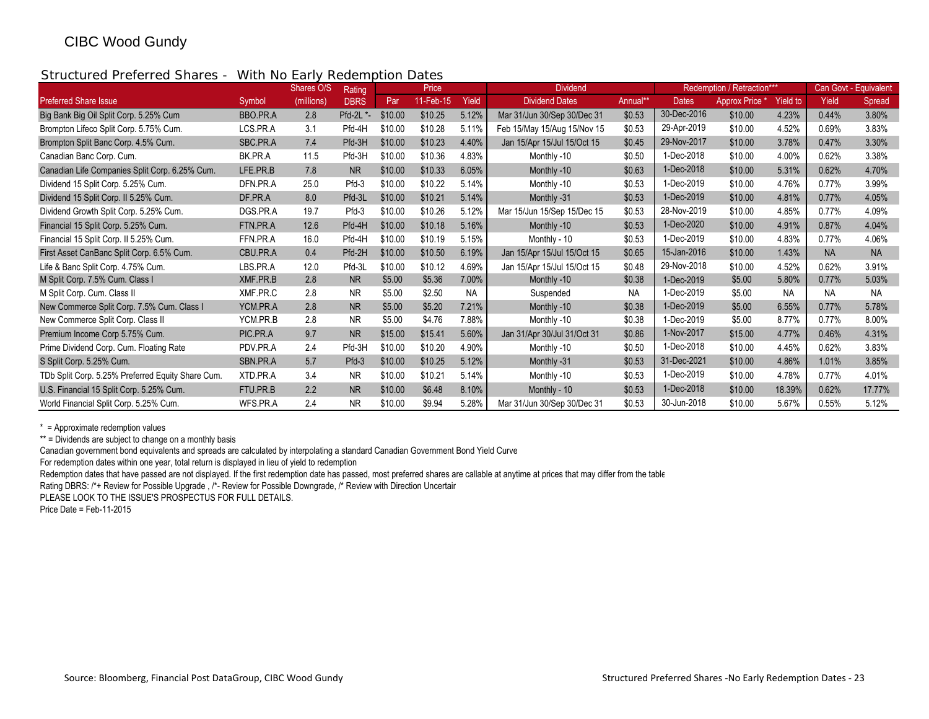## Structured Preferred Shares - With No Early Redemption Dates

|                                                   |          | Shares O/S | Rating           |         | Price       |           | <b>Dividend</b>             |          |              | Redemption / Retraction*** |                 |           | Can Govt - Equivalent |
|---------------------------------------------------|----------|------------|------------------|---------|-------------|-----------|-----------------------------|----------|--------------|----------------------------|-----------------|-----------|-----------------------|
| <b>Preferred Share Issue</b>                      | Symbol   | (millions) | <b>DBRS</b>      | Par     | $11-Feb-15$ | Yield     | <b>Dividend Dates</b>       | Annual** | <b>Dates</b> | <b>Approx Price</b>        | <b>Yield to</b> | Yield     | Spread                |
| Big Bank Big Oil Split Corp. 5.25% Cum            | BBO.PR.A | 2.8        | <b>Pfd-2L *-</b> | \$10.00 | \$10.25     | 5.12%     | Mar 31/Jun 30/Sep 30/Dec 31 | \$0.53   | 30-Dec-2016  | \$10.00                    | 4.23%           | 0.44%     | 3.80%                 |
| Brompton Lifeco Split Corp. 5.75% Cum.            | LCS.PR.A | 3.1        | Pfd-4H           | \$10.00 | \$10.28     | 5.11%     | Feb 15/May 15/Aug 15/Nov 15 | \$0.53   | 29-Apr-2019  | \$10.00                    | 4.52%           | 0.69%     | 3.83%                 |
| Brompton Split Banc Corp. 4.5% Cum.               | SBC.PR.A | 7.4        | Pfd-3H           | \$10.00 | \$10.23     | 4.40%     | Jan 15/Apr 15/Jul 15/Oct 15 | \$0.45   | 29-Nov-2017  | \$10.00                    | 3.78%           | 0.47%     | 3.30%                 |
| Canadian Banc Corp. Cum.                          | BK.PR.A  | 11.5       | Pfd-3H           | \$10.00 | \$10.36     | 4.83%     | Monthly -10                 | \$0.50   | 1-Dec-2018   | \$10.00                    | 4.00%           | 0.62%     | 3.38%                 |
| Canadian Life Companies Split Corp. 6.25% Cum.    | LFE.PR.B | 7.8        | <b>NR</b>        | \$10.00 | \$10.33     | 6.05%     | Monthly -10                 | \$0.63   | 1-Dec-2018   | \$10.00                    | 5.31%           | 0.62%     | 4.70%                 |
| Dividend 15 Split Corp. 5.25% Cum.                | DFN.PR.A | 25.0       | Pfd-3            | \$10.00 | \$10.22     | 5.14%     | Monthly -10                 | \$0.53   | 1-Dec-2019   | \$10.00                    | 4.76%           | 0.77%     | 3.99%                 |
| Dividend 15 Split Corp. II 5.25% Cum.             | DF.PR.A  | 8.0        | Pfd-3L           | \$10.00 | \$10.21     | 5.14%     | Monthly -31                 | \$0.53   | 1-Dec-2019   | \$10.00                    | 4.81%           | 0.77%     | 4.05%                 |
| Dividend Growth Split Corp. 5.25% Cum.            | DGS.PR.A | 19.7       | Pfd-3            | \$10.00 | \$10.26     | 5.12%     | Mar 15/Jun 15/Sep 15/Dec 15 | \$0.53   | 28-Nov-2019  | \$10.00                    | 4.85%           | 0.77%     | 4.09%                 |
| Financial 15 Split Corp. 5.25% Cum.               | FTN.PR.A | 12.6       | Pfd-4H           | \$10.00 | \$10.18     | 5.16%     | Monthly -10                 | \$0.53   | 1-Dec-2020   | \$10.00                    | 4.91%           | 0.87%     | 4.04%                 |
| Financial 15 Split Corp. II 5.25% Cum.            | FFN.PR.A | 16.0       | Pfd-4H           | \$10.00 | \$10.19     | 5.15%     | Monthly - 10                | \$0.53   | 1-Dec-2019   | \$10.00                    | 4.83%           | 0.77%     | 4.06%                 |
| First Asset CanBanc Split Corp. 6.5% Cum.         | CBU.PR.A | 0.4        | Pfd-2H           | \$10.00 | \$10.50     | 6.19%     | Jan 15/Apr 15/Jul 15/Oct 15 | \$0.65   | 15-Jan-2016  | \$10.00                    | 1.43%           | <b>NA</b> | <b>NA</b>             |
| Life & Banc Split Corp. 4.75% Cum.                | LBS.PR.A | 12.0       | Pfd-3L           | \$10.00 | \$10.12     | 4.69%     | Jan 15/Apr 15/Jul 15/Oct 15 | \$0.48   | 29-Nov-2018  | \$10.00                    | 4.52%           | 0.62%     | 3.91%                 |
| M Split Corp. 7.5% Cum. Class I                   | XMF.PR.B | 2.8        | <b>NR</b>        | \$5.00  | \$5.36      | 7.00%     | Monthly -10                 | \$0.38   | 1-Dec-2019   | \$5.00                     | 5.80%           | 0.77%     | 5.03%                 |
| M Split Corp. Cum. Class II                       | XMF.PR.C | 2.8        | <b>NR</b>        | \$5.00  | \$2.50      | <b>NA</b> | Suspended                   | ΝA       | 1-Dec-2019   | \$5.00                     | <b>NA</b>       | <b>NA</b> | <b>NA</b>             |
| New Commerce Split Corp. 7.5% Cum. Class I        | YCM.PR.A | 2.8        | <b>NR</b>        | \$5.00  | \$5.20      | 7.21%     | Monthly -10                 | \$0.38   | 1-Dec-2019   | \$5.00                     | 6.55%           | 0.77%     | 5.78%                 |
| New Commerce Split Corp. Class II                 | YCM.PR.B | 2.8        | <b>NR</b>        | \$5.00  | \$4.76      | 7.88%     | Monthly -10                 | \$0.38   | 1-Dec-2019   | \$5.00                     | 8.77%           | 0.77%     | 8.00%                 |
| Premium Income Corp 5.75% Cum.                    | PIC.PR.A | 9.7        | <b>NR</b>        | \$15.00 | \$15.41     | 5.60%     | Jan 31/Apr 30/Jul 31/Oct 31 | \$0.86   | 1-Nov-2017   | \$15.00                    | 4.77%           | 0.46%     | 4.31%                 |
| Prime Dividend Corp. Cum. Floating Rate           | PDV.PR.A | 2.4        | Pfd-3H           | \$10.00 | \$10.20     | 4.90%     | Monthly -10                 | \$0.50   | 1-Dec-2018   | \$10.00                    | 4.45%           | 0.62%     | 3.83%                 |
| S Split Corp. 5.25% Cum.                          | SBN.PR.A | 5.7        | Pfd-3            | \$10.00 | \$10.25     | 5.12%     | Monthly -31                 | \$0.53   | 31-Dec-2021  | \$10.00                    | 4.86%           | 1.01%     | 3.85%                 |
| TDb Split Corp. 5.25% Preferred Equity Share Cum. | XTD.PR.A | 3.4        | <b>NR</b>        | \$10.00 | \$10.21     | 5.14%     | Monthly -10                 | \$0.53   | 1-Dec-2019   | \$10.00                    | 4.78%           | 0.77%     | 4.01%                 |
| U.S. Financial 15 Split Corp. 5.25% Cum.          | FTU.PR.B | 2.2        | <b>NR</b>        | \$10.00 | \$6.48      | 8.10%     | Monthly - 10                | \$0.53   | 1-Dec-2018   | \$10.00                    | 18.39%          | 0.62%     | 17.77%                |
| World Financial Split Corp. 5.25% Cum.            | WFS.PR.A | 2.4        | <b>NR</b>        | \$10.00 | \$9.94      | 5.28%     | Mar 31/Jun 30/Sep 30/Dec 31 | \$0.53   | 30-Jun-2018  | \$10.00                    | 5.67%           | 0.55%     | 5.12%                 |

\* = Approximate redemption values

\*\* = Dividends are subject to change on a monthly basis

Canadian government bond equivalents and spreads are calculated by interpolating a standard Canadian Government Bond Yield Curve

For redemption dates within one year, total return is displayed in lieu of yield to redemption

Redemption dates that have passed are not displayed. If the first redemption date has passed, most preferred shares are callable at anytime at prices that may differ from the table

Rating DBRS: /\*+ Review for Possible Upgrade , /\*- Review for Possible Downgrade, /\* Review with Direction Uncertain

PLEASE LOOK TO THE ISSUE'S PROSPECTUS FOR FULL DETAILS.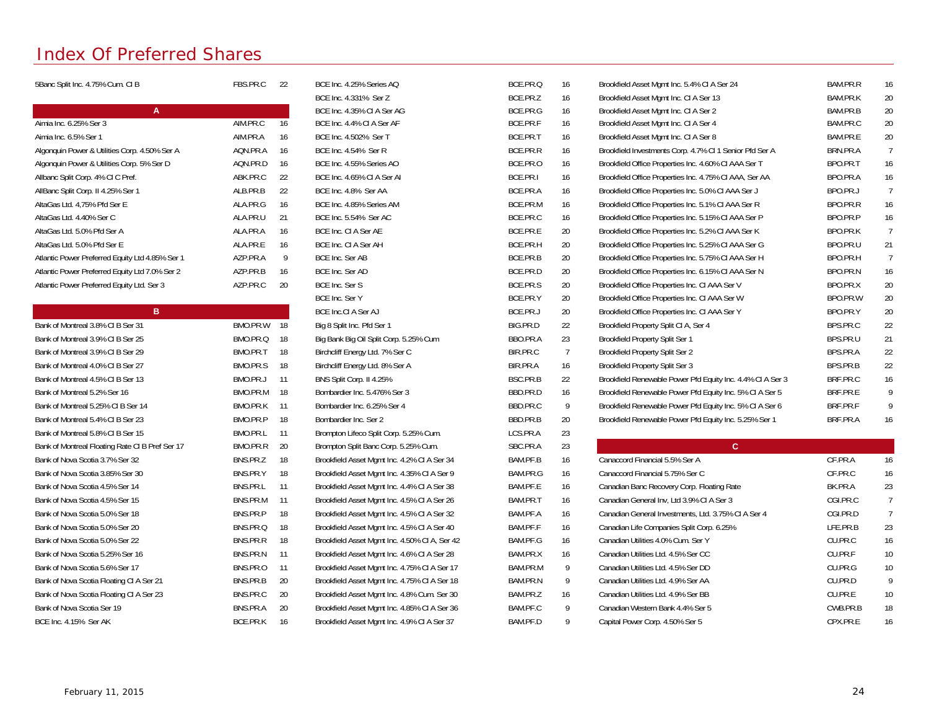# Index Of Preferred Shares

| 5Banc Split Inc. 4.75% Cum. CI B                | FBS.PR.C    | 22   | BCE Inc. 4.25% Series AQ                      | BCE.PR.Q | 16             | Brookfield Asset Mgmt Inc. 5.4% CI A Ser 24                | BAM.PR.R | 16             |
|-------------------------------------------------|-------------|------|-----------------------------------------------|----------|----------------|------------------------------------------------------------|----------|----------------|
|                                                 |             |      | BCE Inc. 4.331% Ser Z                         | BCE.PR.Z | 16             | Brookfield Asset Mgmt Inc. CI A Ser 13                     | BAM.PR.K | 20             |
| $\mathsf{A}$                                    |             |      | BCE Inc. 4.35% CI A Ser AG                    | BCE.PR.G | 16             | Brookfield Asset Mgmt Inc. CI A Ser 2                      | BAM.PR.B | 20             |
| Aimia Inc. 6.25% Ser 3                          | AIM.PR.C    | 16   | BCE Inc. 4.4% CI A Ser AF                     | BCE.PR.F | 16             | Brookfield Asset Mgmt Inc. CI A Ser 4                      | BAM.PR.C | 20             |
| Aimia Inc. 6.5% Ser 1                           | AIM.PR.A    | 16   | BCE Inc. 4.502% Ser T                         | BCE.PR.T | 16             | Brookfield Asset Mgmt Inc. CI A Ser 8                      | BAM.PR.E | 20             |
| Algonquin Power & Utilities Corp. 4.50% Ser A   | AQN.PR.A    | 16   | BCE Inc. 4.54% Ser R                          | BCE.PR.R | 16             | Brookfield Investments Corp. 4.7% CI 1 Senior Pfd Ser A    | BRN.PR.A | $\overline{7}$ |
| Algonquin Power & Utilities Corp. 5% Ser D      | AQN.PR.D    | 16   | BCE Inc. 4.55% Series AO                      | BCE.PR.O | 16             | Brookfield Office Properties Inc. 4.60% CI AAA Ser T       | BPO.PR.T | 16             |
| Allbanc Split Corp. 4% CI C Pref.               | ABK.PR.C    | 22   | BCE Inc. 4.65% CI A Ser AI                    | BCE.PR.I | 16             | Brookfield Office Properties Inc. 4.75% CI AAA, Ser AA     | BPO.PR.A | 16             |
| AllBanc Split Corp. II 4.25% Ser 1              | ALB.PR.B    | 22   | BCE Inc. 4.8% Ser AA                          | BCE.PR.A | 16             | Brookfield Office Properties Inc. 5.0% CI AAA Ser J        | BPO.PR.J | 7              |
| AltaGas Ltd. 4,75% Pfd Ser E                    | ALA.PR.G    | 16   | BCE Inc. 4.85% Series AM                      | BCE.PR.M | 16             | Brookfield Office Properties Inc. 5.1% CI AAA Ser R        | BPO.PR.R | 16             |
| AltaGas Ltd. 4.40% Ser C                        | ALA.PR.U    | 21   | BCE Inc. 5.54% Ser AC                         | BCE.PR.C | 16             | Brookfield Office Properties Inc. 5.15% CI AAA Ser P       | BPO.PR.P | 16             |
| AltaGas Ltd. 5.0% Pfd Ser A                     | ALA.PR.A    | 16   | BCE Inc. CI A Ser AE                          | BCE.PR.E | 20             | Brookfield Office Properties Inc. 5.2% CI AAA Ser K        | BPO.PR.K | $\overline{7}$ |
| AltaGas Ltd. 5.0% Pfd Ser E                     | ALA.PR.E    | 16   | BCE Inc. CI A Ser AH                          | BCE.PR.H | 20             | Brookfield Office Properties Inc. 5.25% CI AAA Ser G       | BPO.PR.U | 21             |
| Atlantic Power Preferred Equity Ltd 4.85% Ser 1 | AZP.PR.A    | 9    | BCE Inc. Ser AB                               | BCE.PR.B | 20             | Brookfield Office Properties Inc. 5.75% CI AAA Ser H       | BPO.PR.H | $\overline{7}$ |
| Atlantic Power Preferred Equity Ltd 7.0% Ser 2  | AZP.PR.B    | 16   | BCE Inc. Ser AD                               | BCE.PR.D | 20             | Brookfield Office Properties Inc. 6.15% CI AAA Ser N       | BPO.PR.N | 16             |
| Atlantic Power Preferred Equity Ltd. Ser 3      | AZP.PR.C    | 20   | BCE Inc. Ser S                                | BCE.PR.S | 20             | Brookfield Office Properties Inc. CI AAA Ser V             | BPO.PR.X | 20             |
|                                                 |             |      | BCE Inc. Ser Y                                | BCE.PR.Y | 20             | Brookfield Office Properties Inc. CI AAA Ser W             | BPO.PR.W | 20             |
| B                                               |             |      | BCE Inc.CI A Ser AJ                           | BCE.PR.J | 20             | Brookfield Office Properties Inc. CI AAA Ser Y             | BPO.PR.Y | 20             |
| Bank of Montreal 3.8% CI B Ser 31               | BMO.PR.W 18 |      | Big 8 Split Inc. Pfd Ser 1                    | BIG.PR.D | 22             | Brookfield Property Split CI A, Ser 4                      | BPS.PR.C | 22             |
| Bank of Montreal 3.9% CIB Ser 25                | BMO.PR.Q    | - 18 | Big Bank Big Oil Split Corp. 5.25% Cum        | BBO.PR.A | 23             | Brookfield Property Split Ser 1                            | BPS.PR.U | 21             |
| Bank of Montreal 3.9% CIB Ser 29                | BMO.PR.T    | - 18 | Birchcliff Energy Ltd. 7% Ser C               | BIR.PR.C | $\overline{7}$ | <b>Brookfield Property Split Ser 2</b>                     | BPS.PR.A | 22             |
| Bank of Montreal 4.0% CI B Ser 27               | BMO.PR.S    | 18   | Birchcliff Energy Ltd. 8% Ser A               | BIR.PR.A | 16             | Brookfield Property Split Ser 3                            | BPS.PR.B | 22             |
| Bank of Montreal 4.5% CIB Ser 13                | BMO.PR.J    | -11  | BNS Split Corp. II 4.25%                      | BSC.PR.B | 22             | Brookfield Renewable Power Pfd Equity Inc. 4.4% CI A Ser 3 | BRF.PR.C | 16             |
| Bank of Montreal 5.2% Ser 16                    | BMO.PR.M    | - 18 | Bombardier Inc. 5.476% Ser 3                  | BBD.PR.D | 16             | Brookfield Renewable Power Pfd Equity Inc. 5% CI A Ser 5   | BRF.PR.E | 9              |
| Bank of Montreal 5.25% CIB Ser 14               | BMO.PR.K 11 |      | Bombardier Inc. 6.25% Ser 4                   | BBD.PR.C | 9              | Brookfield Renewable Power Pfd Equity Inc. 5% CI A Ser 6   | BRF.PR.F | 9              |
| Bank of Montreal 5.4% CI B Ser 23               | BMO.PR.P    | 18   | Bombardier Inc. Ser 2                         | BBD.PR.B | 20             | Brookfield Renewable Power Pfd Equity Inc. 5.25% Ser 1     | BRF.PR.A | 16             |
| Bank of Montreal 5.8% CIB Ser 15                | BMO.PR.L    | -11  | Brompton Lifeco Split Corp. 5.25% Cum.        | LCS.PR.A | 23             |                                                            |          |                |
| Bank of Montreal Floating Rate CI B Pref Ser 17 | BMO.PR.R    | -20  | Brompton Split Banc Corp. 5.25% Cum.          | SBC.PR.A | 23             | $\mathsf{C}$                                               |          |                |
| Bank of Nova Scotia 3.7% Ser 32                 | BNS.PR.Z    | 18   | Brookfield Asset Mgmt Inc. 4.2% CI A Ser 34   | BAM.PF.B | 16             | Canaccord Financial 5.5% Ser A                             | CF.PR.A  | 16             |
| Bank of Nova Scotia 3.85% Ser 30                | BNS.PR.Y    | 18   | Brookfield Asset Mamt Inc. 4.35% CI A Ser 9   | BAM.PR.G | 16             | Canaccord Financial 5.75% Ser C                            | CF.PR.C  | 16             |
| Bank of Nova Scotia 4.5% Ser 14                 | BNS.PR.L    | 11   | Brookfield Asset Mgmt Inc. 4.4% CI A Ser 38   | BAM.PF.E | 16             | Canadian Banc Recovery Corp. Floating Rate                 | BK.PR.A  | 23             |
| Bank of Nova Scotia 4.5% Ser 15                 | BNS.PR.M    | -11  | Brookfield Asset Mgmt Inc. 4.5% CI A Ser 26   | BAM.PR.T | 16             | Canadian General Inv, Ltd 3.9% CI A Ser 3                  | CGI.PR.C | $\overline{7}$ |
| Bank of Nova Scotia 5.0% Ser 18                 | BNS.PR.P    | 18   | Brookfield Asset Mgmt Inc. 4.5% CI A Ser 32   | BAM.PF.A | 16             | Canadian General Investments, Ltd. 3.75% CI A Ser 4        | CGI.PR.D | $\overline{7}$ |
| Bank of Nova Scotia 5.0% Ser 20                 | BNS.PR.Q    | 18   | Brookfield Asset Mgmt Inc. 4.5% CI A Ser 40   | BAM.PF.F | 16             | Canadian Life Companies Split Corp. 6.25%                  | LFE.PR.B | 23             |
| Bank of Nova Scotia 5.0% Ser 22                 | BNS.PR.R    | 18   | Brookfield Asset Mgmt Inc. 4.50% CI A, Ser 42 | BAM.PF.G | 16             | Canadian Utilities 4.0% Cum. Ser Y                         | CU.PR.C  | 16             |
| Bank of Nova Scotia 5.25% Ser 16                | BNS.PR.N    | 11   | Brookfield Asset Mgmt Inc. 4.6% CI A Ser 28   | BAM.PR.X | 16             | Canadian Utilities Ltd. 4.5% Ser CC                        | CU.PR.F  | 10             |
| Bank of Nova Scotia 5.6% Ser 17                 | BNS.PR.O    | 11   | Brookfield Asset Mgmt Inc. 4.75% CI A Ser 17  | BAM.PR.M | 9              | Canadian Utilities Ltd. 4.5% Ser DD                        | CU.PR.G  | 10             |
| Bank of Nova Scotia Floating CI A Ser 21        | BNS.PR.B    | 20   | Brookfield Asset Mgmt Inc. 4.75% CI A Ser 18  | BAM.PR.N | 9              | Canadian Utilities Ltd. 4.9% Ser AA                        | CU.PR.D  | 9              |
| Bank of Nova Scotia Floating CI A Ser 23        | BNS.PR.C    | 20   | Brookfield Asset Mgmt Inc. 4.8% Cum. Ser 30   | BAM.PR.Z | 16             | Canadian Utilities Ltd. 4.9% Ser BB                        | CU.PR.E  | 10             |
| Bank of Nova Scotia Ser 19                      | BNS.PR.A    | 20   | Brookfield Asset Mgmt Inc. 4.85% CI A Ser 36  | BAM.PF.C | 9              | Canadian Western Bank 4.4% Ser 5                           | CWB.PR.B | 18             |
| BCE Inc. 4.15% Ser AK                           | BCE.PR.K    | - 16 | Brookfield Asset Mgmt Inc. 4.9% CI A Ser 37   | BAM.PF.D | 9              | Capital Power Corp. 4.50% Ser 5                            | CPX.PR.E | 16             |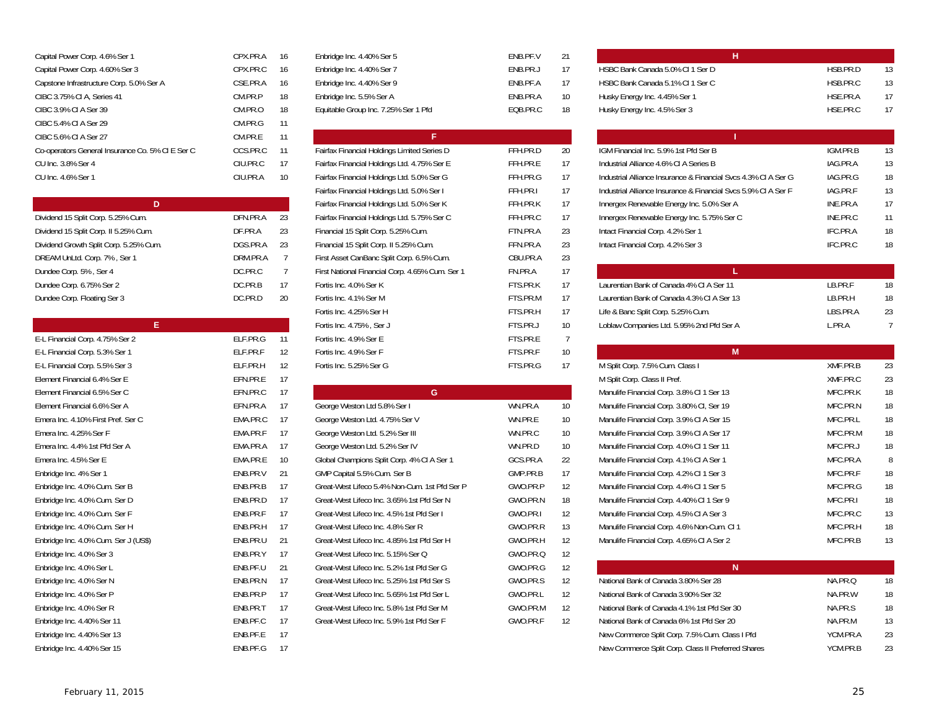| Capital Power Corp. 4.6% Ser 1                   | CPX.PR.A | 16    | Enbridge Inc. 4.40% Ser 5                   | ENB.PF.V | 21  | н                                              |
|--------------------------------------------------|----------|-------|---------------------------------------------|----------|-----|------------------------------------------------|
| Capital Power Corp. 4.60% Ser 3                  | CPX.PR.C | 16    | Enbridge Inc. 4.40% Ser 7                   | ENB.PR.J | 17  | HSBC Bank Canada 5.0% CI 1 Ser D               |
| Capstone Infrastructure Corp. 5.0% Ser A         | CSE.PR.A | 16    | Enbridge Inc. 4.40% Ser 9                   | ENB.PF.A | 17  | HSBC Bank Canada 5.1% CI 1 Ser C               |
| CIBC 3.75% CI A, Series 41                       | CM.PR.P  | 18    | Enbridge Inc. 5.5% Ser A                    | ENB.PR.A | 10  | Husky Energy Inc. 4.45% Ser 1                  |
| CIBC 3.9% CIA Ser 39                             | CM.PR.O  | 18    | Equitable Group Inc. 7.25% Ser 1 Pfd        | EQB.PR.C | 18  | Husky Energy Inc. 4.5% Ser 3                   |
| CIBC 5.4% CIA Ser 29                             | CM.PR.G  | 11    |                                             |          |     |                                                |
| CIBC 5.6% CI A Ser 27                            | CM.PR.E  | 11    | ÷.                                          |          |     |                                                |
| Co-operators General Insurance Co. 5% CI E Ser C | CCS.PR.C | $-11$ | Fairfax Financial Holdings Limited Series D | FFH.PR.D | 20  | IGM Financial Inc. 5.9% 1st Pfd Ser B          |
| CU Inc. 3.8% Ser 4                               | CIU.PR.C | -17   | Fairfax Financial Holdings Ltd. 4.75% Ser E | FFH.PR.E | -17 | Industrial Alliance 4.6% CI A Series B         |
| CU Inc. 4.6% Ser 1                               | CIU.PR.A | 10    | Fairfax Financial Holdings Ltd. 5.0% Ser G  | FFH.PR.G | 17  | Industrial Alliance Insurance & Financial Syc: |
|                                                  |          |       |                                             |          |     |                                                |

|                                        |          |      | Fairfax Financial Holdings Ltd. 5.0% Ser K      | FFH.PR.K |     | Innergex Renewable Energy Inc. 5.0% Ser A  |
|----------------------------------------|----------|------|-------------------------------------------------|----------|-----|--------------------------------------------|
| Dividend 15 Split Corp. 5.25% Cum.     | DFN.PR.A | - 23 | Fairfax Financial Holdings Ltd. 5.75% Ser C     | FFH.PR.C | -17 | Innergex Renewable Energy Inc. 5.75% Ser   |
| Dividend 15 Split Corp. II 5.25% Cum.  | DF.PR.A  | -23  | Financial 15 Split Corp. 5.25% Cum.             | FTN.PR.A | -23 | Intact Financial Corp. 4.2% Ser 1          |
| Dividend Growth Split Corp. 5.25% Cum. | DGS.PR.A | - 23 | Financial 15 Split Corp. II 5.25% Cum.          | FFN.PR.A | -23 | Intact Financial Corp. 4.2% Ser 3          |
| DREAM UnLtd. Corp. 7%, Ser 1           | DRM.PR.A |      | First Asset CanBanc Split Corp. 6.5% Cum.       | CBU.PR.A | -23 |                                            |
| Dundee Corp. 5%, Ser 4                 | DC.PR.C  |      | First National Financial Corp. 4.65% Cum. Ser 1 | FN.PR.A  | 17  |                                            |
| Dundee Corp. 6.75% Ser 2               | DC.PR.B  |      | Fortis Inc. 4.0% Ser K                          | FTS.PR.K | 17  | Laurentian Bank of Canada 4% CI A Ser 11   |
| Dundee Corp. Floating Ser 3            | DC.PR.D  | 20   | Fortis Inc. 4.1% Ser M                          | FTS.PR.M | 17  | Laurentian Bank of Canada 4.3% CI A Ser 1. |

|                                      |          |         | Fortis Inc. 4.75%, Ser J                      | FTS.PR.J | 10 | Loblaw Companies Ltd. 5.95% 2nd Pfd Ser A   |
|--------------------------------------|----------|---------|-----------------------------------------------|----------|----|---------------------------------------------|
| E-L Financial Corp. 4.75% Ser 2      | ELF.PR.G | 11      | Fortis Inc. 4.9% Ser E                        | FTS.PR.E |    |                                             |
| E-L Financial Corp. 5.3% Ser 1       | ELF.PR.F | 12      | Fortis Inc. 4.9% Ser F                        | FTS.PR.F | 10 | M                                           |
| E-L Financial Corp. 5.5% Ser 3       | ELF.PR.H | 12      | Fortis Inc. 5.25% Ser G                       | FTS.PR.G | 17 | M Split Corp. 7.5% Cum. Class I             |
| Element Financial 6.4% Ser E         | EFN.PR.E | 17      |                                               |          |    | M Split Corp. Class II Pref.                |
| Element Financial 6.5% Ser C         | EFN.PR.C | 17      | G                                             |          |    | Manulife Financial Corp. 3.8% CI 1 Ser 13   |
| Element Financial 6.6% Ser A         | EFN.PR.A | 17      | George Weston Ltd 5.8% Ser I                  | WN.PR.A  | 10 | Manulife Financial Corp. 3.80% CI, Ser 19   |
| Emera Inc. 4.10% First Pref. Ser C   | EMA.PR.C | 17      | George Weston Ltd. 4.75% Ser V                | WN.PR.E  | 10 | Manulife Financial Corp. 3.9% CI A Ser 15   |
| Emera Inc. 4.25% Ser F               | EMA.PR.F | 17      | George Weston Ltd. 5.2% Ser III               | WN.PR.C  | 10 | Manulife Financial Corp. 3.9% CI A Ser 17   |
| Emera Inc. 4.4% 1st Pfd Ser A        | EMA.PR.A | 17      | George Weston Ltd. 5.2% Ser IV                | WN.PR.D  | 10 | Manulife Financial Corp. 4.0% CI 1 Ser 11   |
| Emera Inc. 4.5% Ser E                | EMA.PR.E | $10 \,$ | Global Champions Split Corp. 4% CI A Ser 1    | GCS.PR.A | 22 | Manulife Financial Corp. 4.1% CI A Ser 1    |
| Enbridge Inc. 4% Ser 1               | ENB.PR.V | 21      | GMP Capital 5.5% Cum. Ser B                   | GMP.PR.B | 17 | Manulife Financial Corp. 4.2% Cl 1 Ser 3    |
| Enbridge Inc. 4.0% Cum. Ser B        | ENB.PR.B | 17      | Great-West Lifeco 5.4% Non-Cum. 1st Pfd Ser P | GWO.PR.P | 12 | Manulife Financial Corp. 4.4% CI 1 Ser 5    |
| Enbridge Inc. 4.0% Cum. Ser D        | ENB.PR.D | 17      | Great-West Lifeco Inc. 3.65% 1st Pfd Ser N    | GWO.PR.N | 18 | Manulife Financial Corp. 4.40% CI 1 Ser 9   |
| Enbridge Inc. 4.0% Cum. Ser F        | ENB.PR.F | 17      | Great-West Lifeco Inc. 4.5% 1st Pfd Ser I     | GWO.PR.I | 12 | Manulife Financial Corp. 4.5% CI A Ser 3    |
| Enbridge Inc. 4.0% Cum. Ser H        | ENB.PR.H | 17      | Great-West Lifeco Inc. 4.8% Ser R             | GWO.PR.R | 13 | Manulife Financial Corp. 4.6% Non-Cum. Cl   |
| Enbridge Inc. 4.0% Cum. Ser J (US\$) | ENB.PR.U | 21      | Great-West Lifeco Inc. 4.85% 1st Pfd Ser H    | GWO.PR.H | 12 | Manulife Financial Corp. 4.65% CI A Ser 2   |
| Enbridge Inc. 4.0% Ser 3             | ENB.PR.Y | 17      | Great-West Lifeco Inc. 5.15% Ser Q            | GWO.PR.Q | 12 |                                             |
| Enbridge Inc. 4.0% Ser L             | ENB.PF.U | 21      | Great-West Lifeco Inc. 5.2% 1st Pfd Ser G     | GWO.PR.G | 12 | N                                           |
| Enbridge Inc. 4.0% Ser N             | ENB.PR.N | 17      | Great-West Lifeco Inc. 5.25% 1st Pfd Ser S    | GWO.PR.S | 12 | National Bank of Canada 3.80% Ser 28        |
| Enbridge Inc. 4.0% Ser P             | ENB.PR.P | 17      | Great-West Lifeco Inc. 5.65% 1st Pfd Ser L    | GWO.PR.L | 12 | National Bank of Canada 3.90% Ser 32        |
| Enbridge Inc. 4.0% Ser R             | ENB.PR.T | 17      | Great-West Lifeco Inc. 5.8% 1st Pfd Ser M     | GWO.PR.M | 12 | National Bank of Canada 4.1% 1st Pfd Ser 3  |
| Enbridge Inc. 4.40% Ser 11           | ENB.PF.C | 17      | Great-West Lifeco Inc. 5.9% 1st Pfd Ser F     | GWO.PR.F | 12 | National Bank of Canada 6% 1st Pfd Ser 20   |
| Enbridge Inc. 4.40% Ser 13           | ENB.PF.E | 17      |                                               |          |    | New Commerce Split Corp. 7.5% Cum. Class    |
| Enbridge Inc. 4.40% Ser 15           | ENB.PF.G | 17      |                                               |          |    | New Commerce Split Corp. Class II Preferred |

| Enbridge Inc. 4.40% Ser 5            |  |
|--------------------------------------|--|
| Enbridge Inc. 4.40% Ser 7            |  |
| Enbridge Inc. 4.40% Ser 9            |  |
| Enbridge Inc. 5.5% Ser A             |  |
| Equitable Group Inc. 7.25% Ser 1 Pfd |  |

| FNR PF V | 21 |
|----------|----|
| FNB.PR.J | 17 |
| FNR PF A | 17 |
| FNB.PR.A | 10 |
| FOB PR.C | 18 |

| CIBC 5.6% CI A Ser 27                            | CM.PR.E  | -11             |                                                 |          |                 |                                                                |          |    |
|--------------------------------------------------|----------|-----------------|-------------------------------------------------|----------|-----------------|----------------------------------------------------------------|----------|----|
| Co-operators General Insurance Co. 5% CI E Ser C | CCS.PR.C | -11             | Fairfax Financial Holdings Limited Series D     | FFH.PR.D | 20              | IGM Financial Inc. 5.9% 1st Pfd Ser B                          | IGM.PR.B | 13 |
| CU Inc. 3.8% Ser 4                               | CIU.PR.C | 17              | Fairfax Financial Holdings Ltd. 4.75% Ser E     | FFH.PR.E | 17              | Industrial Alliance 4.6% CI A Series B                         | IAG.PR.A | 13 |
| CU Inc. 4.6% Ser 1                               | CIU.PR.A | 10 <sup>°</sup> | Fairfax Financial Holdings Ltd. 5.0% Ser G      | FFH.PR.G | 17              | Industrial Alliance Insurance & Financial Sycs 4.3% CI A Ser G | IAG.PR.G | 18 |
|                                                  |          |                 | Fairfax Financial Holdings Ltd. 5.0% Ser I      | FFH.PR.I | 17              | Industrial Alliance Insurance & Financial Sycs 5.9% CI A Ser F | IAG.PR.F | 13 |
| D                                                |          |                 | Fairfax Financial Holdings Ltd. 5.0% Ser K      | FFH.PR.K | 17              | Innergex Renewable Energy Inc. 5.0% Ser A                      | INE.PR.A | 17 |
| Dividend 15 Split Corp. 5.25% Cum.               | DFN.PR.A | 23              | Fairfax Financial Holdings Ltd. 5.75% Ser C     | FFH.PR.C | 17              | Innergex Renewable Energy Inc. 5.75% Ser C                     | INE.PR.C | 11 |
| Dividend 15 Split Corp. II 5.25% Cum.            | DF.PR.A  | 23              | Financial 15 Split Corp. 5.25% Cum.             | FTN.PR.A | 23              | Intact Financial Corp. 4.2% Ser 1                              | IFC.PR.A | 18 |
| Dividend Growth Split Corp. 5.25% Cum.           | DGS.PR.A | 23              | Financial 15 Split Corp. II 5.25% Cum.          | FFN.PR.A | 23              | Intact Financial Corp. 4.2% Ser 3                              | IFC.PR.C | 18 |
| DREAM UnLtd. Corp. 7%, Ser 1                     | DRM.PR.A |                 | First Asset CanBanc Split Corp. 6.5% Cum.       | CBU.PR.A | 23              |                                                                |          |    |
| Dundee Corp. 5%, Ser 4                           | DC.PR.C  |                 | First National Financial Corp. 4.65% Cum. Ser 1 | FN.PR.A  | 17              |                                                                |          |    |
| Dundee Corp. 6.75% Ser 2                         | DC.PR.B  | 17              | Fortis Inc. 4.0% Ser K                          | FTS.PR.K | 17              | Laurentian Bank of Canada 4% CI A Ser 11                       | LB.PR.F  | 18 |
| Dundee Corp. Floating Ser 3                      | DC.PR.D  | 20              | Fortis Inc. 4.1% Ser M                          | FTS.PR.M | 17              | Laurentian Bank of Canada 4.3% CI A Ser 13                     | LB.PR.H  | 18 |
|                                                  |          |                 | Fortis Inc. 4.25% Ser H                         | FTS.PR.H | 17              | Life & Banc Split Corp. 5.25% Cum.                             | LBS.PR.A | 23 |
| E.                                               |          |                 | Fortis Inc. 4.75%, Ser J                        | FTS.PR.J | 10              | Loblaw Companies Ltd. 5.95% 2nd Pfd Ser A                      | L.PR.A   |    |
| E-L Financial Corp. 4.75% Ser 2                  | ELF.PR.G | 11              | Fortis Inc. 4.9% Ser E                          | FTS.PR.E |                 |                                                                |          |    |
| E-L Financial Corp. 5.3% Ser 1                   | ELF.PR.F | 12              | Fortis Inc. 4.9% Ser F                          | FTS.PR.F | 10 <sup>°</sup> | M'                                                             |          |    |
| E-L Financial Corp. 5.5% Ser 3                   | ELF.PR.H | 12              | Fortis Inc. 5.25% Ser G                         | FTS.PR.G |                 | M Split Corp. 7.5% Cum. Class I                                | XMF.PR.B | 23 |

| Element Financial 6.5% Ser C         | EFN.PR.C | -17 | G                                             |          |                   | Manulife Financial Corp. 3.8% CI 1 Ser 13          | MFC.PR.K | 18 |
|--------------------------------------|----------|-----|-----------------------------------------------|----------|-------------------|----------------------------------------------------|----------|----|
| Element Financial 6.6% Ser A         | EFN.PR.A | 17  | George Weston Ltd 5.8% Ser I                  | WN.PR.A  | 10                | Manulife Financial Corp. 3.80% CI, Ser 19          | MFC.PR.N | 18 |
| Emera Inc. 4.10% First Pref. Ser C   | EMA.PR.C | 17  | George Weston Ltd. 4.75% Ser V                | WN.PR.E  | 10 <sup>°</sup>   | Manulife Financial Corp. 3.9% CI A Ser 15          | MFC.PR.L | 18 |
| Emera Inc. 4.25% Ser F               | EMA.PR.F | 17  | George Weston Ltd. 5.2% Ser III               | WN.PR.C  | 10 <sup>°</sup>   | Manulife Financial Corp. 3.9% CI A Ser 17          | MFC.PR.M | 18 |
| Emera Inc. 4.4% 1st Pfd Ser A        | EMA.PR.A | 17  | George Weston Ltd. 5.2% Ser IV                | WN.PR.D  | 10                | Manulife Financial Corp. 4.0% CI 1 Ser 11          | MFC.PR.J | 18 |
| Emera Inc. 4.5% Ser E                | EMA.PR.E | 10  | Global Champions Split Corp. 4% CI A Ser 1    | GCS.PR.A | 22                | Manulife Financial Corp. 4.1% CI A Ser 1           | MFC.PR.A | 8  |
| Enbridge Inc. 4% Ser 1               | ENB.PR.V | -21 | GMP Capital 5.5% Cum. Ser B                   | GMP.PR.B | 17                | Manulife Financial Corp. 4.2% CI 1 Ser 3           | MFC.PR.F | 18 |
| Enbridge Inc. 4.0% Cum. Ser B        | ENB.PR.B | 17  | Great-West Lifeco 5.4% Non-Cum. 1st Pfd Ser P | GWO.PR.P | 12                | Manulife Financial Corp. 4.4% CI 1 Ser 5           | MFC.PR.G | 18 |
| Enbridge Inc. 4.0% Cum. Ser D        | ENB.PR.D | 17  | Great-West Lifeco Inc. 3.65% 1st Pfd Ser N    | GWO.PR.N | 18                | Manulife Financial Corp. 4.40% CI 1 Ser 9          | MFC.PR.I | 18 |
| Enbridge Inc. 4.0% Cum. Ser F        | ENB.PR.F | 17  | Great-West Lifeco Inc. 4.5% 1st Pfd Ser I     | GWO.PR.I | $12 \overline{ }$ | Manulife Financial Corp. 4.5% CI A Ser 3           | MFC.PR.C | 13 |
| Enbridge Inc. 4.0% Cum. Ser H        | ENB.PR.H | -17 | Great-West Lifeco Inc. 4.8% Ser R             | GWO.PR.R | 13                | Manulife Financial Corp. 4.6% Non-Cum. Cl 1        | MFC.PR.H | 18 |
| Enbridge Inc. 4.0% Cum. Ser J (US\$) | ENB.PR.U | -21 | Great-West Lifeco Inc. 4.85% 1st Pfd Ser H    | GWO.PR.H | 12                | Manulife Financial Corp. 4.65% CI A Ser 2          | MFC.PR.B | 13 |
| Enbridge Inc. 4.0% Ser 3             | ENB.PR.Y | 17  | Great-West Lifeco Inc. 5.15% Ser Q            | GWO.PR.Q | 12                |                                                    |          |    |
| Enbridge Inc. 4.0% Ser L             | ENB.PF.U | 21  | Great-West Lifeco Inc. 5.2% 1st Pfd Ser G     | GWO.PR.G | 12                | N                                                  |          |    |
| Enbridge Inc. 4.0% Ser N             | ENB.PR.N | 17  | Great-West Lifeco Inc. 5.25% 1st Pfd Ser S    | GWO.PR.S | 12                | National Bank of Canada 3.80% Ser 28               | NA.PR.Q  | 18 |
| Enbridge Inc. 4.0% Ser P             | ENB.PR.P | 17  | Great-West Lifeco Inc. 5.65% 1st Pfd Ser L    | GWO.PR.L | $12^{\circ}$      | National Bank of Canada 3.90% Ser 32               | NA.PR.W  | 18 |
| Enbridge Inc. 4.0% Ser R             | ENB.PR.T | 17  | Great-West Lifeco Inc. 5.8% 1st Pfd Ser M     | GWO.PR.M | 12                | National Bank of Canada 4.1% 1st Pfd Ser 30        | NA.PR.S  | 18 |
| Enbridge Inc. 4.40% Ser 11           | ENB.PF.C | 17  | Great-West Lifeco Inc. 5.9% 1st Pfd Ser F     | GWO.PR.F | 12                | National Bank of Canada 6% 1st Pfd Ser 20          | NA.PR.M  | 13 |
| Enbridge Inc. 4.40% Ser 13           | ENB.PF.E | 17  |                                               |          |                   | New Commerce Split Corp. 7.5% Cum. Class I Pfd     | YCM.PR.A | 23 |
| Enbridge Inc. 4.40% Ser 15           | ENB.PF.G | 17  |                                               |          |                   | New Commerce Split Corp. Class II Preferred Shares | YCM.PR.B | 23 |
|                                      |          |     |                                               |          |                   |                                                    |          |    |

| Capital Power Corp. 4.6% Ser 1           | CPX.PR.A |    | Enbridge Inc. 4.40% Ser 5            | ENB.PF.V | 21 |                                  |          |     |
|------------------------------------------|----------|----|--------------------------------------|----------|----|----------------------------------|----------|-----|
| Capital Power Corp. 4.60% Ser 3          | CPX.PR.C | 16 | Enbridge Inc. 4.40% Ser 7            | FNB.PR.J |    | HSBC Bank Canada 5.0% CI 1 Ser D | HSB.PR.D | -13 |
| Capstone Infrastructure Corp. 5.0% Ser A | CSE.PR.A |    | Enbridge Inc. 4.40% Ser 9            | FNB.PF.A |    | HSBC Bank Canada 5.1% CI 1 Ser C | HSB.PR.C | -13 |
| CIBC 3.75% CI A. Series 41               | CM.PR.P  |    | Enbridge Inc. 5.5% Ser A             | ENB.PR.A |    | Husky Energy Inc. 4.45% Ser 1    | HSF.PR.A | 17  |
| CIBC 3.9% CI A Ser 39                    | CM.PR.O  |    | Equitable Group Inc. 7.25% Ser 1 Pfd | EQB.PR.C |    | Husky Energy Inc. 4.5% Ser 3     | HSE.PR.C | 17  |

| CIBC 5.6% CI A Ser 27                            | CM.PR.E  | 11  |                                                 |          |    |                                                                |          |    |
|--------------------------------------------------|----------|-----|-------------------------------------------------|----------|----|----------------------------------------------------------------|----------|----|
| Co-operators General Insurance Co. 5% CI E Ser C | CCS.PR.C | 11  | Fairfax Financial Holdings Limited Series D     | FFH.PR.D | 20 | IGM Financial Inc. 5.9% 1st Pfd Ser B                          | IGM.PR.B | 13 |
| CU Inc. 3.8% Ser 4                               | CIU.PR.C | 17  | Fairfax Financial Holdings Ltd. 4.75% Ser E     | FFH.PR.E | 17 | Industrial Alliance 4.6% CI A Series B                         | IAG.PR.A | 13 |
| CU Inc. 4.6% Ser 1                               | CIU.PR.A | 10  | Fairfax Financial Holdings Ltd. 5.0% Ser G      | FFH.PR.G | 17 | Industrial Alliance Insurance & Financial Svcs 4.3% CI A Ser G | IAG.PR.G | 18 |
|                                                  |          |     | Fairfax Financial Holdings Ltd. 5.0% Ser I      | FFH.PR.I | 17 | Industrial Alliance Insurance & Financial Sycs 5.9% CI A Ser F | IAG.PR.F | 13 |
| D.                                               |          |     | Fairfax Financial Holdings Ltd. 5.0% Ser K      | FFH.PR.K | 17 | Innergex Renewable Energy Inc. 5.0% Ser A                      | INE.PR.A | 17 |
| Dividend 15 Split Corp. 5.25% Cum.               | DFN.PR.A | 23  | Fairfax Financial Holdings Ltd. 5.75% Ser C     | FFH.PR.C | 17 | Innergex Renewable Energy Inc. 5.75% Ser C                     | INE.PR.C | 11 |
| Dividend 15 Split Corp. II 5.25% Cum.            | DF.PR.A  | 23  | Financial 15 Split Corp. 5.25% Cum.             | FTN.PR.A | 23 | Intact Financial Corp. 4.2% Ser 1                              | IFC.PR.A | 18 |
| Dividend Growth Split Corp. 5.25% Cum.           | DGS.PR.A | -23 | Financial 15 Split Corp. II 5.25% Cum.          | FFN.PR.A | 23 | Intact Financial Corp. 4.2% Ser 3                              | IFC.PR.C | 18 |
| DREAM UnLtd. Corp. 7%, Ser 1                     | DRM.PR.A |     | First Asset CanBanc Split Corp. 6.5% Cum.       | CBU.PR.A | 23 |                                                                |          |    |
| Dundee Corp. 5%, Ser 4                           | DC.PR.C  |     | First National Financial Corp. 4.65% Cum. Ser 1 | FN.PR.A  | 17 |                                                                |          |    |
| Dundee Corp. 6.75% Ser 2                         | DC.PR.B  | 17  | Fortis Inc. 4.0% Ser K                          | FTS.PR.K | 17 | Laurentian Bank of Canada 4% CI A Ser 11                       | LB.PR.F  | 18 |
| Dundee Corp. Floating Ser 3                      | DC.PR.D  | 20  | Fortis Inc. 4.1% Ser M                          | FTS.PR.M | 17 | Laurentian Bank of Canada 4.3% CI A Ser 13                     | LB.PR.H  | 18 |
|                                                  |          |     | Fortis Inc. 4.25% Ser H                         | FTS.PR.H | 17 | Life & Banc Split Corp. 5.25% Cum.                             | LBS.PR.A | 23 |

| E-L FINANCIAI COrp. 4.75% Ser Z             | ELF.PR.G        | $\perp$ | FORUS INC. 4.9% Ser E                                                                                                                                                                                                                                                                                                       | FIS.PR.E        |                   |                                             |          |    |
|---------------------------------------------|-----------------|---------|-----------------------------------------------------------------------------------------------------------------------------------------------------------------------------------------------------------------------------------------------------------------------------------------------------------------------------|-----------------|-------------------|---------------------------------------------|----------|----|
| E-L Financial Corp. 5.3% Ser 1              | ELF.PR.F        | 12      | Fortis Inc. 4.9% Ser F                                                                                                                                                                                                                                                                                                      | FTS.PR.F        | 10 <sup>°</sup>   | M                                           |          |    |
| E-L Financial Corp. 5.5% Ser 3              | ELF.PR.H        | 12      | Fortis Inc. 5.25% Ser G                                                                                                                                                                                                                                                                                                     | FTS.PR.G        | 17                | M Split Corp. 7.5% Cum. Class I             | XMF.PR.B | 23 |
| Element Financial 6.4% Ser E                | EFN.PR.E        | 17      |                                                                                                                                                                                                                                                                                                                             |                 |                   | M Split Corp. Class II Pref.                | XMF.PR.C | 23 |
| Element Financial 6.5% Ser C                | EFN.PR.C        | -17     | G.                                                                                                                                                                                                                                                                                                                          |                 |                   | Manulife Financial Corp. 3.8% CI 1 Ser 13   | MFC.PR.K | 18 |
| Element Financial 6.6% Ser A                | EFN.PR.A        | 17      | George Weston Ltd 5.8% Ser I                                                                                                                                                                                                                                                                                                | WN.PR.A         | 10                | Manulife Financial Corp. 3.80% CI, Ser 19   | MFC.PR.N | 18 |
| Emera Inc. 4.10% First Pref. Ser C          | EMA.PR.C        | 17      | George Weston Ltd. 4.75% Ser V                                                                                                                                                                                                                                                                                              | WN.PR.E         | 10                | Manulife Financial Corp. 3.9% CI A Ser 15   | MFC.PR.L | 18 |
| Emera Inc. 4.25% Ser F                      | EMA.PR.F        | 17      | George Weston Ltd. 5.2% Ser III                                                                                                                                                                                                                                                                                             | WN.PR.C         | 10                | Manulife Financial Corp. 3.9% CI A Ser 17   | MFC.PR.M | 18 |
| Emera Inc. 4.4% 1st Pfd Ser A               | EMA.PR.A        | 17      | George Weston Ltd. 5.2% Ser IV                                                                                                                                                                                                                                                                                              | WN.PR.D         | 10                | Manulife Financial Corp. 4.0% CI 1 Ser 11   | MFC.PR.J | 18 |
| Emera Inc. 4.5% Ser E                       | EMA.PR.E        | 10      | Global Champions Split Corp. 4% CI A Ser 1                                                                                                                                                                                                                                                                                  | GCS.PR.A        | 22                | Manulife Financial Corp. 4.1% CI A Ser 1    | MFC.PR.A | 8  |
| Enbridge Inc. 4% Ser 1                      | ENB.PR.V        | 21      | GMP Capital 5.5% Cum. Ser B                                                                                                                                                                                                                                                                                                 | GMP.PR.B        | 17                | Manulife Financial Corp. 4.2% CI 1 Ser 3    | MFC.PR.F | 18 |
| Enbridge Inc. 4.0% Cum. Ser B               | ENB.PR.B        | 17      | Great-West Lifeco 5.4% Non-Cum. 1st Pfd Ser P                                                                                                                                                                                                                                                                               | GWO.PR.P        | $12 \overline{ }$ | Manulife Financial Corp. 4.4% CI 1 Ser 5    | MFC.PR.G | 18 |
| Enbridge Inc. 4.0% Cum. Ser D               | ENB.PR.D        | 17      | Great-West Lifeco Inc. 3.65% 1st Pfd Ser N                                                                                                                                                                                                                                                                                  | GWO.PR.N        | 18                | Manulife Financial Corp. 4.40% CI 1 Ser 9   | MFC.PR.I | 18 |
| Enbridge Inc. 4.0% Cum. Ser F               | ENB.PR.F        | 17      | Great-West Lifeco Inc. 4.5% 1st Pfd Ser I                                                                                                                                                                                                                                                                                   | GWO.PR.I        | $12 \overline{ }$ | Manulife Financial Corp. 4.5% CI A Ser 3    | MFC.PR.C | 13 |
| Enbridge Inc. 4.0% Cum. Ser H               | ENB.PR.H        | 17      | Great-West Lifeco Inc. 4.8% Ser R                                                                                                                                                                                                                                                                                           | GWO.PR.R        | 13                | Manulife Financial Corp. 4.6% Non-Cum. Cl 1 | MFC.PR.H | 18 |
| Enbridge Inc. 4.0% Cum. Ser J (US\$)        | ENB.PR.U        | 21      | Great-West Lifeco Inc. 4.85% 1st Pfd Ser H                                                                                                                                                                                                                                                                                  | GWO.PR.H        | $12 \overline{ }$ | Manulife Financial Corp. 4.65% CI A Ser 2   | MFC.PR.B | 13 |
| $\Gamma$ abaidea lea - 4.00/ $\Gamma$ as 9. | <b>END DD V</b> | 17      | $C_{\text{total}}$ $M_{\text{out}}$ $\frac{1}{2}$ $\frac{1}{2}$ $\frac{1}{2}$ $\frac{1}{2}$ $\frac{1}{2}$ $\frac{1}{2}$ $\frac{1}{2}$ $\frac{1}{2}$ $\frac{1}{2}$ $\frac{1}{2}$ $\frac{1}{2}$ $\frac{1}{2}$ $\frac{1}{2}$ $\frac{1}{2}$ $\frac{1}{2}$ $\frac{1}{2}$ $\frac{1}{2}$ $\frac{1}{2}$ $\frac{1}{2}$ $\frac{1}{2}$ | C <sub>OM</sub> | 10                |                                             |          |    |

| EHDHUUR HIC. 4.0% SEL L    | LIND.PF.U | $\sqrt{1}$ | Gleat-West Lifeco IIIC. 5.2% TSL PIU Sel G | GWU.PR.G |                                                    |          |    |
|----------------------------|-----------|------------|--------------------------------------------|----------|----------------------------------------------------|----------|----|
| Enbridge Inc. 4.0% Ser N   | FNB.PR.N  |            | Great-West Lifeco Inc. 5.25% 1st Pfd Ser S | GWO.PR.S | National Bank of Canada 3.80% Ser 28               | NA.PR.O  | 18 |
| Enbridge Inc. 4.0% Ser P   | ENB.PR.P  |            | Great-West Lifeco Inc. 5.65% 1st Pfd Ser L | GWO.PR.L | National Bank of Canada 3.90% Ser 32               | NA.PR.W  | 18 |
| Enbridge Inc. 4.0% Ser R   | ENB.PR.T  |            | Great-West Lifeco Inc. 5.8% 1st Pfd Ser M  | GWO.PR.M | National Bank of Canada 4.1% 1st Pfd Ser 30        | NA.PR.S  | 18 |
| Enbridge Inc. 4.40% Ser 11 | ENB.PF.C  |            | Great-West Lifeco Inc. 5.9% 1st Pfd Ser F  | GWO.PR.F | National Bank of Canada 6% 1st Pfd Ser 20          | NA.PR.M  | 13 |
| Enbridge Inc. 4.40% Ser 13 | FNB.PF.F  | - 17       |                                            |          | New Commerce Split Corp. 7.5% Cum. Class I Pfd     | YCM.PR.A | 23 |
| Enbridge Inc. 4.40% Ser 15 | FNB.PF.G  |            |                                            |          | New Commerce Split Corp. Class II Preferred Shares | YCM.PR.B | 23 |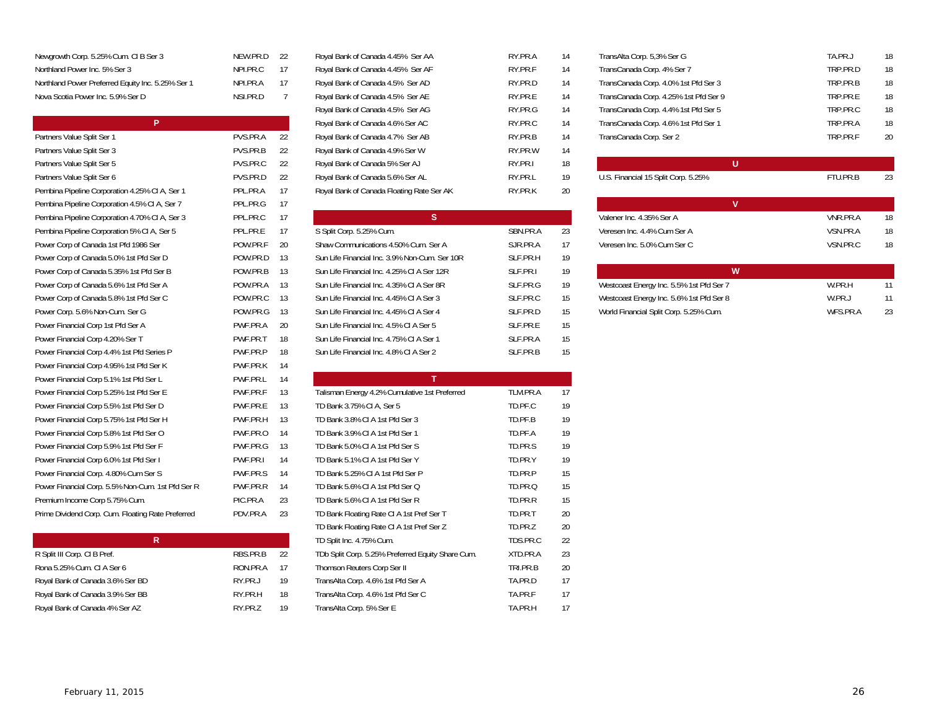| Newgrowth Corp. 5.25% Cum. CI B Ser 3             | NFW.PF |
|---------------------------------------------------|--------|
| Northland Power Inc. 5% Ser 3                     | NPI PR |
| Northland Power Preferred Equity Inc. 5.25% Ser 1 | NPI PR |
| Nova Scotia Power Inc. 5.9% Ser D                 | NSI PR |

| P                                                 |          |    | Royal Bank of Canada 4.6% Ser AC              | RY.PR.C  | 14 | TransCanada Corp. 4.6% 1st Pfd Ser 1     |
|---------------------------------------------------|----------|----|-----------------------------------------------|----------|----|------------------------------------------|
| Partners Value Split Ser 1                        | PVS.PR.A | 22 | Royal Bank of Canada 4.7% Ser AB              | RY.PR.B  | 14 | TransCanada Corp. Ser 2                  |
| Partners Value Split Ser 3                        | PVS.PR.B | 22 | Royal Bank of Canada 4.9% Ser W               | RY.PR.W  | 14 |                                          |
| Partners Value Split Ser 5                        | PVS.PR.C | 22 | Royal Bank of Canada 5% Ser AJ                | RY.PR.I  | 18 | U                                        |
| Partners Value Split Ser 6                        | PVS.PR.D | 22 | Royal Bank of Canada 5.6% Ser AL              | RY.PR.L  | 19 | U.S. Financial 15 Split Corp. 5.25%      |
| Pembina Pipeline Corporation 4.25% CI A, Ser 1    | PPL.PR.A | 17 | Royal Bank of Canada Floating Rate Ser AK     | RY.PR.K  | 20 |                                          |
| Pembina Pipeline Corporation 4.5% CI A, Ser 7     | PPL.PR.G | 17 |                                               |          |    | V                                        |
| Pembina Pipeline Corporation 4.70% CI A, Ser 3    | PPL.PR.C | 17 | <sub>S</sub>                                  |          |    | Valener Inc. 4.35% Ser A                 |
| Pembina Pipeline Corporation 5% CI A, Ser 5       | PPL.PR.E | 17 | S Split Corp. 5.25% Cum.                      | SBN.PR.A | 23 | Veresen Inc. 4.4% Cum Ser A              |
| Power Corp of Canada 1st Pfd 1986 Ser             | POW.PR.F | 20 | Shaw Communications 4.50% Cum. Ser A          | SJR.PR.A | 17 | Veresen Inc. 5.0% Cum Ser C              |
| Power Corp of Canada 5.0% 1st Pfd Ser D           | POW.PR.D | 13 | Sun Life Financial Inc. 3.9% Non-Cum. Ser 10R | SLF.PR.H | 19 |                                          |
| Power Corp of Canada 5.35% 1st Pfd Ser B          | POW.PR.B | 13 | Sun Life Financial Inc. 4.25% CI A Ser 12R    | SLF.PR.I | 19 | W                                        |
| Power Corp of Canada 5.6% 1st Pfd Ser A           | POW.PR.A | 13 | Sun Life Financial Inc. 4.35% CI A Ser 8R     | SLF.PR.G | 19 | Westcoast Energy Inc. 5.5% 1st Pfd Ser 7 |
| Power Corp of Canada 5.8% 1st Pfd Ser C           | POW.PR.C | 13 | Sun Life Financial Inc. 4.45% CI A Ser 3      | SLF.PR.C | 15 | Westcoast Energy Inc. 5.6% 1st Pfd Ser 8 |
| Power Corp. 5.6% Non-Cum. Ser G                   | POW.PR.G | 13 | Sun Life Financial Inc. 4.45% CI A Ser 4      | SLF.PR.D | 15 | World Financial Split Corp. 5.25% Cum.   |
| Power Financial Corp 1st Pfd Ser A                | PWF.PR.A | 20 | Sun Life Financial Inc. 4.5% CI A Ser 5       | SLF.PR.E | 15 |                                          |
| Power Financial Corp 4.20% Ser T                  | PWF.PR.T | 18 | Sun Life Financial Inc. 4.75% CI A Ser 1      | SLF.PR.A | 15 |                                          |
| Power Financial Corp 4.4% 1st Pfd Series P        | PWF.PR.P | 18 | Sun Life Financial Inc. 4.8% CI A Ser 2       | SLF.PR.B | 15 |                                          |
| Power Financial Corp 4.95% 1st Pfd Ser K          | PWF.PR.K | 14 |                                               |          |    |                                          |
| Power Financial Corp 5.1% 1st Pfd Ser L           | PWF.PR.L | 14 | $\mathsf{T}$                                  |          |    |                                          |
| Power Financial Corp 5.25% 1st Pfd Ser E          | PWF.PR.F | 13 | Talisman Energy 4.2% Cumulative 1st Preferred | TLM.PR.A | 17 |                                          |
| Power Financial Corp 5.5% 1st Pfd Ser D           | PWF.PR.E | 13 | TD Bank 3.75% CI A, Ser 5                     | TD.PF.C  | 19 |                                          |
| Power Financial Corp 5.75% 1st Pfd Ser H          | PWF.PR.H | 13 | TD Bank 3.8% CI A 1st Pfd Ser 3               | TD.PF.B  | 19 |                                          |
| Power Financial Corp 5.8% 1st Pfd Ser O           | PWF.PR.O | 14 | TD Bank 3.9% CI A 1st Pfd Ser 1               | TD.PF.A  | 19 |                                          |
| Power Financial Corp 5.9% 1st Pfd Ser F           | PWF.PR.G | 13 | TD Bank 5.0% CI A 1st Pfd Ser S               | TD.PR.S  | 19 |                                          |
| Power Financial Corp 6.0% 1st Pfd Ser I           | PWF.PR.I | 14 | TD Bank 5.1% CI A 1st Pfd Ser Y               | TD.PR.Y  | 19 |                                          |
| Power Financial Corp. 4.80% Cum Ser S             | PWF.PR.S | 14 | TD Bank 5.25% CI A 1st Pfd Ser P              | TD.PR.P  | 15 |                                          |
| Power Financial Corp. 5.5% Non-Cum. 1st Pfd Ser R | PWF.PR.R | 14 | TD Bank 5.6% CI A 1st Pfd Ser Q               | TD.PR.Q  | 15 |                                          |
| Premium Income Corp 5.75% Cum.                    | PIC.PR.A | 23 | TD Bank 5.6% CI A 1st Pfd Ser R               | TD.PR.R  | 15 |                                          |
| Prime Dividend Corp. Cum. Floating Rate Preferred | PDV.PR.A | 23 | TD Bank Floating Rate CI A 1st Pref Ser T     | TD.PR.T  | 20 |                                          |

| R                                |          |    |
|----------------------------------|----------|----|
| R Split III Corp. CI B Pref.     | RBS PR B | 22 |
| Rona 5.25% Cum. CI A Ser 6       | RON.PR.A | 17 |
| Royal Bank of Canada 3.6% Ser BD | RY PR.J  | 19 |
| Royal Bank of Canada 3.9% Ser BB | RY PR H  | 18 |
| Royal Bank of Canada 4% Ser AZ   | RY PR 7  | 19 |
|                                  |          |    |

| Newgrowth Corp. 5.25% Cum. CI B Ser 3             | NEW.PR.D 22 |    | Royal Bank of Canada 4.45% Ser AA         | RY.PR.A | 14 | TransAlta Corp. 5,3% Ser G            | TA.PR.J  | 18 |
|---------------------------------------------------|-------------|----|-------------------------------------------|---------|----|---------------------------------------|----------|----|
| Northland Power Inc. 5% Ser 3                     | NPI.PR.C    | 17 | Royal Bank of Canada 4.45% Ser AF         | RY.PR.F | 14 | TransCanada Corp. 4% Ser 7            | TRP.PR.D | 18 |
| Northland Power Preferred Equity Inc. 5.25% Ser 1 | NPI.PR.A    | 17 | Royal Bank of Canada 4.5% Ser AD          | RY.PR.D | 14 | TransCanada Corp. 4.0% 1st Pfd Ser 3  | TRP.PR.B | 18 |
| Nova Scotia Power Inc. 5.9% Ser D                 | NSI.PR.D    |    | Royal Bank of Canada 4.5% Ser AE          | RY.PR.E | 14 | TransCanada Corp. 4.25% 1st Pfd Ser 9 | TRP.PR.E | 18 |
|                                                   |             |    | Royal Bank of Canada 4.5% Ser AG          | RY.PR.G | 14 | TransCanada Corp. 4.4% 1st Pfd Ser 5  | TRP.PR.C | 18 |
| P.                                                |             |    | Royal Bank of Canada 4.6% Ser AC          | RY.PR.C | 14 | TransCanada Corp. 4.6% 1st Pfd Ser 1  | TRP.PR.A | 18 |
| Partners Value Split Ser 1                        | PVS.PR.A    | 22 | Royal Bank of Canada 4.7% Ser AB          | RY.PR.B | 14 | TransCanada Corp. Ser 2               | TRP.PR.F | 20 |
| Partners Value Split Ser 3                        | PVS.PR.B    | 22 | Royal Bank of Canada 4.9% Ser W           | RY.PR.W | 14 |                                       |          |    |
| Partners Value Split Ser 5                        | PVS.PR.C    | 22 | Royal Bank of Canada 5% Ser AJ            | RY.PR.I | 18 | U.                                    |          |    |
| Partners Value Split Ser 6                        | PVS.PR.D    | 22 | Royal Bank of Canada 5.6% Ser AL          | RY.PR.L | 19 | U.S. Financial 15 Split Corp. 5.25%   | FTU.PR.B | 23 |
| Pembina Pipeline Corporation 4.25% CI A, Ser 1    | PPL.PR.A    | 17 | Royal Bank of Canada Floating Rate Ser AK | RY.PR.K | 20 |                                       |          |    |
|                                                   |             |    |                                           |         |    |                                       |          |    |

| Pembina Pipeline Corporation 4.70% CI A, Ser 3 | PPL.PR.C    | 17   | <sub>S</sub>                                  |           |    | Valener Inc. 4.35% Ser A                 |
|------------------------------------------------|-------------|------|-----------------------------------------------|-----------|----|------------------------------------------|
| Pembina Pipeline Corporation 5% CI A, Ser 5    | PPL.PR.E    | 17   | S Split Corp. 5.25% Cum.                      | SBN.PR.A  | 23 | Veresen Inc. 4.4% Cum Ser A              |
| Power Corp of Canada 1st Pfd 1986 Ser          | POW.PR.F 20 |      | Shaw Communications 4.50% Cum. Ser A          | S.JR.PR.A | 17 | Veresen Inc. 5.0% Cum Ser C              |
| Power Corp of Canada 5.0% 1st Pfd Ser D        | POW.PR.D    | 13   | Sun Life Financial Inc. 3.9% Non-Cum. Ser 10R | SLF.PR.H  | 19 |                                          |
| Power Corp of Canada 5.35% 1st Pfd Ser B       | POW.PR.B    | 13   | Sun Life Financial Inc. 4.25% CLA Ser 12R     | SLE.PR.I  | 19 | W                                        |
| Power Corp of Canada 5.6% 1st Pfd Ser A        | POW.PR.A 13 |      | Sun Life Financial Inc. 4.35% CI A Ser 8R     | SLE.PR.G  | 19 | Westcoast Energy Inc. 5.5% 1st Pfd Ser 7 |
| Power Corp of Canada 5.8% 1st Pfd Ser C        | POW.PR.C 13 |      | Sun Life Financial Inc. 4.45% CI A Ser 3      | SLF.PR.C  | 15 | Westcoast Energy Inc. 5.6% 1st Pfd Ser 8 |
| Power Corp. 5.6% Non-Cum. Ser G                | POW.PR.G    | - 13 | Sun Life Financial Inc. 4.45% CLA Ser 4       | SLF.PR.D  | 15 | World Financial Split Corp. 5.25% Cum.   |
| Power Financial Corp 1st Pfd Ser A             | PWF.PR.A    | - 20 | Sun Life Financial Inc. 4.5% CI A Ser 5       | SLE.PR.F  | 15 |                                          |
| Power Financial Corp 4.20% Ser T               | PWF.PR.T    | 18   | Sun Life Financial Inc. 4.75% CI A Ser 1      | SLF.PR.A  | 15 |                                          |
| Power Financial Corp 4.4% 1st Pfd Series P     | PWF.PR.P    | 18   | Sun Life Financial Inc. 4.8% CI A Ser 2       | SLE.PR.B  | 15 |                                          |

| Power Financial Corp 5.1% 1st Pfd Ser L           | PWF.PR.L | 14 |                                                   |          |    |
|---------------------------------------------------|----------|----|---------------------------------------------------|----------|----|
| Power Financial Corp 5.25% 1st Pfd Ser E          | PWF.PR.F | 13 | Talisman Energy 4.2% Cumulative 1st Preferred     | TLM.PR.A | 17 |
| Power Financial Corp 5.5% 1st Pfd Ser D           | PWF.PR.E | 13 | TD Bank 3.75% CI A, Ser 5                         | TD.PF.C  | 19 |
| Power Financial Corp 5.75% 1st Pfd Ser H          | PWF.PR.H | 13 | TD Bank 3.8% CI A 1st Pfd Ser 3                   | TD.PF.B  | 19 |
| Power Financial Corp 5.8% 1st Pfd Ser O           | PWF.PR.O | 14 | TD Bank 3.9% CI A 1st Pfd Ser 1                   | TD.PF.A  | 19 |
| Power Financial Corp 5.9% 1st Pfd Ser F           | PWF.PR.G | 13 | TD Bank 5.0% CI A 1st Pfd Ser S                   | TD.PR.S  | 19 |
| Power Financial Corp 6.0% 1st Pfd Ser I           | PWF.PR.I | 14 | TD Bank 5.1% CI A 1st Pfd Ser Y                   | TD.PR.Y  | 19 |
| Power Financial Corp. 4.80% Cum Ser S             | PWF.PR.S | 14 | TD Bank 5.25% CI A 1st Pfd Ser P                  | TD.PR.P  | 15 |
| Power Financial Corp. 5.5% Non-Cum. 1st Pfd Ser R | PWF.PR.R | 14 | TD Bank 5.6% CI A 1st Pfd Ser Q                   | TD.PR.Q  | 15 |
| Premium Income Corp 5.75% Cum.                    | PIC.PR.A | 23 | TD Bank 5.6% CI A 1st Pfd Ser R                   | TD.PR.R  | 15 |
| Prime Dividend Corp. Cum. Floating Rate Preferred | PDV.PR.A | 23 | TD Bank Floating Rate CI A 1st Pref Ser T         | TD.PR.T  | 20 |
|                                                   |          |    | TD Bank Floating Rate CI A 1st Pref Ser Z         | TD.PR.Z  | 20 |
| R.                                                |          |    | TD Split Inc. 4.75% Cum.                          | TDS.PR.C | 22 |
| R Split III Corp. CI B Pref.                      | RBS.PR.B | 22 | TDb Split Corp. 5.25% Preferred Equity Share Cum. | XTD.PR.A | 23 |
| Rona 5.25% Cum. CI A Ser 6                        | RON.PR.A | 17 | Thomson Reuters Corp Ser II                       | TRI.PR.B | 20 |
| Royal Bank of Canada 3.6% Ser BD                  | RY.PR.J  | 19 | TransAlta Corp. 4.6% 1st Pfd Ser A                | TA.PR.D  | 17 |
| Royal Bank of Canada 3.9% Ser BB                  | RY.PR.H  | 18 | TransAlta Corp. 4.6% 1st Pfd Ser C                | TA.PR.F  | 17 |
| Royal Bank of Canada 4% Ser AZ                    | RY.PR.Z  | 19 | TransAlta Corp. 5% Ser E                          | TA.PR.H  | 17 |
|                                                   |          |    |                                                   |          |    |

| Newgrowth Corp. 5.25% Cum. CI B Ser 3             | NEW.PR.D 22 |     | Royal Bank of Canada 4.45% Ser AA | RY.PR.A | 14 | TransAlta Corp. 5,3% Ser G            | TA.PR.J  | 18 |
|---------------------------------------------------|-------------|-----|-----------------------------------|---------|----|---------------------------------------|----------|----|
| Northland Power Inc. 5% Ser 3                     | NPI.PR.C    | 17  | Royal Bank of Canada 4.45% Ser AF | RY.PR.F |    | TransCanada Corp. 4% Ser 7            | TRP.PR.D | 18 |
| Northland Power Preferred Equity Inc. 5.25% Ser 1 | NPI.PR.A    | -17 | Royal Bank of Canada 4.5% Ser AD  | RY.PR.D | 14 | TransCanada Corp. 4.0% 1st Pfd Ser 3  | TRP.PR.B | 18 |
| Nova Scotia Power Inc. 5.9% Ser D                 | NSI.PR.D    |     | Royal Bank of Canada 4.5% Ser AE  | RY.PR.E | 14 | TransCanada Corp. 4.25% 1st Pfd Ser 9 | TRP.PR.E | 18 |
|                                                   |             |     | Royal Bank of Canada 4.5% Ser AG  | RY.PR.G | 14 | TransCanada Corp. 4.4% 1st Pfd Ser 5  | TRP.PR.C | 18 |
|                                                   |             |     | Royal Bank of Canada 4.6% Ser AC  | RY.PR.C | 14 | TransCanada Corp. 4.6% 1st Pfd Ser 1  | TRP.PR.A | 18 |
| Partners Value Split Ser 1                        | PVS.PR.A    | 22  | Royal Bank of Canada 4.7% Ser AB  | RY.PR.B | 14 | TransCanada Corp. Ser 2               | TRP.PR.F | 20 |
|                                                   |             |     |                                   |         |    |                                       |          |    |

| Pembina Pipeline Corporation 4.25% CI A, Ser 1 | PPL.PR.A    |      | Royal Bank of Canada Floating Rate Ser AK     | RY.PR.K  | 20 |                                          |          |    |
|------------------------------------------------|-------------|------|-----------------------------------------------|----------|----|------------------------------------------|----------|----|
| Pembina Pipeline Corporation 4.5% CI A, Ser 7  | PPL.PR.G    | 17   |                                               |          |    |                                          |          |    |
| Pembina Pipeline Corporation 4.70% CI A, Ser 3 | PPL.PR.C    | - 17 |                                               |          |    | Valener Inc. 4.35% Ser A                 | VNR.PR.A | 18 |
| Pembina Pipeline Corporation 5% CI A, Ser 5    | PPL.PR.E    | 17   | S Split Corp. 5.25% Cum.                      | SBN.PR.A | 23 | Veresen Inc. 4.4% Cum Ser A              | VSN.PR.A | 18 |
| Power Corp of Canada 1st Pfd 1986 Ser          | POW.PR.F    | - 20 | Shaw Communications 4.50% Cum. Ser A          | SJR.PR.A | 17 | Veresen Inc. 5.0% Cum Ser C              | VSN.PR.C | 18 |
| Power Corp of Canada 5.0% 1st Pfd Ser D        | POW.PR.D 13 |      | Sun Life Financial Inc. 3.9% Non-Cum. Ser 10R | SLF.PR.H | 19 |                                          |          |    |
| Power Corp of Canada 5.35% 1st Pfd Ser B       | POW.PR.B 13 |      | Sun Life Financial Inc. 4.25% CI A Ser 12R    | SLF.PR.I | 19 | W                                        |          |    |
| Power Corp of Canada 5.6% 1st Pfd Ser A        | POW.PR.A 13 |      | Sun Life Financial Inc. 4.35% CI A Ser 8R     | SLF.PR.G | 19 | Westcoast Energy Inc. 5.5% 1st Pfd Ser 7 | W.PR.H   | 11 |
| Power Corp of Canada 5.8% 1st Pfd Ser C        | POW.PR.C 13 |      | Sun Life Financial Inc. 4.45% CI A Ser 3      | SLF.PR.C | 15 | Westcoast Energy Inc. 5.6% 1st Pfd Ser 8 | W.PR.J   | 11 |
| Power Corp. 5.6% Non-Cum. Ser G                | POW.PR.G 13 |      | Sun Life Financial Inc. 4.45% CI A Ser 4      | SLF.PR.D | 15 | World Financial Split Corp. 5.25% Cum.   | WFS.PR.A | 23 |
|                                                |             |      |                                               |          |    |                                          |          |    |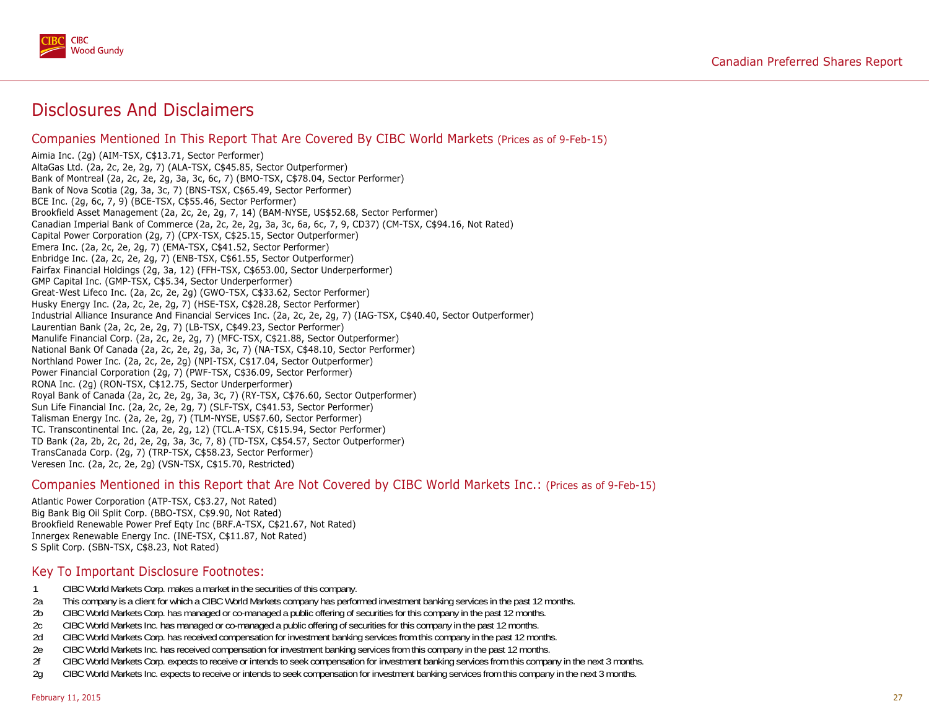

# Disclosures And Disclaimers

### Companies Mentioned In This Report That Are Covered By CIBC World Markets (Prices as of 9-Feb-15)

Aimia Inc. (2g) (AIM-TSX, C\$13.71, Sector Performer) AltaGas Ltd. (2a, 2c, 2e, 2g, 7) (ALA-TSX, C\$45.85, Sector Outperformer) Bank of Montreal (2a, 2c, 2e, 2g, 3a, 3c, 6c, 7) (BMO-TSX, C\$78.04, Sector Performer) Bank of Nova Scotia (2g, 3a, 3c, 7) (BNS-TSX, C\$65.49, Sector Performer) BCE Inc. (2g, 6c, 7, 9) (BCE-TSX, C\$55.46, Sector Performer) Brookfield Asset Management (2a, 2c, 2e, 2g, 7, 14) (BAM-NYSE, US\$52.68, Sector Performer) Canadian Imperial Bank of Commerce (2a, 2c, 2e, 2g, 3a, 3c, 6a, 6c, 7, 9, CD37) (CM-TSX, C\$94.16, Not Rated) Capital Power Corporation (2g, 7) (CPX-TSX, C\$25.15, Sector Outperformer) Emera Inc. (2a, 2c, 2e, 2g, 7) (EMA-TSX, C\$41.52, Sector Performer) Enbridge Inc. (2a, 2c, 2e, 2g, 7) (ENB-TSX, C\$61.55, Sector Outperformer) Fairfax Financial Holdings (2g, 3a, 12) (FFH-TSX, C\$653.00, Sector Underperformer) GMP Capital Inc. (GMP-TSX, C\$5.34, Sector Underperformer) Great-West Lifeco Inc. (2a, 2c, 2e, 2g) (GWO-TSX, C\$33.62, Sector Performer) Husky Energy Inc. (2a, 2c, 2e, 2g, 7) (HSE-TSX, C\$28.28, Sector Performer) Industrial Alliance Insurance And Financial Services Inc. (2a, 2c, 2e, 2g, 7) (IAG-TSX, C\$40.40, Sector Outperformer) Laurentian Bank (2a, 2c, 2e, 2g, 7) (LB-TSX, C\$49.23, Sector Performer) Manulife Financial Corp. (2a, 2c, 2e, 2g, 7) (MFC-TSX, C\$21.88, Sector Outperformer) National Bank Of Canada (2a, 2c, 2e, 2g, 3a, 3c, 7) (NA-TSX, C\$48.10, Sector Performer) Northland Power Inc. (2a, 2c, 2e, 2g) (NPI-TSX, C\$17.04, Sector Outperformer) Power Financial Corporation (2g, 7) (PWF-TSX, C\$36.09, Sector Performer) RONA Inc. (2g) (RON-TSX, C\$12.75, Sector Underperformer) Royal Bank of Canada (2a, 2c, 2e, 2g, 3a, 3c, 7) (RY-TSX, C\$76.60, Sector Outperformer) Sun Life Financial Inc. (2a, 2c, 2e, 2g, 7) (SLF-TSX, C\$41.53, Sector Performer) Talisman Energy Inc. (2a, 2e, 2g, 7) (TLM-NYSE, US\$7.60, Sector Performer) TC. Transcontinental Inc. (2a, 2e, 2g, 12) (TCL.A-TSX, C\$15.94, Sector Performer) TD Bank (2a, 2b, 2c, 2d, 2e, 2g, 3a, 3c, 7, 8) (TD-TSX, C\$54.57, Sector Outperformer) TransCanada Corp. (2g, 7) (TRP-TSX, C\$58.23, Sector Performer) Veresen Inc. (2a, 2c, 2e, 2g) (VSN-TSX, C\$15.70, Restricted)

### Companies Mentioned in this Report that Are Not Covered by CIBC World Markets Inc.: (Prices as of 9-Feb-15)

Atlantic Power Corporation (ATP-TSX, C\$3.27, Not Rated) Big Bank Big Oil Split Corp. (BBO-TSX, C\$9.90, Not Rated) Brookfield Renewable Power Pref Eqty Inc (BRF.A-TSX, C\$21.67, Not Rated) Innergex Renewable Energy Inc. (INE-TSX, C\$11.87, Not Rated) S Split Corp. (SBN-TSX, C\$8.23, Not Rated)

### Key To Important Disclosure Footnotes:

- 1 CIBC World Markets Corp. makes a market in the securities of this company.
- 2a This company is a client for which a CIBC World Markets company has performed investment banking services in the past 12 months.
- 2b CIBC World Markets Corp. has managed or co-managed a public offering of securities for this company in the past 12 months.
- 2c CIBC World Markets Inc. has managed or co-managed a public offering of securities for this company in the past 12 months.
- 2d CIBC World Markets Corp. has received compensation for investment banking services from this company in the past 12 months.
- 2e CIBC World Markets Inc. has received compensation for investment banking services from this company in the past 12 months.
- 2f CIBC World Markets Corp. expects to receive or intends to seek compensation for investment banking services from this company in the next 3 months.
- 2g CIBC World Markets Inc. expects to receive or intends to seek compensation for investment banking services from this company in the next 3 months.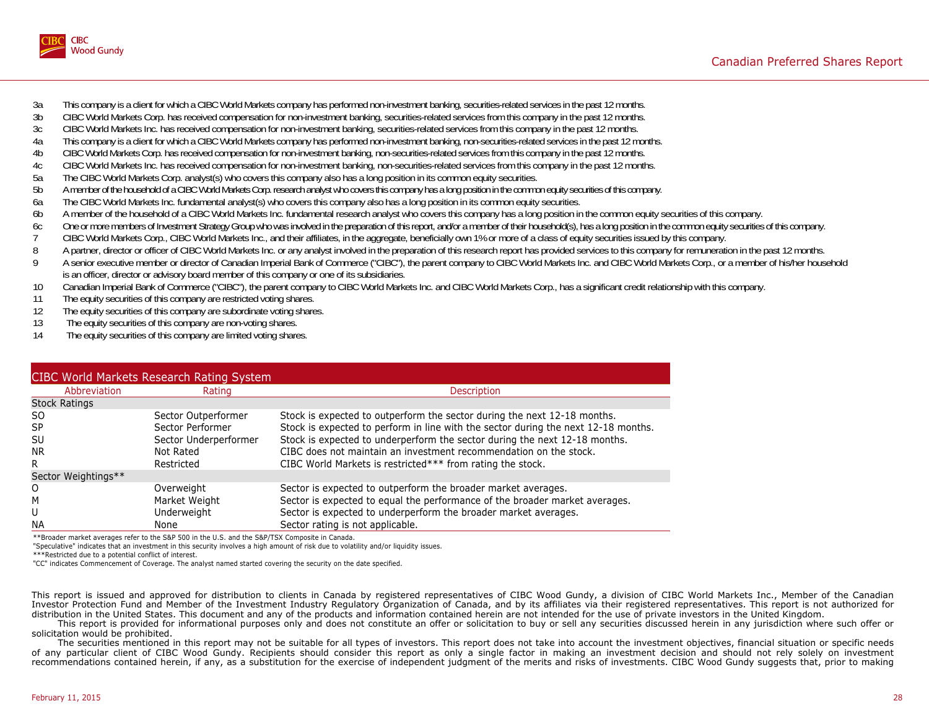

- 3a This company is a client for which a CIBC World Markets company has performed non-investment banking, securities-related services in the past 12 months.
- 3b CIBC World Markets Corp. has received compensation for non-investment banking, securities-related services from this company in the past 12 months.
- 3c CIBC World Markets Inc. has received compensation for non-investment banking, securities-related services from this company in the past 12 months.
- 4a This company is a client for which a CIBC World Markets company has performed non-investment banking, non-securities-related services in the past 12 months.<br>4b CIBC World Markets Corp. has received compensation for non-
- 4b CIBC World Markets Corp. has received compensation for non-investment banking, non-securities-related services from this company in the past 12 months.
- 4c CIBC World Markets Inc. has received compensation for non-investment banking, non-securities-related services from this company in the past 12 months.
- 5a The CIBC World Markets Corp. analyst(s) who covers this company also has a long position in its common equity securities.
- 5b A member of the household of a CIBC World Markets Corp. research analyst who covers this company has a long position in the common equity securities of this company.
- 6a The CIBC World Markets Inc. fundamental analyst(s) who covers this company also has a long position in its common equity securities.
- 6b A member of the household of a CIBC World Markets Inc. fundamental research analyst who covers this company has a long position in the common equity securities of this company.
- 6c One or more members of Investment Strategy Group who was involved in the preparation of this report, and/or a member of their household(s), has a long position in the common equity securities of this company.
- 7 CIBC World Markets Corp., CIBC World Markets Inc., and their affiliates, in the aggregate, beneficially own 1% or more of a class of equity securities issued by this company.<br>A partner, director or officer of CIBC World
- 8 A partner, director or officer of CIBC World Markets Inc. or any analyst involved in the preparation of this research report has provided services to this company for remuneration in the past 12 months.<br>A senior executiv
- A senior executive member or director of Canadian Imperial Bank of Commerce ("CIBC"), the parent company to CIBC World Markets Inc. and CIBC World Markets Corp., or a member of his/her household is an officer, director or advisory board member of this company or one of its subsidiaries.
- 10 Canadian Imperial Bank of Commerce ("CIBC"), the parent company to CIBC World Markets Inc. and CIBC World Markets Corp., has a significant credit relationship with this company.
- 11 The equity securities of this company are restricted voting shares.
- 12 The equity securities of this company are subordinate voting shares.
- 13 The equity securities of this company are non-voting shares.
- 14 The equity securities of this company are limited voting shares.

|                      | <b>CIBC World Markets Research Rating System</b> |                                                                                    |
|----------------------|--------------------------------------------------|------------------------------------------------------------------------------------|
| Abbreviation         | Rating                                           | <b>Description</b>                                                                 |
| <b>Stock Ratings</b> |                                                  |                                                                                    |
| SO.                  | Sector Outperformer                              | Stock is expected to outperform the sector during the next 12-18 months.           |
| <b>SP</b>            | Sector Performer                                 | Stock is expected to perform in line with the sector during the next 12-18 months. |
| SU                   | Sector Underperformer                            | Stock is expected to underperform the sector during the next 12-18 months.         |
| <b>NR</b>            | Not Rated                                        | CIBC does not maintain an investment recommendation on the stock.                  |
| R                    | Restricted                                       | CIBC World Markets is restricted*** from rating the stock.                         |
| Sector Weightings**  |                                                  |                                                                                    |
| 0                    | Overweight                                       | Sector is expected to outperform the broader market averages.                      |
| M                    | Market Weight                                    | Sector is expected to equal the performance of the broader market averages.        |
| U                    | Underweight                                      | Sector is expected to underperform the broader market averages.                    |
| <b>NA</b>            | None                                             | Sector rating is not applicable.                                                   |

\*\*Broader market averages refer to the S&P 500 in the U.S. and the S&P/TSX Composite in Canada.

"Speculative" indicates that an investment in this security involves a high amount of risk due to volatility and/or liquidity issues.

\*\*\*Restricted due to a potential conflict of interest.

"CC" indicates Commencement of Coverage. The analyst named started covering the security on the date specified.

This report is issued and approved for distribution to clients in Canada by registered representatives of CIBC Wood Gundy, a division of CIBC World Markets Inc., Member of the Canadian Investor Protection Fund and Member of the Investment Industry Regulatory Organization of Canada, and by its affiliates via their registered representatives. This report is not authorized for distribution in the United States. This document and any of the products and information contained herein are not intended for the use of private investors in the United Kingdom.

This report is provided for informational purposes only and does not constitute an offer or solicitation to buy or sell any securities discussed herein in any jurisdiction where such offer or solicitation would be prohibited.

The securities mentioned in this report may not be suitable for all types of investors. This report does not take into account the investment objectives, financial situation or specific needs of any particular client of CIBC Wood Gundy. Recipients should consider this report as only a single factor in making an investment decision and should not rely solely on investment recommendations contained herein, if any, as a substitution for the exercise of independent judgment of the merits and risks of investments. CIBC Wood Gundy suggests that, prior to making